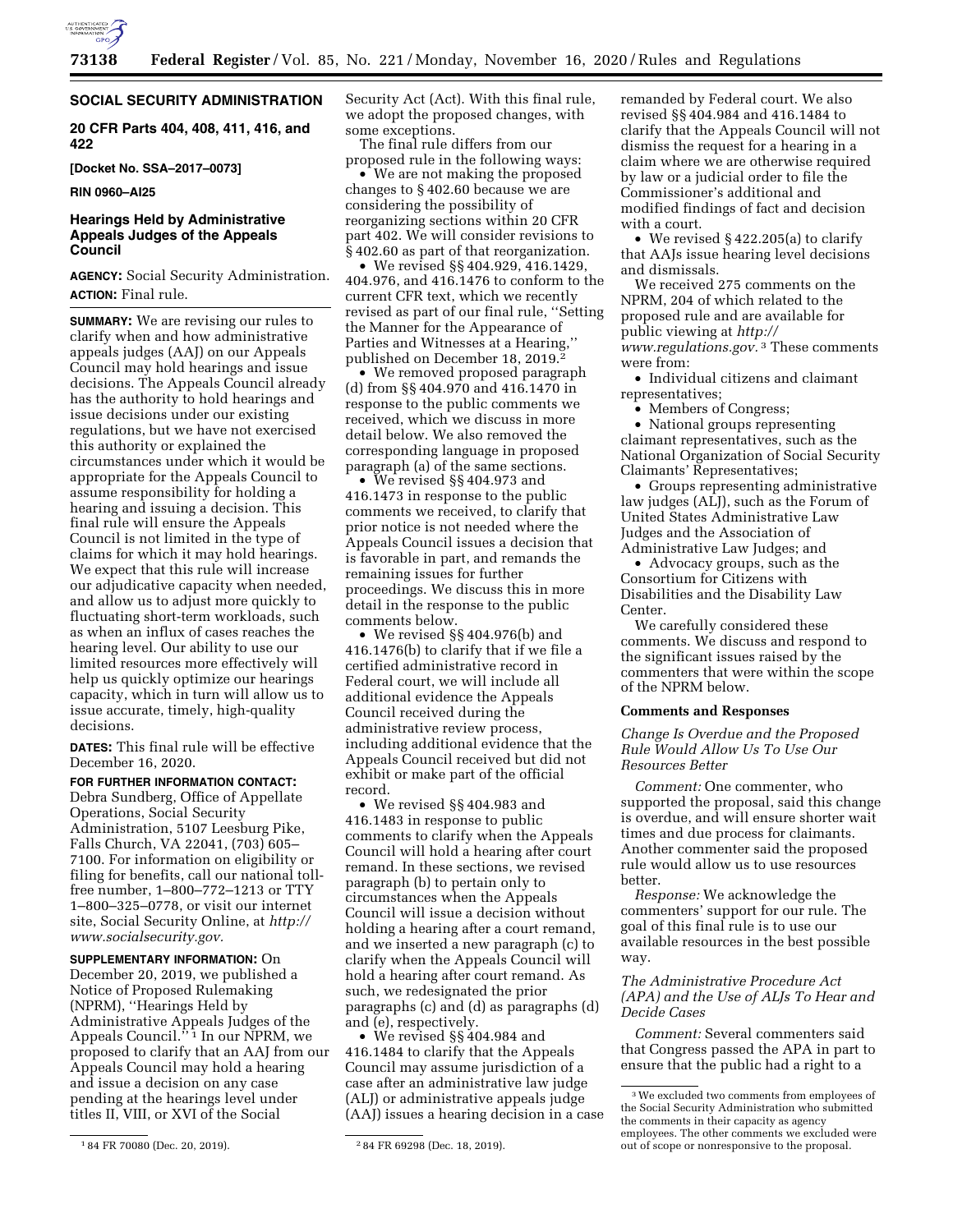

# **SOCIAL SECURITY ADMINISTRATION**

**20 CFR Parts 404, 408, 411, 416, and 422** 

**[Docket No. SSA–2017–0073]** 

**RIN 0960–AI25** 

# **Hearings Held by Administrative Appeals Judges of the Appeals Council**

**AGENCY:** Social Security Administration. **ACTION:** Final rule.

**SUMMARY:** We are revising our rules to clarify when and how administrative appeals judges (AAJ) on our Appeals Council may hold hearings and issue decisions. The Appeals Council already has the authority to hold hearings and issue decisions under our existing regulations, but we have not exercised this authority or explained the circumstances under which it would be appropriate for the Appeals Council to assume responsibility for holding a hearing and issuing a decision. This final rule will ensure the Appeals Council is not limited in the type of claims for which it may hold hearings. We expect that this rule will increase our adjudicative capacity when needed, and allow us to adjust more quickly to fluctuating short-term workloads, such as when an influx of cases reaches the hearing level. Our ability to use our limited resources more effectively will help us quickly optimize our hearings capacity, which in turn will allow us to issue accurate, timely, high-quality decisions.

**DATES:** This final rule will be effective December 16, 2020.

# **FOR FURTHER INFORMATION CONTACT:**

Debra Sundberg, Office of Appellate Operations, Social Security Administration, 5107 Leesburg Pike, Falls Church, VA 22041, (703) 605– 7100. For information on eligibility or filing for benefits, call our national tollfree number, 1–800–772–1213 or TTY 1–800–325–0778, or visit our internet site, Social Security Online, at *[http://](http://www.socialsecurity.gov) [www.socialsecurity.gov.](http://www.socialsecurity.gov)* 

**SUPPLEMENTARY INFORMATION:** On December 20, 2019, we published a Notice of Proposed Rulemaking (NPRM), ''Hearings Held by Administrative Appeals Judges of the Appeals Council.'' 1 In our NPRM, we proposed to clarify that an AAJ from our Appeals Council may hold a hearing and issue a decision on any case pending at the hearings level under titles II, VIII, or XVI of the Social

Security Act (Act). With this final rule, we adopt the proposed changes, with some exceptions.

The final rule differs from our proposed rule in the following ways:

• We are not making the proposed changes to § 402.60 because we are considering the possibility of reorganizing sections within 20 CFR part 402. We will consider revisions to § 402.60 as part of that reorganization.

• We revised §§ 404.929, 416.1429, 404.976, and 416.1476 to conform to the current CFR text, which we recently revised as part of our final rule, ''Setting the Manner for the Appearance of Parties and Witnesses at a Hearing,'' published on December 18, 2019.<sup>2</sup>

• We removed proposed paragraph (d) from §§ 404.970 and 416.1470 in response to the public comments we received, which we discuss in more detail below. We also removed the corresponding language in proposed paragraph (a) of the same sections.

• We revised §§ 404.973 and 416.1473 in response to the public comments we received, to clarify that prior notice is not needed where the Appeals Council issues a decision that is favorable in part, and remands the remaining issues for further proceedings. We discuss this in more detail in the response to the public comments below.

• We revised §§ 404.976(b) and 416.1476(b) to clarify that if we file a certified administrative record in Federal court, we will include all additional evidence the Appeals Council received during the administrative review process, including additional evidence that the Appeals Council received but did not exhibit or make part of the official record.

• We revised §§ 404.983 and 416.1483 in response to public comments to clarify when the Appeals Council will hold a hearing after court remand. In these sections, we revised paragraph (b) to pertain only to circumstances when the Appeals Council will issue a decision without holding a hearing after a court remand, and we inserted a new paragraph (c) to clarify when the Appeals Council will hold a hearing after court remand. As such, we redesignated the prior paragraphs (c) and (d) as paragraphs (d) and (e), respectively.

• We revised §§ 404.984 and 416.1484 to clarify that the Appeals Council may assume jurisdiction of a case after an administrative law judge (ALJ) or administrative appeals judge (AAJ) issues a hearing decision in a case remanded by Federal court. We also revised §§ 404.984 and 416.1484 to clarify that the Appeals Council will not dismiss the request for a hearing in a claim where we are otherwise required by law or a judicial order to file the Commissioner's additional and modified findings of fact and decision with a court.

• We revised § 422.205(a) to clarify that AAJs issue hearing level decisions and dismissals.

We received 275 comments on the NPRM, 204 of which related to the proposed rule and are available for public viewing at *[http://](http://www.regulations.gov)  [www.regulations.gov.](http://www.regulations.gov)* 3 These comments were from:

• Individual citizens and claimant representatives;

• Members of Congress;

• National groups representing claimant representatives, such as the National Organization of Social Security Claimants' Representatives;

• Groups representing administrative law judges (ALJ), such as the Forum of United States Administrative Law Judges and the Association of Administrative Law Judges; and

• Advocacy groups, such as the Consortium for Citizens with Disabilities and the Disability Law Center.

We carefully considered these comments. We discuss and respond to the significant issues raised by the commenters that were within the scope of the NPRM below.

### **Comments and Responses**

*Change Is Overdue and the Proposed Rule Would Allow Us To Use Our Resources Better* 

*Comment:* One commenter, who supported the proposal, said this change is overdue, and will ensure shorter wait times and due process for claimants. Another commenter said the proposed rule would allow us to use resources better.

*Response:* We acknowledge the commenters' support for our rule. The goal of this final rule is to use our available resources in the best possible way.

# *The Administrative Procedure Act (APA) and the Use of ALJs To Hear and Decide Cases*

*Comment:* Several commenters said that Congress passed the APA in part to ensure that the public had a right to a

<sup>1</sup> 84 FR 70080 (Dec. 20, 2019). 2 84 FR 69298 (Dec. 18, 2019).

<sup>3</sup>We excluded two comments from employees of the Social Security Administration who submitted the comments in their capacity as agency employees. The other comments we excluded were out of scope or nonresponsive to the proposal.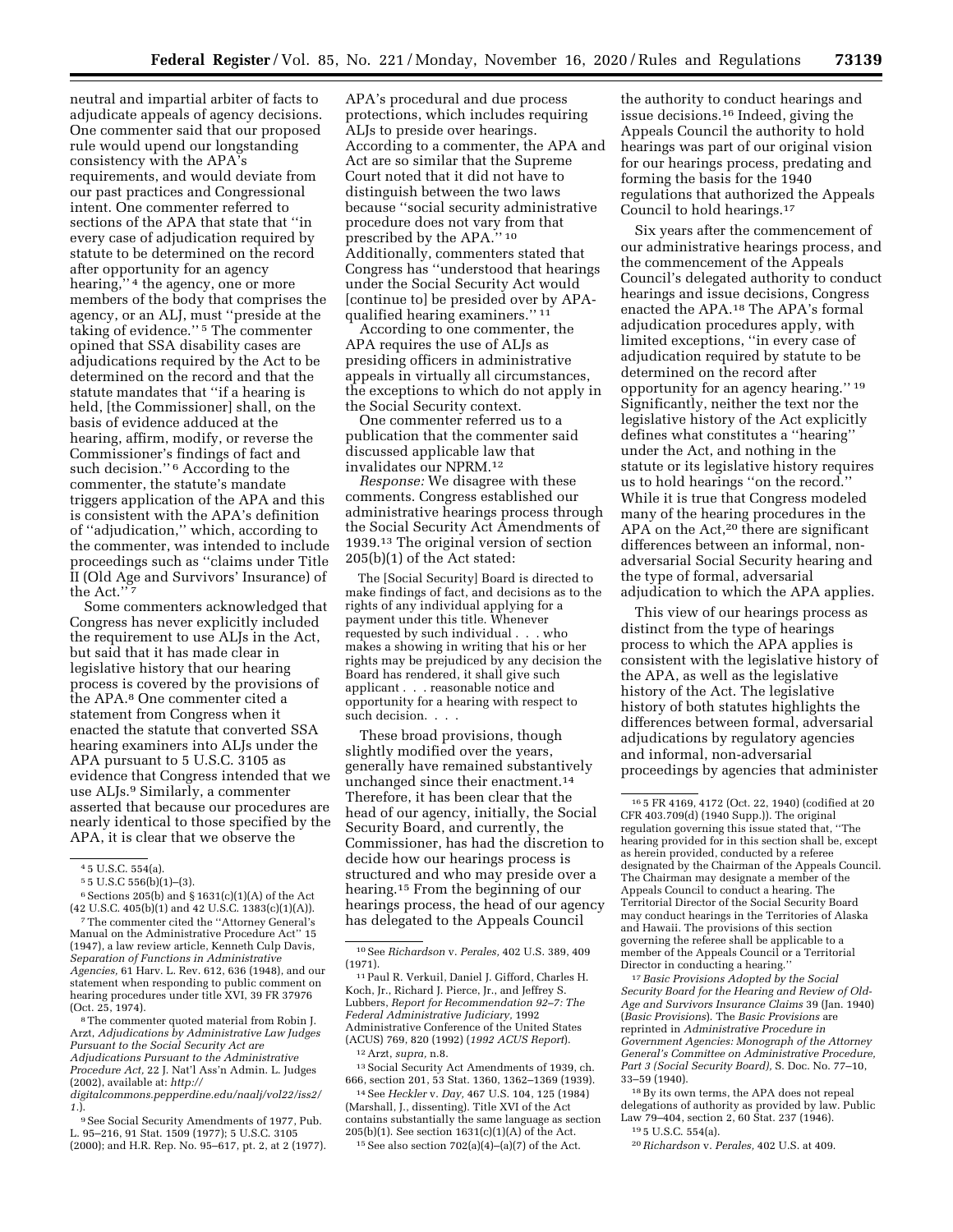neutral and impartial arbiter of facts to adjudicate appeals of agency decisions. One commenter said that our proposed rule would upend our longstanding consistency with the APA's requirements, and would deviate from our past practices and Congressional intent. One commenter referred to sections of the APA that state that ''in every case of adjudication required by statute to be determined on the record after opportunity for an agency hearing,'' 4 the agency, one or more members of the body that comprises the agency, or an ALJ, must ''preside at the taking of evidence.'' 5 The commenter opined that SSA disability cases are adjudications required by the Act to be determined on the record and that the statute mandates that ''if a hearing is held, [the Commissioner] shall, on the basis of evidence adduced at the hearing, affirm, modify, or reverse the Commissioner's findings of fact and such decision."<sup>6</sup> According to the commenter, the statute's mandate triggers application of the APA and this is consistent with the APA's definition of ''adjudication,'' which, according to the commenter, was intended to include proceedings such as ''claims under Title II (Old Age and Survivors' Insurance) of the Act."<sup>7</sup>

Some commenters acknowledged that Congress has never explicitly included the requirement to use ALJs in the Act, but said that it has made clear in legislative history that our hearing process is covered by the provisions of the APA.8 One commenter cited a statement from Congress when it enacted the statute that converted SSA hearing examiners into ALJs under the APA pursuant to 5 U.S.C. 3105 as evidence that Congress intended that we use ALJs.9 Similarly, a commenter asserted that because our procedures are nearly identical to those specified by the APA, it is clear that we observe the

8The commenter quoted material from Robin J. Arzt, *Adjudications by Administrative Law Judges Pursuant to the Social Security Act are Adjudications Pursuant to the Administrative Procedure Act,* 22 J. Nat'l Ass'n Admin. L. Judges (2002), available at: *[http://](http://digitalcommons.pepperdine.edu/naalj/vol22/iss2/1) [digitalcommons.pepperdine.edu/naalj/vol22/iss2/](http://digitalcommons.pepperdine.edu/naalj/vol22/iss2/1)* 

*[1.](http://digitalcommons.pepperdine.edu/naalj/vol22/iss2/1)*). 9See Social Security Amendments of 1977, Pub.

L. 95–216, 91 Stat. 1509 (1977); 5 U.S.C. 3105 (2000); and H.R. Rep. No. 95–617, pt. 2, at 2 (1977). APA's procedural and due process protections, which includes requiring ALJs to preside over hearings. According to a commenter, the APA and Act are so similar that the Supreme Court noted that it did not have to distinguish between the two laws because ''social security administrative procedure does not vary from that prescribed by the APA." 10 Additionally, commenters stated that Congress has ''understood that hearings under the Social Security Act would [continue to] be presided over by APAqualified hearing examiners.'' 11

According to one commenter, the APA requires the use of ALJs as presiding officers in administrative appeals in virtually all circumstances, the exceptions to which do not apply in the Social Security context.

One commenter referred us to a publication that the commenter said discussed applicable law that invalidates our NPRM.12

*Response:* We disagree with these comments. Congress established our administrative hearings process through the Social Security Act Amendments of 1939.13 The original version of section 205(b)(1) of the Act stated:

The [Social Security] Board is directed to make findings of fact, and decisions as to the rights of any individual applying for a payment under this title. Whenever requested by such individual . . . who makes a showing in writing that his or her rights may be prejudiced by any decision the Board has rendered, it shall give such applicant . . . reasonable notice and opportunity for a hearing with respect to such decision. . . .

These broad provisions, though slightly modified over the years, generally have remained substantively unchanged since their enactment.14 Therefore, it has been clear that the head of our agency, initially, the Social Security Board, and currently, the Commissioner, has had the discretion to decide how our hearings process is structured and who may preside over a hearing.15 From the beginning of our hearings process, the head of our agency has delegated to the Appeals Council

14See *Heckler* v. *Day,* 467 U.S. 104, 125 (1984) (Marshall, J., dissenting). Title XVI of the Act contains substantially the same language as section 205(b)(1). See section 1631(c)(1)(A) of the Act.

 $15$  See also section  $702(a)(4)–(a)(7)$  of the Act.

the authority to conduct hearings and issue decisions.16 Indeed, giving the Appeals Council the authority to hold hearings was part of our original vision for our hearings process, predating and forming the basis for the 1940 regulations that authorized the Appeals Council to hold hearings.17

Six years after the commencement of our administrative hearings process, and the commencement of the Appeals Council's delegated authority to conduct hearings and issue decisions, Congress enacted the APA.18 The APA's formal adjudication procedures apply, with limited exceptions, ''in every case of adjudication required by statute to be determined on the record after opportunity for an agency hearing.'' 19 Significantly, neither the text nor the legislative history of the Act explicitly defines what constitutes a ''hearing'' under the Act, and nothing in the statute or its legislative history requires us to hold hearings ''on the record.'' While it is true that Congress modeled many of the hearing procedures in the APA on the Act,20 there are significant differences between an informal, nonadversarial Social Security hearing and the type of formal, adversarial adjudication to which the APA applies.

This view of our hearings process as distinct from the type of hearings process to which the APA applies is consistent with the legislative history of the APA, as well as the legislative history of the Act. The legislative history of both statutes highlights the differences between formal, adversarial adjudications by regulatory agencies and informal, non-adversarial proceedings by agencies that administer

17*Basic Provisions Adopted by the Social Security Board for the Hearing and Review of Old-Age and Survivors Insurance Claims* 39 (Jan. 1940) (*Basic Provisions*). The *Basic Provisions* are reprinted in *Administrative Procedure in Government Agencies: Monograph of the Attorney General's Committee on Administrative Procedure, Part 3 (Social Security Board),* S. Doc. No. 77–10, 33–59 (1940).

18By its own terms, the APA does not repeal delegations of authority as provided by law. Public Law 79-404, section 2, 60 Stat. 237 (1946).

19 5 U.S.C. 554(a).

20*Richardson* v. *Perales,* 402 U.S. at 409.

<sup>4</sup> 5 U.S.C. 554(a).

<sup>5</sup> 5 U.S.C 556(b)(1)–(3).

 $6$  Sections 205(b) and § 1631(c)(1)(A) of the Act

 $(42 \text{ U.S.C. } 405 \text{ (b)}(1) \text{ and } 42 \text{ U.S.C. } 1383 \text{ (c)}(1)(\text{A)}).$ <br>
<sup>7</sup>The commenter cited the "Attorney General's Manual on the Administrative Procedure Act'' 15 (1947), a law review article, Kenneth Culp Davis, *Separation of Functions in Administrative Agencies,* 61 Harv. L. Rev. 612, 636 (1948), and our statement when responding to public comment on hearing procedures under title XVI, 39 FR 37976 (Oct. 25, 1974).

<sup>10</sup>See *Richardson* v. *Perales,* 402 U.S. 389, 409 (1971).

<sup>11</sup>Paul R. Verkuil, Daniel J. Gifford, Charles H. Koch, Jr., Richard J. Pierce, Jr., and Jeffrey S. Lubbers, *Report for Recommendation 92–7: The Federal Administrative Judiciary,* 1992 Administrative Conference of the United States (ACUS) 769, 820 (1992) (*1992 ACUS Report*). 12Arzt, *supra,* n.8.

<sup>13</sup>Social Security Act Amendments of 1939, ch. 666, section 201, 53 Stat. 1360, 1362–1369 (1939).

<sup>16</sup> 5 FR 4169, 4172 (Oct. 22, 1940) (codified at 20 CFR 403.709(d) (1940 Supp.)). The original regulation governing this issue stated that, ''The hearing provided for in this section shall be, except as herein provided, conducted by a referee designated by the Chairman of the Appeals Council. The Chairman may designate a member of the Appeals Council to conduct a hearing. The Territorial Director of the Social Security Board may conduct hearings in the Territories of Alaska and Hawaii. The provisions of this section governing the referee shall be applicable to a member of the Appeals Council or a Territorial Director in conducting a hearing.''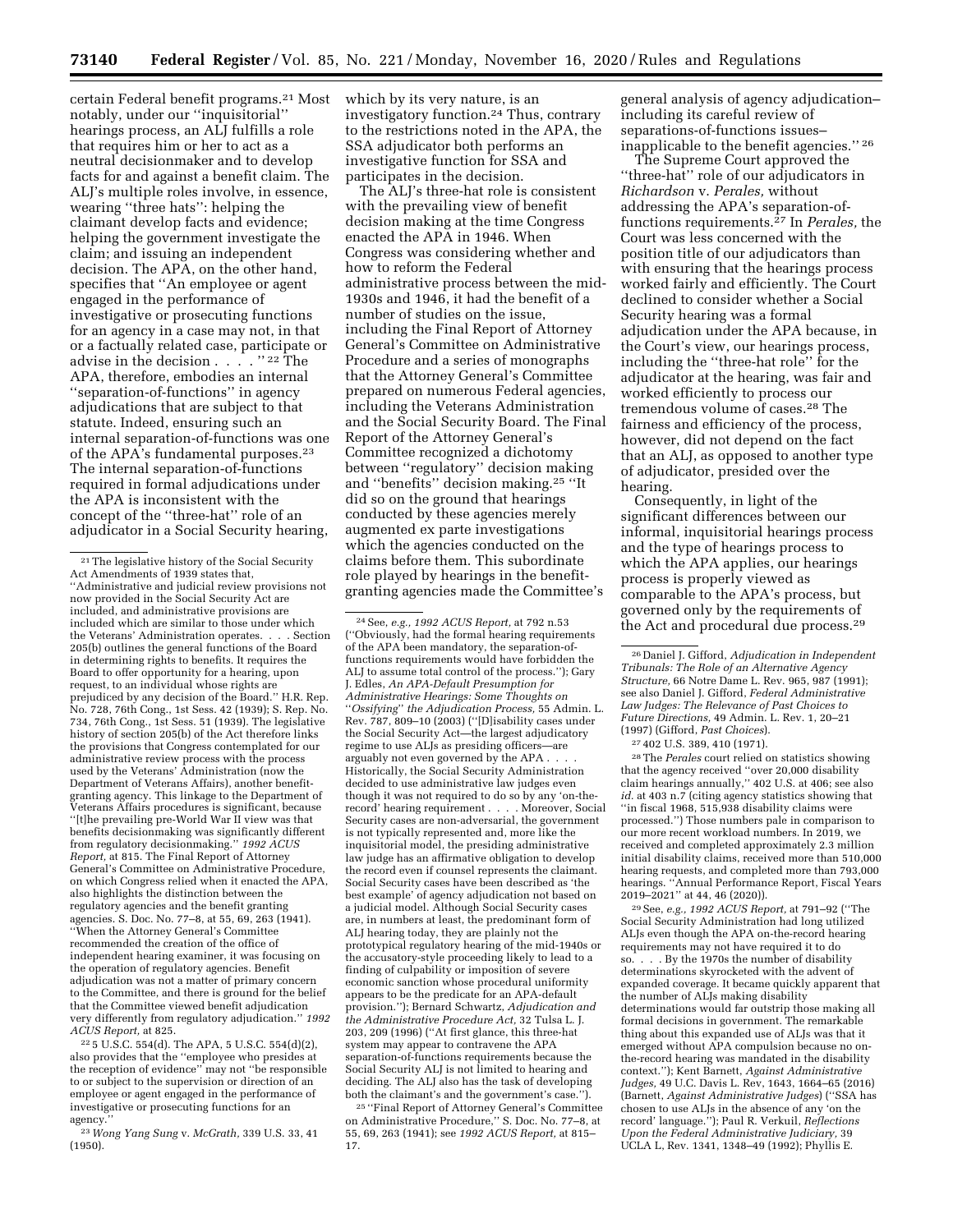certain Federal benefit programs.21 Most notably, under our ''inquisitorial'' hearings process, an ALJ fulfills a role that requires him or her to act as a neutral decisionmaker and to develop facts for and against a benefit claim. The ALJ's multiple roles involve, in essence, wearing ''three hats'': helping the claimant develop facts and evidence; helping the government investigate the claim; and issuing an independent decision. The APA, on the other hand, specifies that ''An employee or agent engaged in the performance of investigative or prosecuting functions for an agency in a case may not, in that or a factually related case, participate or advise in the decision . . . . '' 22 The APA, therefore, embodies an internal ''separation-of-functions'' in agency adjudications that are subject to that statute. Indeed, ensuring such an internal separation-of-functions was one of the APA's fundamental purposes.23 The internal separation-of-functions required in formal adjudications under the APA is inconsistent with the concept of the ''three-hat'' role of an adjudicator in a Social Security hearing,

22 5 U.S.C. 554(d). The APA, 5 U.S.C. 554(d)(2), also provides that the ''employee who presides at the reception of evidence'' may not ''be responsible to or subject to the supervision or direction of an employee or agent engaged in the performance of investigative or prosecuting functions for an agency.''

23*Wong Yang Sung* v. *McGrath,* 339 U.S. 33, 41 (1950).

which by its very nature, is an investigatory function.24 Thus, contrary to the restrictions noted in the APA, the SSA adjudicator both performs an investigative function for SSA and participates in the decision.

The ALJ's three-hat role is consistent with the prevailing view of benefit decision making at the time Congress enacted the APA in 1946. When Congress was considering whether and how to reform the Federal administrative process between the mid-1930s and 1946, it had the benefit of a number of studies on the issue, including the Final Report of Attorney General's Committee on Administrative Procedure and a series of monographs that the Attorney General's Committee prepared on numerous Federal agencies, including the Veterans Administration and the Social Security Board. The Final Report of the Attorney General's Committee recognized a dichotomy between ''regulatory'' decision making and ''benefits'' decision making.25 ''It did so on the ground that hearings conducted by these agencies merely augmented ex parte investigations which the agencies conducted on the claims before them. This subordinate role played by hearings in the benefitgranting agencies made the Committee's

24See, *e.g., 1992 ACUS Report,* at 792 n.53 (''Obviously, had the formal hearing requirements of the APA been mandatory, the separation-offunctions requirements would have forbidden the ALJ to assume total control of the process.''); Gary J. Edles, *An APA-Default Presumption for Administrative Hearings: Some Thoughts on*  ''*Ossifying*'' *the Adjudication Process,* 55 Admin. L. Rev. 787, 809–10 (2003) (''[D]isability cases under the Social Security Act—the largest adjudicatory regime to use ALJs as presiding officers—are arguably not even governed by the APA . . . . Historically, the Social Security Administration decided to use administrative law judges even though it was not required to do so by any 'on-therecord' hearing requirement . . . . Moreover, Social Security cases are non-adversarial, the government is not typically represented and, more like the inquisitorial model, the presiding administrative law judge has an affirmative obligation to develop the record even if counsel represents the claimant. Social Security cases have been described as 'the best example' of agency adjudication not based on a judicial model. Although Social Security cases are, in numbers at least, the predominant form of ALJ hearing today, they are plainly not the prototypical regulatory hearing of the mid-1940s or the accusatory-style proceeding likely to lead to a finding of culpability or imposition of severe economic sanction whose procedural uniformity appears to be the predicate for an APA-default provision.''); Bernard Schwartz, *Adjudication and the Administrative Procedure Act,* 32 Tulsa L. J. 203, 209 (1996) (''At first glance, this three-hat system may appear to contravene the APA separation-of-functions requirements because the Social Security ALJ is not limited to hearing and deciding. The ALJ also has the task of developing both the claimant's and the government's case.'').

25 ''Final Report of Attorney General's Committee on Administrative Procedure,'' S. Doc. No. 77–8, at 55, 69, 263 (1941); see *1992 ACUS Report,* at 815– 17.

general analysis of agency adjudication– including its careful review of separations-of-functions issues– inapplicable to the benefit agencies.'' 26

The Supreme Court approved the ''three-hat'' role of our adjudicators in *Richardson* v. *Perales,* without addressing the APA's separation-offunctions requirements.27 In *Perales,* the Court was less concerned with the position title of our adjudicators than with ensuring that the hearings process worked fairly and efficiently. The Court declined to consider whether a Social Security hearing was a formal adjudication under the APA because, in the Court's view, our hearings process, including the ''three-hat role'' for the adjudicator at the hearing, was fair and worked efficiently to process our tremendous volume of cases.28 The fairness and efficiency of the process, however, did not depend on the fact that an ALJ, as opposed to another type of adjudicator, presided over the hearing.

Consequently, in light of the significant differences between our informal, inquisitorial hearings process and the type of hearings process to which the APA applies, our hearings process is properly viewed as comparable to the APA's process, but governed only by the requirements of the Act and procedural due process.29

27 402 U.S. 389, 410 (1971).

28The *Perales* court relied on statistics showing that the agency received ''over 20,000 disability claim hearings annually,'' 402 U.S. at 406; see also *id.* at 403 n.7 (citing agency statistics showing that ''in fiscal 1968, 515,938 disability claims were processed.'') Those numbers pale in comparison to our more recent workload numbers. In 2019, we received and completed approximately 2.3 million initial disability claims, received more than 510,000 hearing requests, and completed more than 793,000 hearings. ''Annual Performance Report, Fiscal Years 2019–2021'' at 44, 46 (2020)).

29See, *e.g., 1992 ACUS Report,* at 791–92 (''The Social Security Administration had long utilized ALJs even though the APA on-the-record hearing requirements may not have required it to do so. . . . By the 1970s the number of disability determinations skyrocketed with the advent of expanded coverage. It became quickly apparent that the number of ALJs making disability determinations would far outstrip those making all formal decisions in government. The remarkable thing about this expanded use of ALJs was that it emerged without APA compulsion because no onthe-record hearing was mandated in the disability context.''); Kent Barnett, *Against Administrative Judges,* 49 U.C. Davis L. Rev, 1643, 1664–65 (2016) (Barnett, *Against Administrative Judges*) (''SSA has chosen to use ALJs in the absence of any 'on the record' language.''); Paul R. Verkuil, *Reflections Upon the Federal Administrative Judiciary,* 39 UCLA L, Rev. 1341, 1348–49 (1992); Phyllis E.

<sup>21</sup>The legislative history of the Social Security Act Amendments of 1939 states that, ''Administrative and judicial review provisions not now provided in the Social Security Act are included, and administrative provisions are included which are similar to those under which the Veterans' Administration operates. . . . Section 205(b) outlines the general functions of the Board in determining rights to benefits. It requires the Board to offer opportunity for a hearing, upon request, to an individual whose rights are prejudiced by any decision of the Board.'' H.R. Rep. No. 728, 76th Cong., 1st Sess. 42 (1939); S. Rep. No. 734, 76th Cong., 1st Sess. 51 (1939). The legislative history of section 205(b) of the Act therefore links the provisions that Congress contemplated for our administrative review process with the process used by the Veterans' Administration (now the Department of Veterans Affairs), another benefitgranting agency. This linkage to the Department of Veterans Affairs procedures is significant, because ''[t]he prevailing pre-World War II view was that benefits decisionmaking was significantly different from regulatory decisionmaking.'' *1992 ACUS Report,* at 815. The Final Report of Attorney General's Committee on Administrative Procedure, on which Congress relied when it enacted the APA, also highlights the distinction between the regulatory agencies and the benefit granting agencies. S. Doc. No. 77–8, at 55, 69, 263 (1941). ''When the Attorney General's Committee recommended the creation of the office of independent hearing examiner, it was focusing on the operation of regulatory agencies. Benefit adjudication was not a matter of primary concern to the Committee, and there is ground for the belief that the Committee viewed benefit adjudication very differently from regulatory adjudication.'' *1992 ACUS Report,* at 825.

<sup>26</sup> Daniel J. Gifford, *Adjudication in Independent Tribunals: The Role of an Alternative Agency Structure,* 66 Notre Dame L. Rev. 965, 987 (1991); see also Daniel J. Gifford, *Federal Administrative Law Judges: The Relevance of Past Choices to Future Directions,* 49 Admin. L. Rev. 1, 20–21 (1997) (Gifford, *Past Choices*).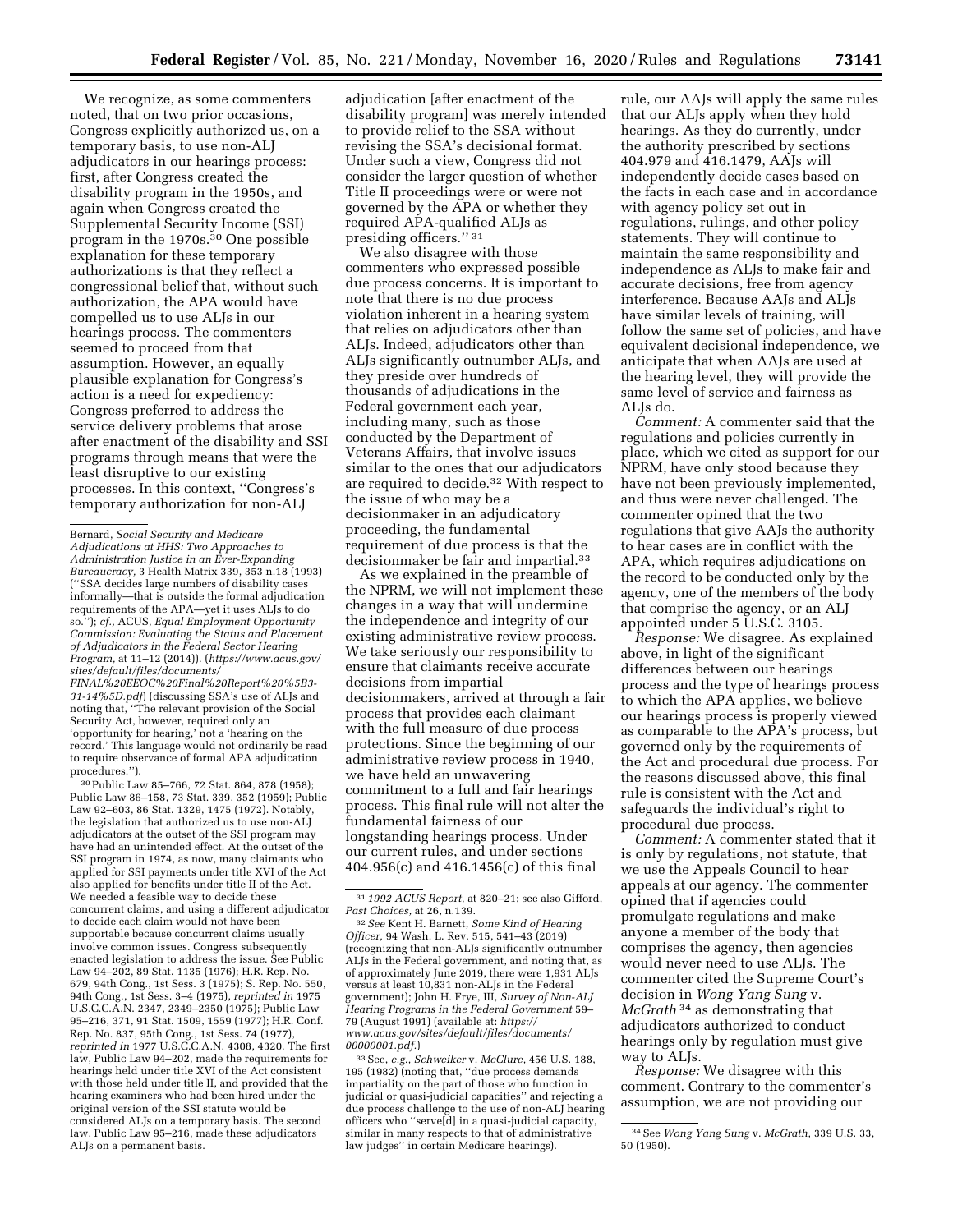We recognize, as some commenters noted, that on two prior occasions, Congress explicitly authorized us, on a temporary basis, to use non-ALJ adjudicators in our hearings process: first, after Congress created the disability program in the 1950s, and again when Congress created the Supplemental Security Income (SSI) program in the 1970s.30 One possible explanation for these temporary authorizations is that they reflect a congressional belief that, without such authorization, the APA would have compelled us to use ALJs in our hearings process. The commenters seemed to proceed from that assumption. However, an equally plausible explanation for Congress's action is a need for expediency: Congress preferred to address the service delivery problems that arose after enactment of the disability and SSI programs through means that were the least disruptive to our existing processes. In this context, ''Congress's temporary authorization for non-ALJ

*[FINAL%20EEOC%20Final%20Report%20%5B3-](https://www.acus.gov/sites/default/files/documents/FINAL%20EEOC%20Final%20Report%20%5B3-31-14%5D.pdf)  [31-14%5D.pdf](https://www.acus.gov/sites/default/files/documents/FINAL%20EEOC%20Final%20Report%20%5B3-31-14%5D.pdf)*) (discussing SSA's use of ALJs and noting that, ''The relevant provision of the Social Security Act, however, required only an 'opportunity for hearing,' not a 'hearing on the record.' This language would not ordinarily be read to require observance of formal APA adjudication procedures.'').

30Public Law 85–766, 72 Stat. 864, 878 (1958); Public Law 86–158, 73 Stat. 339, 352 (1959); Public Law 92–603, 86 Stat. 1329, 1475 (1972). Notably, the legislation that authorized us to use non-ALJ adjudicators at the outset of the SSI program may have had an unintended effect. At the outset of the SSI program in 1974, as now, many claimants who applied for SSI payments under title XVI of the Act also applied for benefits under title II of the Act. We needed a feasible way to decide these concurrent claims, and using a different adjudicator to decide each claim would not have been supportable because concurrent claims usually involve common issues. Congress subsequently enacted legislation to address the issue. See Public Law 94–202, 89 Stat. 1135 (1976); H.R. Rep. No. 679, 94th Cong., 1st Sess. 3 (1975); S. Rep. No. 550, 94th Cong., 1st Sess. 3–4 (1975), *reprinted in* 1975 U.S.C.C.A.N. 2347, 2349–2350 (1975); Public Law 95–216, 371, 91 Stat. 1509, 1559 (1977); H.R. Conf. Rep. No. 837, 95th Cong., 1st Sess. 74 (1977), *reprinted in* 1977 U.S.C.C.A.N. 4308, 4320. The first law, Public Law 94–202, made the requirements for hearings held under title XVI of the Act consistent with those held under title II, and provided that the hearing examiners who had been hired under the original version of the SSI statute would be considered ALJs on a temporary basis. The second law, Public Law 95–216, made these adjudicators ALJs on a permanent basis.

adjudication [after enactment of the disability program] was merely intended to provide relief to the SSA without revising the SSA's decisional format. Under such a view, Congress did not consider the larger question of whether Title II proceedings were or were not governed by the APA or whether they required APA-qualified ALJs as presiding officers.'' 31

We also disagree with those commenters who expressed possible due process concerns. It is important to note that there is no due process violation inherent in a hearing system that relies on adjudicators other than ALJs. Indeed, adjudicators other than ALJs significantly outnumber ALJs, and they preside over hundreds of thousands of adjudications in the Federal government each year, including many, such as those conducted by the Department of Veterans Affairs, that involve issues similar to the ones that our adjudicators are required to decide.32 With respect to the issue of who may be a decisionmaker in an adjudicatory proceeding, the fundamental requirement of due process is that the decisionmaker be fair and impartial.33

As we explained in the preamble of the NPRM, we will not implement these changes in a way that will undermine the independence and integrity of our existing administrative review process. We take seriously our responsibility to ensure that claimants receive accurate decisions from impartial decisionmakers, arrived at through a fair process that provides each claimant with the full measure of due process protections. Since the beginning of our administrative review process in 1940, we have held an unwavering commitment to a full and fair hearings process. This final rule will not alter the fundamental fairness of our longstanding hearings process. Under our current rules, and under sections 404.956(c) and 416.1456(c) of this final

*Past Choices,* at 26, n.139. 32*See* Kent H. Barnett, *Some Kind of Hearing Officer,* 94 Wash. L. Rev. 515, 541–43 (2019) (recognizing that non-ALJs significantly outnumber ALJs in the Federal government, and noting that, as of approximately June 2019, there were 1,931 ALJs versus at least 10,831 non-ALJs in the Federal government); John H. Frye, III, *Survey of Non-ALJ Hearing Programs in the Federal Government* 59– 79 (August 1991) (available at: *[https://](https://www.acus.gov/sites/default/files/documents/00000001.pdf) [www.acus.gov/sites/default/files/documents/](https://www.acus.gov/sites/default/files/documents/00000001.pdf) [00000001.pdf.](https://www.acus.gov/sites/default/files/documents/00000001.pdf)*)

33See, *e.g., Schweiker* v. *McClure,* 456 U.S. 188, 195 (1982) (noting that, ''due process demands impartiality on the part of those who function in judicial or quasi-judicial capacities'' and rejecting a due process challenge to the use of non-ALJ hearing officers who ''serve[d] in a quasi-judicial capacity, similar in many respects to that of administrative law judges'' in certain Medicare hearings).

rule, our AAJs will apply the same rules that our ALJs apply when they hold hearings. As they do currently, under the authority prescribed by sections 404.979 and 416.1479, AAJs will independently decide cases based on the facts in each case and in accordance with agency policy set out in regulations, rulings, and other policy statements. They will continue to maintain the same responsibility and independence as ALJs to make fair and accurate decisions, free from agency interference. Because AAJs and ALJs have similar levels of training, will follow the same set of policies, and have equivalent decisional independence, we anticipate that when AAJs are used at the hearing level, they will provide the same level of service and fairness as ALJs do.

*Comment:* A commenter said that the regulations and policies currently in place, which we cited as support for our NPRM, have only stood because they have not been previously implemented, and thus were never challenged. The commenter opined that the two regulations that give AAJs the authority to hear cases are in conflict with the APA, which requires adjudications on the record to be conducted only by the agency, one of the members of the body that comprise the agency, or an ALJ appointed under 5 U.S.C. 3105.

*Response:* We disagree. As explained above, in light of the significant differences between our hearings process and the type of hearings process to which the APA applies, we believe our hearings process is properly viewed as comparable to the APA's process, but governed only by the requirements of the Act and procedural due process. For the reasons discussed above, this final rule is consistent with the Act and safeguards the individual's right to procedural due process.

*Comment:* A commenter stated that it is only by regulations, not statute, that we use the Appeals Council to hear appeals at our agency. The commenter opined that if agencies could promulgate regulations and make anyone a member of the body that comprises the agency, then agencies would never need to use ALJs. The commenter cited the Supreme Court's decision in *Wong Yang Sung* v. *McGrath* 34 as demonstrating that adjudicators authorized to conduct hearings only by regulation must give way to ALJs.

*Response:* We disagree with this comment. Contrary to the commenter's assumption, we are not providing our

Bernard, *Social Security and Medicare Adjudications at HHS: Two Approaches to Administration Justice in an Ever-Expanding Bureaucracy,* 3 Health Matrix 339, 353 n.18 (1993) (''SSA decides large numbers of disability cases informally—that is outside the formal adjudication requirements of the APA—yet it uses ALJs to do so.''); *cf.,* ACUS, *Equal Employment Opportunity Commission: Evaluating the Status and Placement of Adjudicators in the Federal Sector Hearing Program,* at 11–12 (2014)). (*[https://www.acus.gov/](https://www.acus.gov/sites/default/files/documents/FINAL%20EEOC%20Final%20Report%20%5B3-31-14%5D.pdf) [sites/default/files/documents/](https://www.acus.gov/sites/default/files/documents/FINAL%20EEOC%20Final%20Report%20%5B3-31-14%5D.pdf)* 

<sup>31</sup> *1992 ACUS Report,* at 820–21; see also Gifford,

<sup>34</sup>See *Wong Yang Sung* v. *McGrath,* 339 U.S. 33, 50 (1950).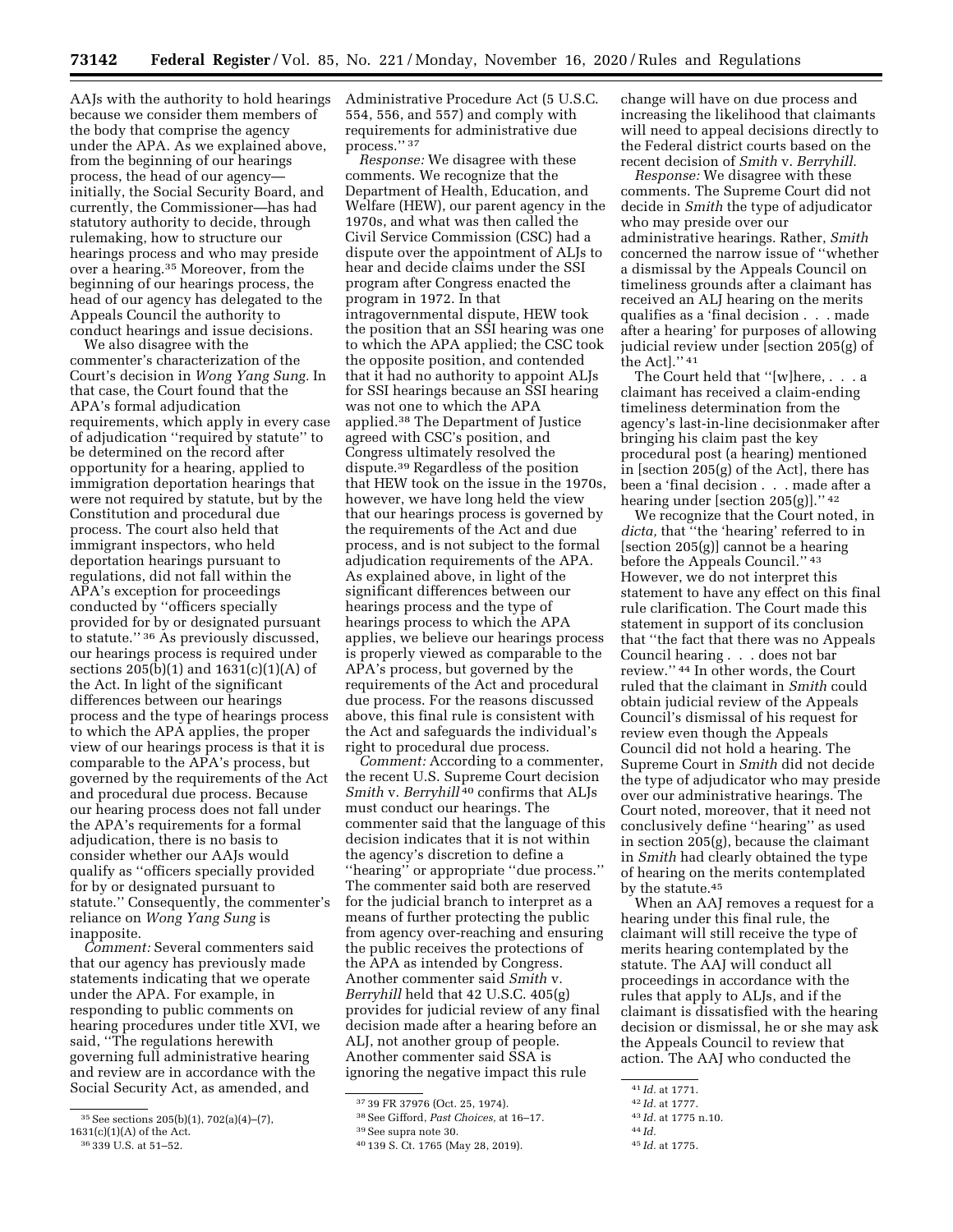program in 1972. In that

process.'' 37

Administrative Procedure Act (5 U.S.C. 554, 556, and 557) and comply with requirements for administrative due

*Response:* We disagree with these comments. We recognize that the Department of Health, Education, and Welfare (HEW), our parent agency in the 1970s, and what was then called the Civil Service Commission (CSC) had a dispute over the appointment of ALJs to hear and decide claims under the SSI program after Congress enacted the

intragovernmental dispute, HEW took the position that an SSI hearing was one to which the APA applied; the CSC took the opposite position, and contended that it had no authority to appoint ALJs for SSI hearings because an SSI hearing

was not one to which the APA applied.38 The Department of Justice agreed with CSC's position, and Congress ultimately resolved the dispute.39 Regardless of the position that HEW took on the issue in the 1970s, however, we have long held the view that our hearings process is governed by

AAJs with the authority to hold hearings because we consider them members of the body that comprise the agency under the APA. As we explained above, from the beginning of our hearings process, the head of our agency initially, the Social Security Board, and currently, the Commissioner—has had statutory authority to decide, through rulemaking, how to structure our hearings process and who may preside over a hearing.35 Moreover, from the beginning of our hearings process, the head of our agency has delegated to the Appeals Council the authority to conduct hearings and issue decisions.

We also disagree with the commenter's characterization of the Court's decision in *Wong Yang Sung.* In that case, the Court found that the APA's formal adjudication requirements, which apply in every case of adjudication ''required by statute'' to be determined on the record after opportunity for a hearing, applied to immigration deportation hearings that were not required by statute, but by the Constitution and procedural due process. The court also held that immigrant inspectors, who held deportation hearings pursuant to regulations, did not fall within the APA's exception for proceedings conducted by ''officers specially provided for by or designated pursuant to statute.'' 36 As previously discussed, our hearings process is required under sections 205(b)(1) and 1631(c)(1)(A) of the Act. In light of the significant differences between our hearings process and the type of hearings process to which the APA applies, the proper view of our hearings process is that it is comparable to the APA's process, but governed by the requirements of the Act and procedural due process. Because our hearing process does not fall under the APA's requirements for a formal adjudication, there is no basis to consider whether our AAJs would qualify as ''officers specially provided for by or designated pursuant to statute.'' Consequently, the commenter's reliance on *Wong Yang Sung* is inapposite.

*Comment:* Several commenters said that our agency has previously made statements indicating that we operate under the APA. For example, in responding to public comments on hearing procedures under title XVI, we said, ''The regulations herewith governing full administrative hearing and review are in accordance with the Social Security Act, as amended, and

the requirements of the Act and due process, and is not subject to the formal adjudication requirements of the APA. As explained above, in light of the significant differences between our hearings process and the type of hearings process to which the APA applies, we believe our hearings process is properly viewed as comparable to the APA's process, but governed by the requirements of the Act and procedural

due process. For the reasons discussed above, this final rule is consistent with the Act and safeguards the individual's right to procedural due process. *Comment:* According to a commenter, the recent U.S. Supreme Court decision

*Smith* v. *Berryhill* 40 confirms that ALJs must conduct our hearings. The commenter said that the language of this decision indicates that it is not within the agency's discretion to define a ''hearing'' or appropriate ''due process.'' The commenter said both are reserved for the judicial branch to interpret as a means of further protecting the public from agency over-reaching and ensuring the public receives the protections of the APA as intended by Congress. Another commenter said *Smith* v. *Berryhill* held that 42 U.S.C. 405(g) provides for judicial review of any final decision made after a hearing before an ALJ, not another group of people. Another commenter said SSA is ignoring the negative impact this rule

change will have on due process and increasing the likelihood that claimants will need to appeal decisions directly to the Federal district courts based on the recent decision of *Smith* v. *Berryhill.* 

*Response:* We disagree with these comments. The Supreme Court did not decide in *Smith* the type of adjudicator who may preside over our administrative hearings. Rather, *Smith*  concerned the narrow issue of ''whether a dismissal by the Appeals Council on timeliness grounds after a claimant has received an ALJ hearing on the merits qualifies as a 'final decision . . . made after a hearing' for purposes of allowing judicial review under [section 205(g) of the Act].'' 41

The Court held that ''[w]here, . . . a claimant has received a claim-ending timeliness determination from the agency's last-in-line decisionmaker after bringing his claim past the key procedural post (a hearing) mentioned in [section 205(g) of the Act], there has been a 'final decision . . . made after a hearing under [section 205(g)].'' 42

We recognize that the Court noted, in *dicta,* that ''the 'hearing' referred to in [section 205(g)] cannot be a hearing before the Appeals Council.'' 43 However, we do not interpret this statement to have any effect on this final rule clarification. The Court made this statement in support of its conclusion that ''the fact that there was no Appeals Council hearing . . . does not bar review.'' 44 In other words, the Court ruled that the claimant in *Smith* could obtain judicial review of the Appeals Council's dismissal of his request for review even though the Appeals Council did not hold a hearing. The Supreme Court in *Smith* did not decide the type of adjudicator who may preside over our administrative hearings. The Court noted, moreover, that it need not conclusively define ''hearing'' as used in section 205(g), because the claimant in *Smith* had clearly obtained the type of hearing on the merits contemplated by the statute.45

When an AAJ removes a request for a hearing under this final rule, the claimant will still receive the type of merits hearing contemplated by the statute. The AAJ will conduct all proceedings in accordance with the rules that apply to ALJs, and if the claimant is dissatisfied with the hearing decision or dismissal, he or she may ask the Appeals Council to review that action. The AAJ who conducted the

<sup>35</sup>See sections 205(b)(1), 702(a)(4)–(7),

 $1631(c)(1)(A)$  of the Act. 36 339 U.S. at 51–52.

<sup>37</sup> 39 FR 37976 (Oct. 25, 1974).

<sup>38</sup>See Gifford, *Past Choices,* at 16–17.

<sup>39</sup>See supra note 30.

<sup>40</sup> 139 S. Ct. 1765 (May 28, 2019).

<sup>41</sup> *Id.* at 1771.

<sup>42</sup> *Id.* at 1777.

<sup>43</sup> *Id.* at 1775 n.10.

<sup>44</sup> *Id.*  45 *Id.* at 1775.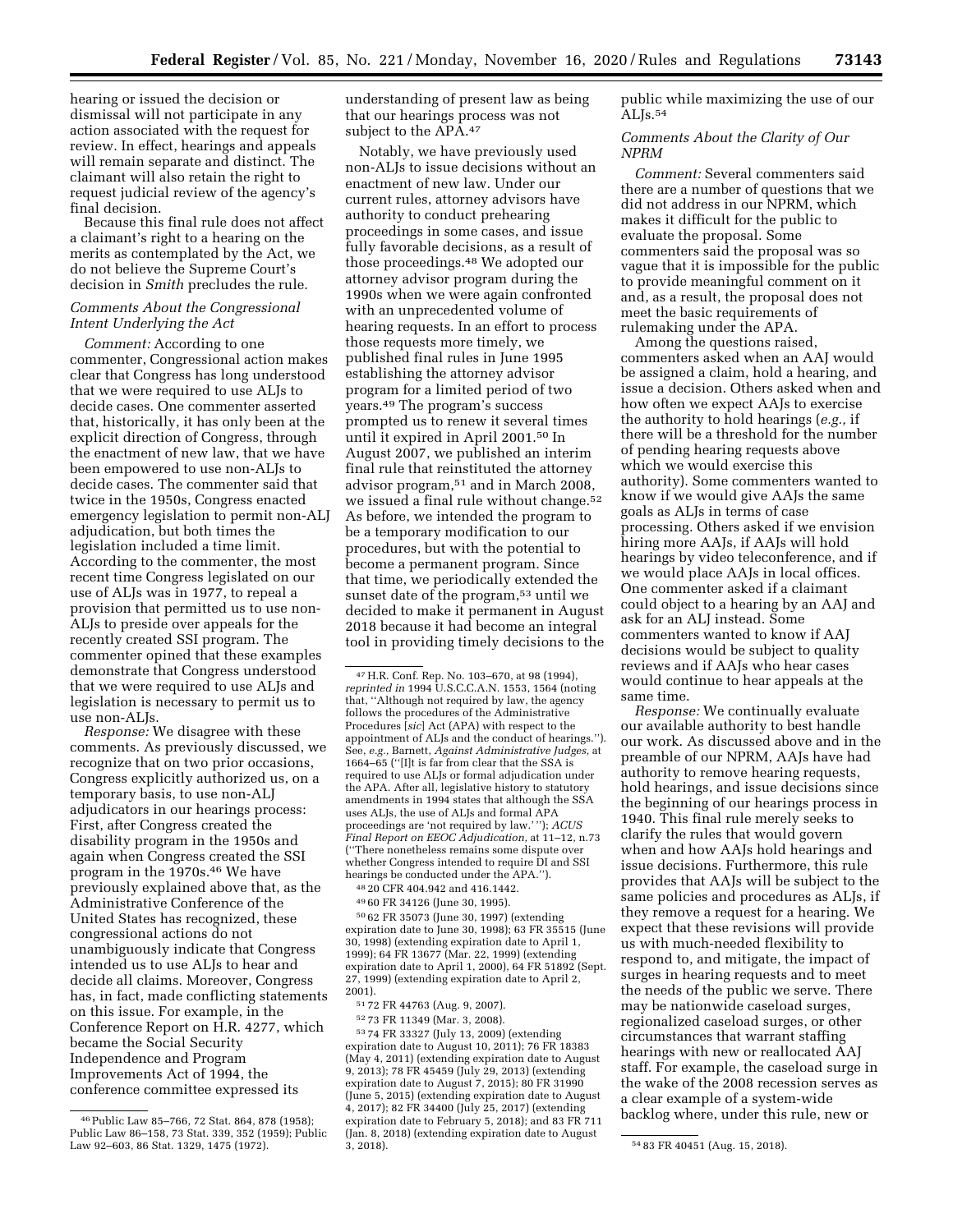hearing or issued the decision or dismissal will not participate in any action associated with the request for review. In effect, hearings and appeals will remain separate and distinct. The claimant will also retain the right to request judicial review of the agency's final decision.

Because this final rule does not affect a claimant's right to a hearing on the merits as contemplated by the Act, we do not believe the Supreme Court's decision in *Smith* precludes the rule.

# *Comments About the Congressional Intent Underlying the Act*

*Comment:* According to one commenter, Congressional action makes clear that Congress has long understood that we were required to use ALJs to decide cases. One commenter asserted that, historically, it has only been at the explicit direction of Congress, through the enactment of new law, that we have been empowered to use non-ALJs to decide cases. The commenter said that twice in the 1950s, Congress enacted emergency legislation to permit non-ALJ adjudication, but both times the legislation included a time limit. According to the commenter, the most recent time Congress legislated on our use of ALJs was in 1977, to repeal a provision that permitted us to use non-ALJs to preside over appeals for the recently created SSI program. The commenter opined that these examples demonstrate that Congress understood that we were required to use ALJs and legislation is necessary to permit us to use non-ALJs.

*Response:* We disagree with these comments. As previously discussed, we recognize that on two prior occasions, Congress explicitly authorized us, on a temporary basis, to use non-ALJ adjudicators in our hearings process: First, after Congress created the disability program in the 1950s and again when Congress created the SSI program in the 1970s.46 We have previously explained above that, as the Administrative Conference of the United States has recognized, these congressional actions do not unambiguously indicate that Congress intended us to use ALJs to hear and decide all claims. Moreover, Congress has, in fact, made conflicting statements on this issue. For example, in the Conference Report on H.R. 4277, which became the Social Security Independence and Program Improvements Act of 1994, the conference committee expressed its

understanding of present law as being that our hearings process was not subject to the APA.47

Notably, we have previously used non-ALJs to issue decisions without an enactment of new law. Under our current rules, attorney advisors have authority to conduct prehearing proceedings in some cases, and issue fully favorable decisions, as a result of those proceedings.48 We adopted our attorney advisor program during the 1990s when we were again confronted with an unprecedented volume of hearing requests. In an effort to process those requests more timely, we published final rules in June 1995 establishing the attorney advisor program for a limited period of two years.49 The program's success prompted us to renew it several times until it expired in April 2001.50 In August 2007, we published an interim final rule that reinstituted the attorney advisor program,51 and in March 2008, we issued a final rule without change.52 As before, we intended the program to be a temporary modification to our procedures, but with the potential to become a permanent program. Since that time, we periodically extended the sunset date of the program,<sup>53</sup> until we decided to make it permanent in August 2018 because it had become an integral tool in providing timely decisions to the

47H.R. Conf. Rep. No. 103–670, at 98 (1994), *reprinted in* 1994 U.S.C.C.A.N. 1553, 1564 (noting that, ''Although not required by law, the agency follows the procedures of the Administrative Procedures [*sic*] Act (APA) with respect to the appointment of ALJs and the conduct of hearings.''). See, *e.g.,* Barnett, *Against Administrative Judges,* at 1664–65 (''[I]t is far from clear that the SSA is required to use ALJs or formal adjudication under the APA. After all, legislative history to statutory amendments in 1994 states that although the SSA uses ALJs, the use of ALJs and formal APA proceedings are 'not required by law.' ''); *ACUS Final Report on EEOC Adjudication,* at 11–12, n.73 (''There nonetheless remains some dispute over whether Congress intended to require DI and SSI hearings be conducted under the APA.''). 48 20 CFR 404.942 and 416.1442.

49 60 FR 34126 (June 30, 1995).

50 62 FR 35073 (June 30, 1997) (extending expiration date to June 30, 1998); 63 FR 35515 (June 30, 1998) (extending expiration date to April 1, 1999); 64 FR 13677 (Mar. 22, 1999) (extending expiration date to April 1, 2000), 64 FR 51892 (Sept. 27, 1999) (extending expiration date to April 2, 2001).

51 72 FR 44763 (Aug. 9, 2007).

52 73 FR 11349 (Mar. 3, 2008).

53 74 FR 33327 (July 13, 2009) (extending expiration date to August 10, 2011); 76 FR 18383 (May 4, 2011) (extending expiration date to August 9, 2013); 78 FR 45459 (July 29, 2013) (extending expiration date to August 7, 2015); 80 FR 31990 (June 5, 2015) (extending expiration date to August 4, 2017); 82 FR 34400 (July 25, 2017) (extending expiration date to February 5, 2018); and 83 FR 711 (Jan. 8, 2018) (extending expiration date to August

public while maximizing the use of our ALJs.54

# *Comments About the Clarity of Our NPRM*

*Comment:* Several commenters said there are a number of questions that we did not address in our NPRM, which makes it difficult for the public to evaluate the proposal. Some commenters said the proposal was so vague that it is impossible for the public to provide meaningful comment on it and, as a result, the proposal does not meet the basic requirements of rulemaking under the APA.

Among the questions raised, commenters asked when an AAJ would be assigned a claim, hold a hearing, and issue a decision. Others asked when and how often we expect AAJs to exercise the authority to hold hearings (*e.g.,* if there will be a threshold for the number of pending hearing requests above which we would exercise this authority). Some commenters wanted to know if we would give AAJs the same goals as ALJs in terms of case processing. Others asked if we envision hiring more AAJs, if AAJs will hold hearings by video teleconference, and if we would place AAJs in local offices. One commenter asked if a claimant could object to a hearing by an AAJ and ask for an ALJ instead. Some commenters wanted to know if AAJ decisions would be subject to quality reviews and if AAJs who hear cases would continue to hear appeals at the same time.

*Response:* We continually evaluate our available authority to best handle our work. As discussed above and in the preamble of our NPRM, AAJs have had authority to remove hearing requests, hold hearings, and issue decisions since the beginning of our hearings process in 1940. This final rule merely seeks to clarify the rules that would govern when and how AAJs hold hearings and issue decisions. Furthermore, this rule provides that AAJs will be subject to the same policies and procedures as ALJs, if they remove a request for a hearing. We expect that these revisions will provide us with much-needed flexibility to respond to, and mitigate, the impact of surges in hearing requests and to meet the needs of the public we serve. There may be nationwide caseload surges, regionalized caseload surges, or other circumstances that warrant staffing hearings with new or reallocated AAJ staff. For example, the caseload surge in the wake of the 2008 recession serves as a clear example of a system-wide backlog where, under this rule, new or

<sup>46</sup>Public Law 85–766, 72 Stat. 864, 878 (1958); Public Law 86–158, 73 Stat. 339, 352 (1959); Public Law 92–603, 86 Stat. 1329, 1475 (1972).

<sup>3, 2018). 54</sup> 83 FR 40451 (Aug. 15, 2018).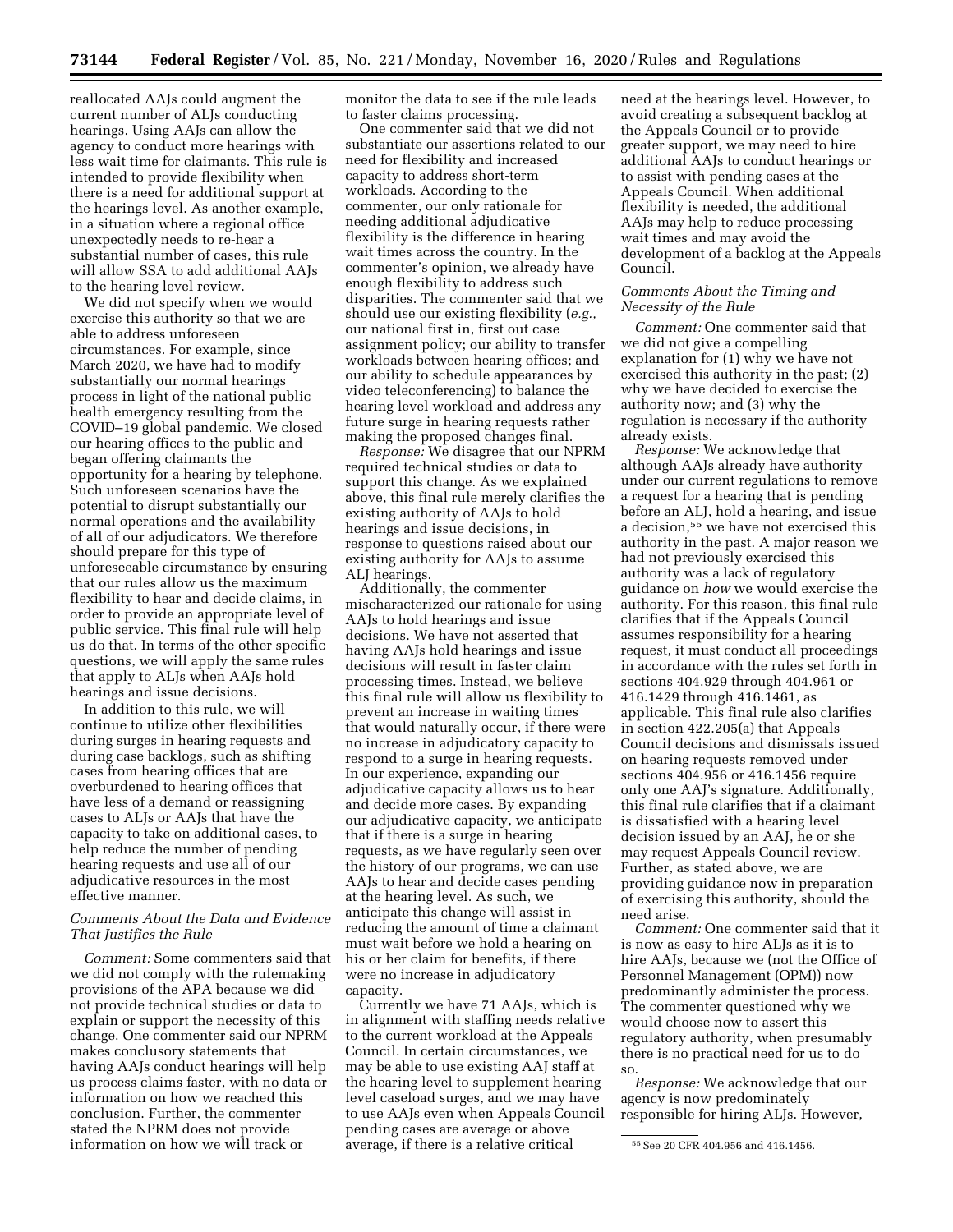reallocated AAJs could augment the current number of ALJs conducting hearings. Using AAJs can allow the agency to conduct more hearings with less wait time for claimants. This rule is intended to provide flexibility when there is a need for additional support at the hearings level. As another example, in a situation where a regional office unexpectedly needs to re-hear a substantial number of cases, this rule will allow SSA to add additional AAJs to the hearing level review.

We did not specify when we would exercise this authority so that we are able to address unforeseen circumstances. For example, since March 2020, we have had to modify substantially our normal hearings process in light of the national public health emergency resulting from the COVID–19 global pandemic. We closed our hearing offices to the public and began offering claimants the opportunity for a hearing by telephone. Such unforeseen scenarios have the potential to disrupt substantially our normal operations and the availability of all of our adjudicators. We therefore should prepare for this type of unforeseeable circumstance by ensuring that our rules allow us the maximum flexibility to hear and decide claims, in order to provide an appropriate level of public service. This final rule will help us do that. In terms of the other specific questions, we will apply the same rules that apply to ALJs when AAJs hold hearings and issue decisions.

In addition to this rule, we will continue to utilize other flexibilities during surges in hearing requests and during case backlogs, such as shifting cases from hearing offices that are overburdened to hearing offices that have less of a demand or reassigning cases to ALJs or AAJs that have the capacity to take on additional cases, to help reduce the number of pending hearing requests and use all of our adjudicative resources in the most effective manner.

# *Comments About the Data and Evidence That Justifies the Rule*

*Comment:* Some commenters said that we did not comply with the rulemaking provisions of the APA because we did not provide technical studies or data to explain or support the necessity of this change. One commenter said our NPRM makes conclusory statements that having AAJs conduct hearings will help us process claims faster, with no data or information on how we reached this conclusion. Further, the commenter stated the NPRM does not provide information on how we will track or

monitor the data to see if the rule leads to faster claims processing.

One commenter said that we did not substantiate our assertions related to our need for flexibility and increased capacity to address short-term workloads. According to the commenter, our only rationale for needing additional adjudicative flexibility is the difference in hearing wait times across the country. In the commenter's opinion, we already have enough flexibility to address such disparities. The commenter said that we should use our existing flexibility (*e.g.,*  our national first in, first out case assignment policy; our ability to transfer workloads between hearing offices; and our ability to schedule appearances by video teleconferencing) to balance the hearing level workload and address any future surge in hearing requests rather making the proposed changes final.

*Response:* We disagree that our NPRM required technical studies or data to support this change. As we explained above, this final rule merely clarifies the existing authority of AAJs to hold hearings and issue decisions, in response to questions raised about our existing authority for AAJs to assume ALJ hearings.

Additionally, the commenter mischaracterized our rationale for using AAJs to hold hearings and issue decisions. We have not asserted that having AAJs hold hearings and issue decisions will result in faster claim processing times. Instead, we believe this final rule will allow us flexibility to prevent an increase in waiting times that would naturally occur, if there were no increase in adjudicatory capacity to respond to a surge in hearing requests. In our experience, expanding our adjudicative capacity allows us to hear and decide more cases. By expanding our adjudicative capacity, we anticipate that if there is a surge in hearing requests, as we have regularly seen over the history of our programs, we can use AAJs to hear and decide cases pending at the hearing level. As such, we anticipate this change will assist in reducing the amount of time a claimant must wait before we hold a hearing on his or her claim for benefits, if there were no increase in adjudicatory capacity.

Currently we have 71 AAJs, which is in alignment with staffing needs relative to the current workload at the Appeals Council. In certain circumstances, we may be able to use existing AAJ staff at the hearing level to supplement hearing level caseload surges, and we may have to use AAJs even when Appeals Council pending cases are average or above average, if there is a relative critical

need at the hearings level. However, to avoid creating a subsequent backlog at the Appeals Council or to provide greater support, we may need to hire additional AAJs to conduct hearings or to assist with pending cases at the Appeals Council. When additional flexibility is needed, the additional AAJs may help to reduce processing wait times and may avoid the development of a backlog at the Appeals Council.

## *Comments About the Timing and Necessity of the Rule*

*Comment:* One commenter said that we did not give a compelling explanation for (1) why we have not exercised this authority in the past; (2) why we have decided to exercise the authority now; and (3) why the regulation is necessary if the authority already exists.

*Response:* We acknowledge that although AAJs already have authority under our current regulations to remove a request for a hearing that is pending before an ALJ, hold a hearing, and issue a decision,55 we have not exercised this authority in the past. A major reason we had not previously exercised this authority was a lack of regulatory guidance on *how* we would exercise the authority. For this reason, this final rule clarifies that if the Appeals Council assumes responsibility for a hearing request, it must conduct all proceedings in accordance with the rules set forth in sections 404.929 through 404.961 or 416.1429 through 416.1461, as applicable. This final rule also clarifies in section 422.205(a) that Appeals Council decisions and dismissals issued on hearing requests removed under sections 404.956 or 416.1456 require only one AAJ's signature. Additionally, this final rule clarifies that if a claimant is dissatisfied with a hearing level decision issued by an AAJ, he or she may request Appeals Council review. Further, as stated above, we are providing guidance now in preparation of exercising this authority, should the need arise.

*Comment:* One commenter said that it is now as easy to hire ALJs as it is to hire AAJs, because we (not the Office of Personnel Management (OPM)) now predominantly administer the process. The commenter questioned why we would choose now to assert this regulatory authority, when presumably there is no practical need for us to do so.

*Response:* We acknowledge that our agency is now predominately responsible for hiring ALJs. However,

<sup>55</sup>See 20 CFR 404.956 and 416.1456.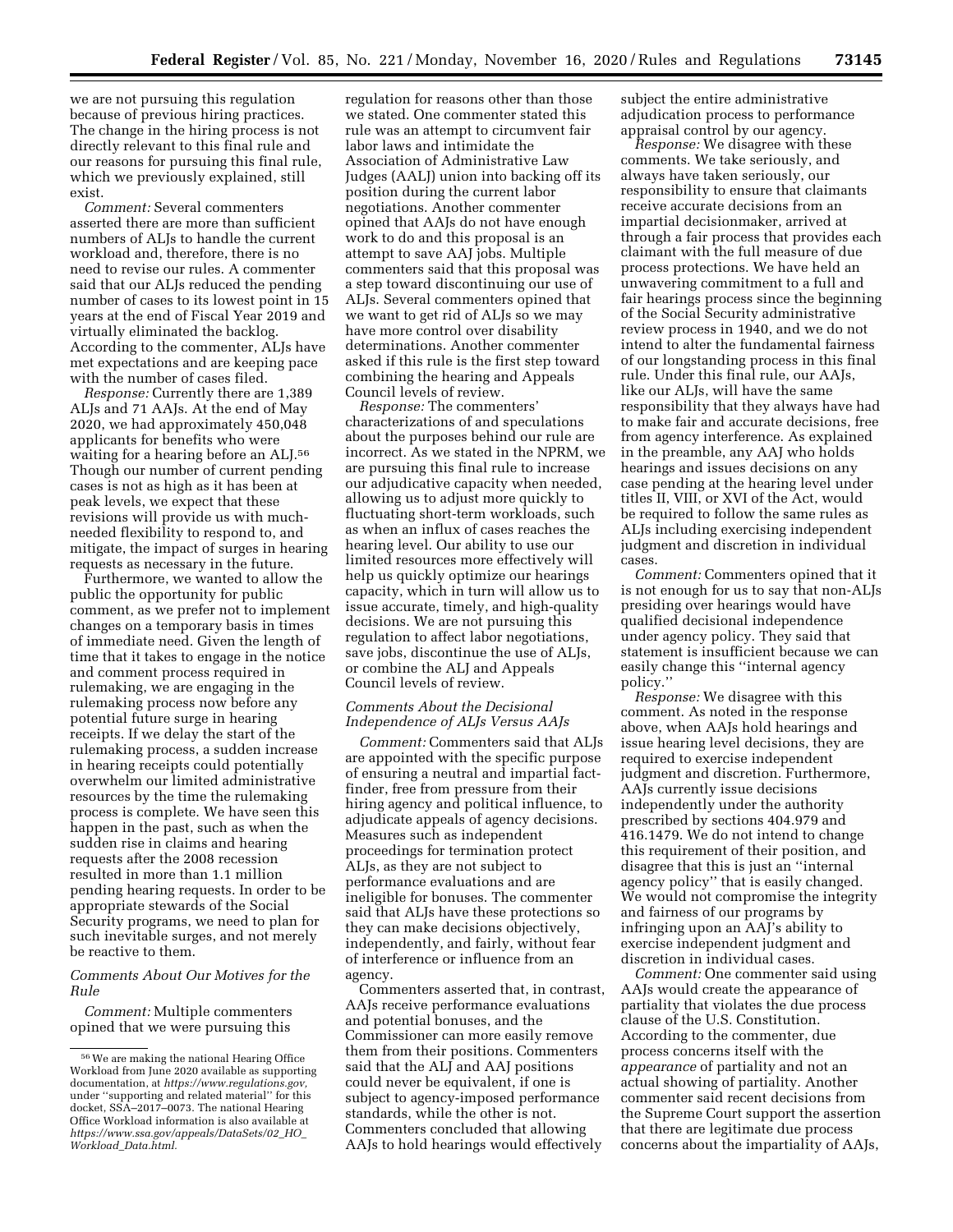we are not pursuing this regulation because of previous hiring practices. The change in the hiring process is not directly relevant to this final rule and our reasons for pursuing this final rule, which we previously explained, still exist.

*Comment:* Several commenters asserted there are more than sufficient numbers of ALJs to handle the current workload and, therefore, there is no need to revise our rules. A commenter said that our ALJs reduced the pending number of cases to its lowest point in 15 years at the end of Fiscal Year 2019 and virtually eliminated the backlog. According to the commenter, ALJs have met expectations and are keeping pace with the number of cases filed.

*Response:* Currently there are 1,389 ALJs and 71 AAJs. At the end of May 2020, we had approximately 450,048 applicants for benefits who were waiting for a hearing before an ALJ.56 Though our number of current pending cases is not as high as it has been at peak levels, we expect that these revisions will provide us with muchneeded flexibility to respond to, and mitigate, the impact of surges in hearing requests as necessary in the future.

Furthermore, we wanted to allow the public the opportunity for public comment, as we prefer not to implement changes on a temporary basis in times of immediate need. Given the length of time that it takes to engage in the notice and comment process required in rulemaking, we are engaging in the rulemaking process now before any potential future surge in hearing receipts. If we delay the start of the rulemaking process, a sudden increase in hearing receipts could potentially overwhelm our limited administrative resources by the time the rulemaking process is complete. We have seen this happen in the past, such as when the sudden rise in claims and hearing requests after the 2008 recession resulted in more than 1.1 million pending hearing requests. In order to be appropriate stewards of the Social Security programs, we need to plan for such inevitable surges, and not merely be reactive to them.

# *Comments About Our Motives for the Rule*

*Comment:* Multiple commenters opined that we were pursuing this

regulation for reasons other than those we stated. One commenter stated this rule was an attempt to circumvent fair labor laws and intimidate the Association of Administrative Law Judges (AALJ) union into backing off its position during the current labor negotiations. Another commenter opined that AAJs do not have enough work to do and this proposal is an attempt to save AAJ jobs. Multiple commenters said that this proposal was a step toward discontinuing our use of ALJs. Several commenters opined that we want to get rid of ALJs so we may have more control over disability determinations. Another commenter asked if this rule is the first step toward combining the hearing and Appeals Council levels of review.

*Response:* The commenters' characterizations of and speculations about the purposes behind our rule are incorrect. As we stated in the NPRM, we are pursuing this final rule to increase our adjudicative capacity when needed, allowing us to adjust more quickly to fluctuating short-term workloads, such as when an influx of cases reaches the hearing level. Our ability to use our limited resources more effectively will help us quickly optimize our hearings capacity, which in turn will allow us to issue accurate, timely, and high-quality decisions. We are not pursuing this regulation to affect labor negotiations, save jobs, discontinue the use of ALJs, or combine the ALJ and Appeals Council levels of review.

# *Comments About the Decisional Independence of ALJs Versus AAJs*

*Comment:* Commenters said that ALJs are appointed with the specific purpose of ensuring a neutral and impartial factfinder, free from pressure from their hiring agency and political influence, to adjudicate appeals of agency decisions. Measures such as independent proceedings for termination protect ALJs, as they are not subject to performance evaluations and are ineligible for bonuses. The commenter said that ALJs have these protections so they can make decisions objectively, independently, and fairly, without fear of interference or influence from an agency.

Commenters asserted that, in contrast, AAJs receive performance evaluations and potential bonuses, and the Commissioner can more easily remove them from their positions. Commenters said that the ALJ and AAJ positions could never be equivalent, if one is subject to agency-imposed performance standards, while the other is not. Commenters concluded that allowing AAJs to hold hearings would effectively

subject the entire administrative adjudication process to performance appraisal control by our agency.

*Response:* We disagree with these comments. We take seriously, and always have taken seriously, our responsibility to ensure that claimants receive accurate decisions from an impartial decisionmaker, arrived at through a fair process that provides each claimant with the full measure of due process protections. We have held an unwavering commitment to a full and fair hearings process since the beginning of the Social Security administrative review process in 1940, and we do not intend to alter the fundamental fairness of our longstanding process in this final rule. Under this final rule, our AAJs, like our ALJs, will have the same responsibility that they always have had to make fair and accurate decisions, free from agency interference. As explained in the preamble, any AAJ who holds hearings and issues decisions on any case pending at the hearing level under titles II, VIII, or XVI of the Act, would be required to follow the same rules as ALJs including exercising independent judgment and discretion in individual cases.

*Comment:* Commenters opined that it is not enough for us to say that non-ALJs presiding over hearings would have qualified decisional independence under agency policy. They said that statement is insufficient because we can easily change this ''internal agency policy.'

*Response:* We disagree with this comment. As noted in the response above, when AAJs hold hearings and issue hearing level decisions, they are required to exercise independent judgment and discretion. Furthermore, AAJs currently issue decisions independently under the authority prescribed by sections 404.979 and 416.1479. We do not intend to change this requirement of their position, and disagree that this is just an ''internal agency policy'' that is easily changed. We would not compromise the integrity and fairness of our programs by infringing upon an AAJ's ability to exercise independent judgment and discretion in individual cases.

*Comment:* One commenter said using AAJs would create the appearance of partiality that violates the due process clause of the U.S. Constitution. According to the commenter, due process concerns itself with the *appearance* of partiality and not an actual showing of partiality. Another commenter said recent decisions from the Supreme Court support the assertion that there are legitimate due process concerns about the impartiality of AAJs,

<sup>56</sup>We are making the national Hearing Office Workload from June 2020 available as supporting documentation, at *[https://www.regulations.gov,](https://www.regulations.gov)*  under ''supporting and related material'' for this docket, SSA–2017–0073. The national Hearing Office Workload information is also available at *[https://www.ssa.gov/appeals/DataSets/02](https://www.ssa.gov/appeals/DataSets/02_HO_Workload_Data.html)*\_*HO*\_ *Workload*\_*[Data.html.](https://www.ssa.gov/appeals/DataSets/02_HO_Workload_Data.html)*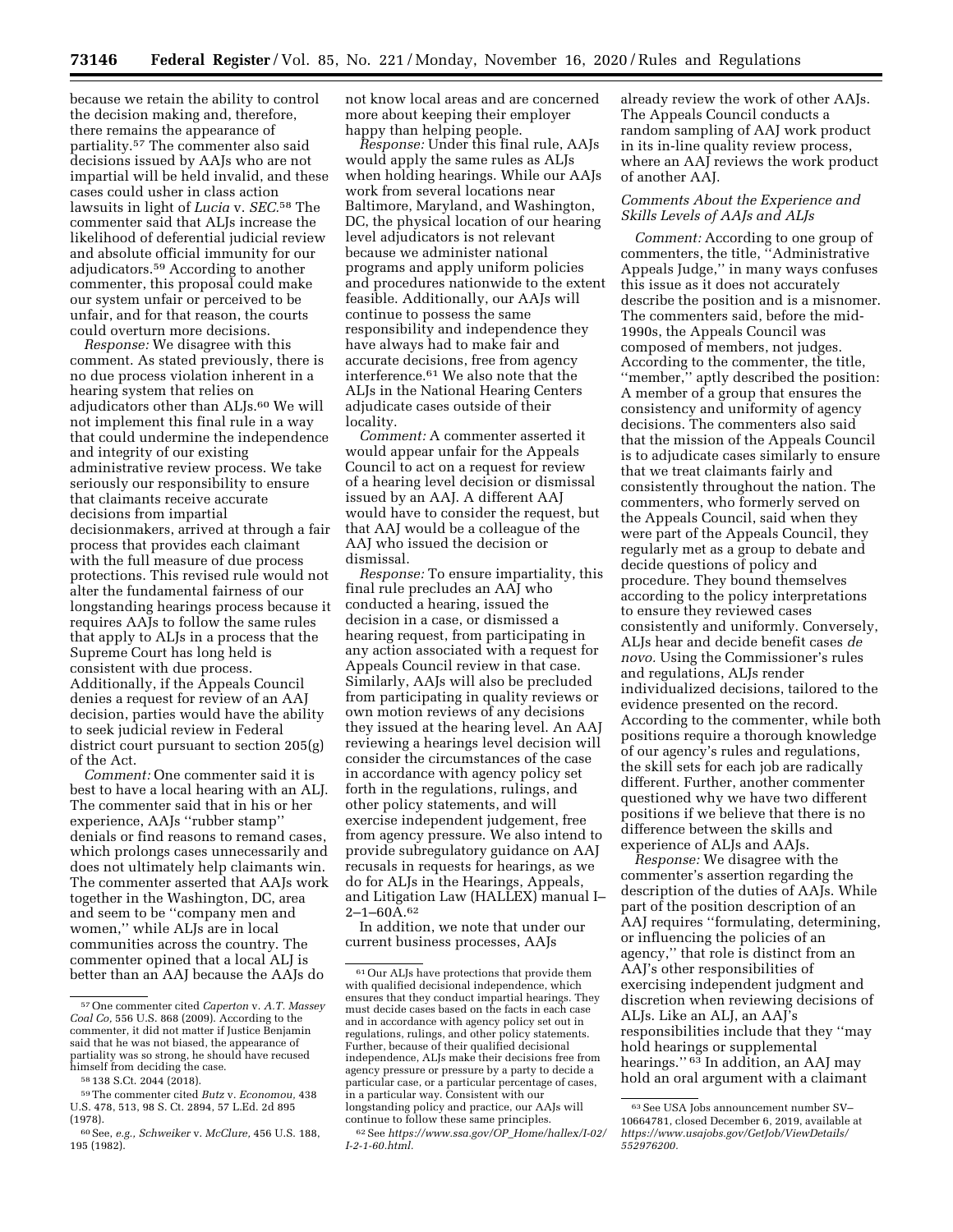because we retain the ability to control the decision making and, therefore, there remains the appearance of partiality.57 The commenter also said decisions issued by AAJs who are not impartial will be held invalid, and these cases could usher in class action lawsuits in light of *Lucia* v. *SEC.*58 The commenter said that ALJs increase the likelihood of deferential judicial review and absolute official immunity for our adjudicators.59 According to another commenter, this proposal could make our system unfair or perceived to be unfair, and for that reason, the courts could overturn more decisions.

*Response:* We disagree with this comment. As stated previously, there is no due process violation inherent in a hearing system that relies on adjudicators other than ALJs.60 We will not implement this final rule in a way that could undermine the independence and integrity of our existing administrative review process. We take seriously our responsibility to ensure that claimants receive accurate decisions from impartial decisionmakers, arrived at through a fair process that provides each claimant with the full measure of due process protections. This revised rule would not alter the fundamental fairness of our longstanding hearings process because it requires AAJs to follow the same rules that apply to ALJs in a process that the Supreme Court has long held is consistent with due process. Additionally, if the Appeals Council denies a request for review of an AAJ decision, parties would have the ability to seek judicial review in Federal district court pursuant to section 205(g) of the Act.

*Comment:* One commenter said it is best to have a local hearing with an ALJ. The commenter said that in his or her experience, AAJs ''rubber stamp'' denials or find reasons to remand cases, which prolongs cases unnecessarily and does not ultimately help claimants win. The commenter asserted that AAJs work together in the Washington, DC, area and seem to be ''company men and women,'' while ALJs are in local communities across the country. The commenter opined that a local ALJ is better than an AAJ because the AAJs do

not know local areas and are concerned more about keeping their employer happy than helping people.

*Response:* Under this final rule, AAJs would apply the same rules as ALJs when holding hearings. While our AAJs work from several locations near Baltimore, Maryland, and Washington, DC, the physical location of our hearing level adjudicators is not relevant because we administer national programs and apply uniform policies and procedures nationwide to the extent feasible. Additionally, our AAJs will continue to possess the same responsibility and independence they have always had to make fair and accurate decisions, free from agency interference.61 We also note that the ALJs in the National Hearing Centers adjudicate cases outside of their locality.

*Comment:* A commenter asserted it would appear unfair for the Appeals Council to act on a request for review of a hearing level decision or dismissal issued by an AAJ. A different AAJ would have to consider the request, but that AAJ would be a colleague of the AAJ who issued the decision or dismissal.

*Response:* To ensure impartiality, this final rule precludes an AAJ who conducted a hearing, issued the decision in a case, or dismissed a hearing request, from participating in any action associated with a request for Appeals Council review in that case. Similarly, AAJs will also be precluded from participating in quality reviews or own motion reviews of any decisions they issued at the hearing level. An AAJ reviewing a hearings level decision will consider the circumstances of the case in accordance with agency policy set forth in the regulations, rulings, and other policy statements, and will exercise independent judgement, free from agency pressure. We also intend to provide subregulatory guidance on AAJ recusals in requests for hearings, as we do for ALJs in the Hearings, Appeals, and Litigation Law (HALLEX) manual I–  $2 - 1 - 60A.62$ 

In addition, we note that under our current business processes, AAJs

already review the work of other AAJs. The Appeals Council conducts a random sampling of AAJ work product in its in-line quality review process, where an AAJ reviews the work product of another AAJ.

# *Comments About the Experience and Skills Levels of AAJs and ALJs*

*Comment:* According to one group of commenters, the title, ''Administrative Appeals Judge,'' in many ways confuses this issue as it does not accurately describe the position and is a misnomer. The commenters said, before the mid-1990s, the Appeals Council was composed of members, not judges. According to the commenter, the title, ''member,'' aptly described the position: A member of a group that ensures the consistency and uniformity of agency decisions. The commenters also said that the mission of the Appeals Council is to adjudicate cases similarly to ensure that we treat claimants fairly and consistently throughout the nation. The commenters, who formerly served on the Appeals Council, said when they were part of the Appeals Council, they regularly met as a group to debate and decide questions of policy and procedure. They bound themselves according to the policy interpretations to ensure they reviewed cases consistently and uniformly. Conversely, ALJs hear and decide benefit cases *de novo.* Using the Commissioner's rules and regulations, ALJs render individualized decisions, tailored to the evidence presented on the record. According to the commenter, while both positions require a thorough knowledge of our agency's rules and regulations, the skill sets for each job are radically different. Further, another commenter questioned why we have two different positions if we believe that there is no difference between the skills and experience of ALJs and AAJs.

*Response:* We disagree with the commenter's assertion regarding the description of the duties of AAJs. While part of the position description of an AAJ requires ''formulating, determining, or influencing the policies of an agency,'' that role is distinct from an AAJ's other responsibilities of exercising independent judgment and discretion when reviewing decisions of ALJs. Like an ALJ, an AAJ's responsibilities include that they ''may hold hearings or supplemental hearings.'' 63 In addition, an AAJ may hold an oral argument with a claimant

<sup>57</sup>One commenter cited *Caperton* v. *A.T. Massey Coal Co,* 556 U.S. 868 (2009). According to the commenter, it did not matter if Justice Benjamin said that he was not biased, the appearance of partiality was so strong, he should have recused himself from deciding the case.

<sup>58</sup> 138 S.Ct. 2044 (2018).

<sup>59</sup>The commenter cited *Butz* v. *Economou,* 438 U.S. 478, 513, 98 S. Ct. 2894, 57 L.Ed. 2d 895 (1978).

<sup>60</sup>See, *e.g., Schweiker* v. *McClure,* 456 U.S. 188, 195 (1982).

<sup>61</sup>Our ALJs have protections that provide them with qualified decisional independence, which ensures that they conduct impartial hearings. They must decide cases based on the facts in each case and in accordance with agency policy set out in regulations, rulings, and other policy statements. Further, because of their qualified decisional independence, ALJs make their decisions free from agency pressure or pressure by a party to decide a particular case, or a particular percentage of cases, in a particular way. Consistent with our longstanding policy and practice, our AAJs will continue to follow these same principles.

<sup>62</sup>See *[https://www.ssa.gov/OP](https://www.ssa.gov/OP_Home/hallex/I-02/I-2-1-60.html)*\_*Home/hallex/I-02/ [I-2-1-60.html.](https://www.ssa.gov/OP_Home/hallex/I-02/I-2-1-60.html)* 

<sup>63</sup>See USA Jobs announcement number SV– 10664781, closed December 6, 2019, available at *[https://www.usajobs.gov/GetJob/ViewDetails/](https://www.usajobs.gov/GetJob/ViewDetails/552976200) [552976200.](https://www.usajobs.gov/GetJob/ViewDetails/552976200)*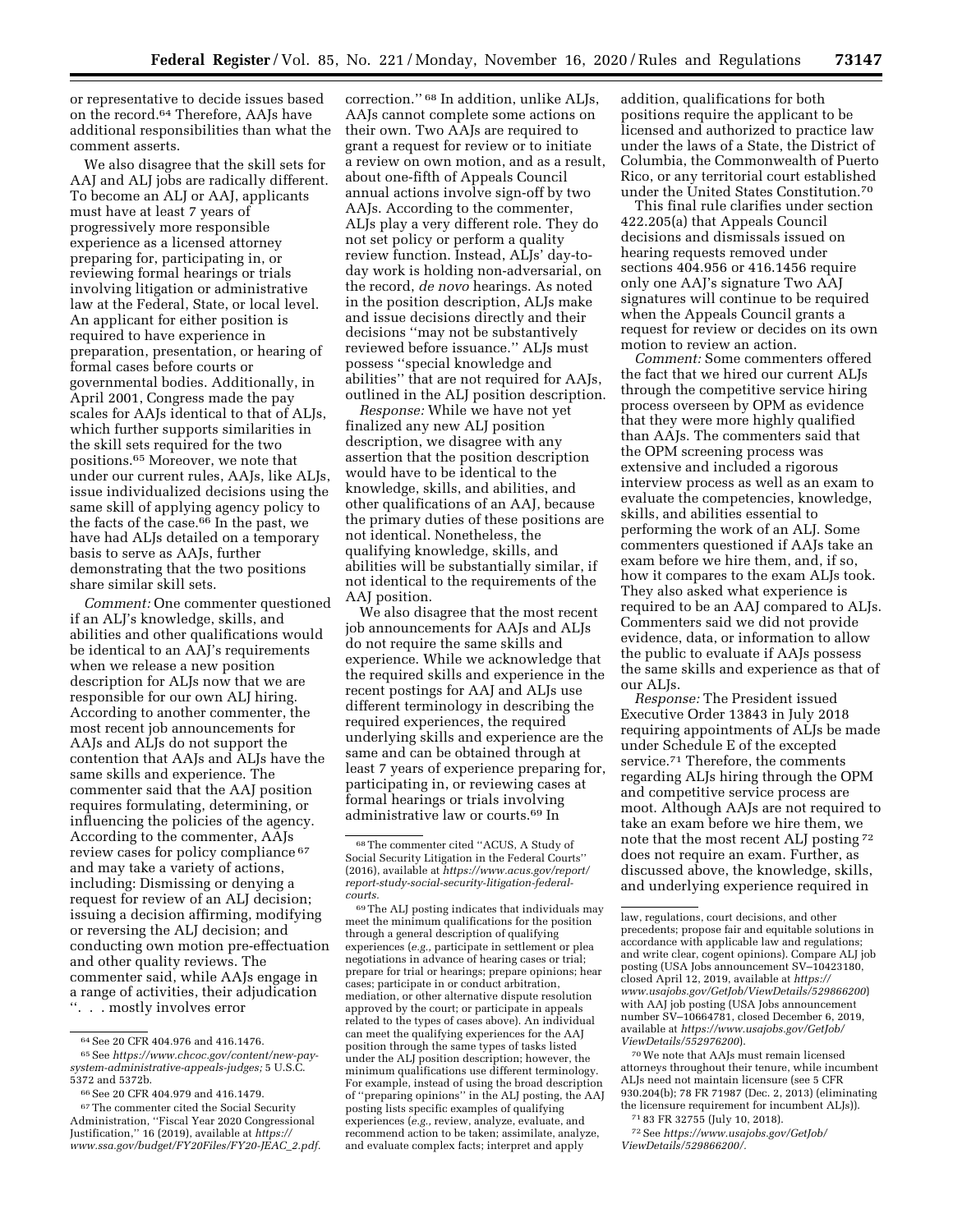or representative to decide issues based on the record.64 Therefore, AAJs have additional responsibilities than what the comment asserts.

We also disagree that the skill sets for AAJ and ALJ jobs are radically different. To become an ALJ or AAJ, applicants must have at least 7 years of progressively more responsible experience as a licensed attorney preparing for, participating in, or reviewing formal hearings or trials involving litigation or administrative law at the Federal, State, or local level. An applicant for either position is required to have experience in preparation, presentation, or hearing of formal cases before courts or governmental bodies. Additionally, in April 2001, Congress made the pay scales for AAJs identical to that of ALJs, which further supports similarities in the skill sets required for the two positions.65 Moreover, we note that under our current rules, AAJs, like ALJs, issue individualized decisions using the same skill of applying agency policy to the facts of the case.66 In the past, we have had ALJs detailed on a temporary basis to serve as AAJs, further demonstrating that the two positions share similar skill sets.

*Comment:* One commenter questioned if an ALJ's knowledge, skills, and abilities and other qualifications would be identical to an AAJ's requirements when we release a new position description for ALJs now that we are responsible for our own ALJ hiring. According to another commenter, the most recent job announcements for AAJs and ALJs do not support the contention that AAJs and ALJs have the same skills and experience. The commenter said that the AAJ position requires formulating, determining, or influencing the policies of the agency. According to the commenter, AAJs review cases for policy compliance 67 and may take a variety of actions, including: Dismissing or denying a request for review of an ALJ decision; issuing a decision affirming, modifying or reversing the ALJ decision; and conducting own motion pre-effectuation and other quality reviews. The commenter said, while AAJs engage in a range of activities, their adjudication ''. . . mostly involves error

66See 20 CFR 404.979 and 416.1479.

correction.'' 68 In addition, unlike ALJs, AAJs cannot complete some actions on their own. Two AAJs are required to grant a request for review or to initiate a review on own motion, and as a result, about one-fifth of Appeals Council annual actions involve sign-off by two AAJs. According to the commenter, ALJs play a very different role. They do not set policy or perform a quality review function. Instead, ALJs' day-today work is holding non-adversarial, on the record, *de novo* hearings. As noted in the position description, ALJs make and issue decisions directly and their decisions ''may not be substantively reviewed before issuance.'' ALJs must possess ''special knowledge and abilities'' that are not required for AAJs, outlined in the ALJ position description.

*Response:* While we have not yet finalized any new ALJ position description, we disagree with any assertion that the position description would have to be identical to the knowledge, skills, and abilities, and other qualifications of an AAJ, because the primary duties of these positions are not identical. Nonetheless, the qualifying knowledge, skills, and abilities will be substantially similar, if not identical to the requirements of the AAJ position.

We also disagree that the most recent job announcements for AAJs and ALJs do not require the same skills and experience. While we acknowledge that the required skills and experience in the recent postings for AAJ and ALJs use different terminology in describing the required experiences, the required underlying skills and experience are the same and can be obtained through at least 7 years of experience preparing for, participating in, or reviewing cases at formal hearings or trials involving administrative law or courts.69 In

addition, qualifications for both positions require the applicant to be licensed and authorized to practice law under the laws of a State, the District of Columbia, the Commonwealth of Puerto Rico, or any territorial court established under the United States Constitution.70

This final rule clarifies under section 422.205(a) that Appeals Council decisions and dismissals issued on hearing requests removed under sections 404.956 or 416.1456 require only one AAJ's signature Two AAJ signatures will continue to be required when the Appeals Council grants a request for review or decides on its own motion to review an action.

*Comment:* Some commenters offered the fact that we hired our current ALJs through the competitive service hiring process overseen by OPM as evidence that they were more highly qualified than AAJs. The commenters said that the OPM screening process was extensive and included a rigorous interview process as well as an exam to evaluate the competencies, knowledge, skills, and abilities essential to performing the work of an ALJ. Some commenters questioned if AAJs take an exam before we hire them, and, if so, how it compares to the exam ALJs took. They also asked what experience is required to be an AAJ compared to ALJs. Commenters said we did not provide evidence, data, or information to allow the public to evaluate if AAJs possess the same skills and experience as that of our ALJs.

*Response:* The President issued Executive Order 13843 in July 2018 requiring appointments of ALJs be made under Schedule E of the excepted service.71 Therefore, the comments regarding ALJs hiring through the OPM and competitive service process are moot. Although AAJs are not required to take an exam before we hire them, we note that the most recent ALJ posting 72 does not require an exam. Further, as discussed above, the knowledge, skills, and underlying experience required in

70We note that AAJs must remain licensed attorneys throughout their tenure, while incumbent ALJs need not maintain licensure (see 5 CFR 930.204(b); 78 FR 71987 (Dec. 2, 2013) (eliminating the licensure requirement for incumbent ALJs)).

71 83 FR 32755 (July 10, 2018).

72See *[https://www.usajobs.gov/GetJob/](https://www.usajobs.gov/GetJob/ViewDetails/529866200/)  [ViewDetails/529866200/.](https://www.usajobs.gov/GetJob/ViewDetails/529866200/)* 

 $^{64}\rm{See}$  20 CFR 404.976 and 416.1476.

<sup>65</sup>See *[https://www.chcoc.gov/content/new-pay](https://www.chcoc.gov/content/new-pay-system-administrative-appeals-judges)[system-administrative-appeals-judges;](https://www.chcoc.gov/content/new-pay-system-administrative-appeals-judges)* 5 U.S.C. 5372 and 5372b.

<sup>67</sup>The commenter cited the Social Security Administration, ''Fiscal Year 2020 Congressional Justification,'' 16 (2019), available at *[https://](https://www.ssa.gov/budget/FY20Files/FY20-JEAC_2.pdf) [www.ssa.gov/budget/FY20Files/FY20-JEAC](https://www.ssa.gov/budget/FY20Files/FY20-JEAC_2.pdf)*\_*2.pdf.* 

<sup>68</sup>The commenter cited ''ACUS, A Study of Social Security Litigation in the Federal Courts'' (2016), available at *[https://www.acus.gov/report/](https://www.acus.gov/report/report-study-social-security-litigation-federal-courts)  [report-study-social-security-litigation-federal](https://www.acus.gov/report/report-study-social-security-litigation-federal-courts)[courts.](https://www.acus.gov/report/report-study-social-security-litigation-federal-courts)* 

<sup>69</sup>The ALJ posting indicates that individuals may meet the minimum qualifications for the position through a general description of qualifying experiences (*e.g.,* participate in settlement or plea negotiations in advance of hearing cases or trial; prepare for trial or hearings; prepare opinions; hear cases; participate in or conduct arbitration, mediation, or other alternative dispute resolution approved by the court; or participate in appeals related to the types of cases above). An individual can meet the qualifying experiences for the AAJ position through the same types of tasks listed under the ALJ position description; however, the minimum qualifications use different terminology. For example, instead of using the broad description of ''preparing opinions'' in the ALJ posting, the AAJ posting lists specific examples of qualifying experiences (*e.g.,* review, analyze, evaluate, and recommend action to be taken; assimilate, analyze, and evaluate complex facts; interpret and apply

law, regulations, court decisions, and other precedents; propose fair and equitable solutions in accordance with applicable law and regulations; and write clear, cogent opinions). Compare ALJ job posting (USA Jobs announcement SV–10423180, closed April 12, 2019, available at *[https://](https://www.usajobs.gov/GetJob/ViewDetails/529866200) [www.usajobs.gov/GetJob/ViewDetails/529866200](https://www.usajobs.gov/GetJob/ViewDetails/529866200)*) with AAJ job posting (USA Jobs announcement number SV–10664781, closed December 6, 2019, available at *[https://www.usajobs.gov/GetJob/](https://www.usajobs.gov/GetJob/ViewDetails/552976200)  [ViewDetails/552976200](https://www.usajobs.gov/GetJob/ViewDetails/552976200)*).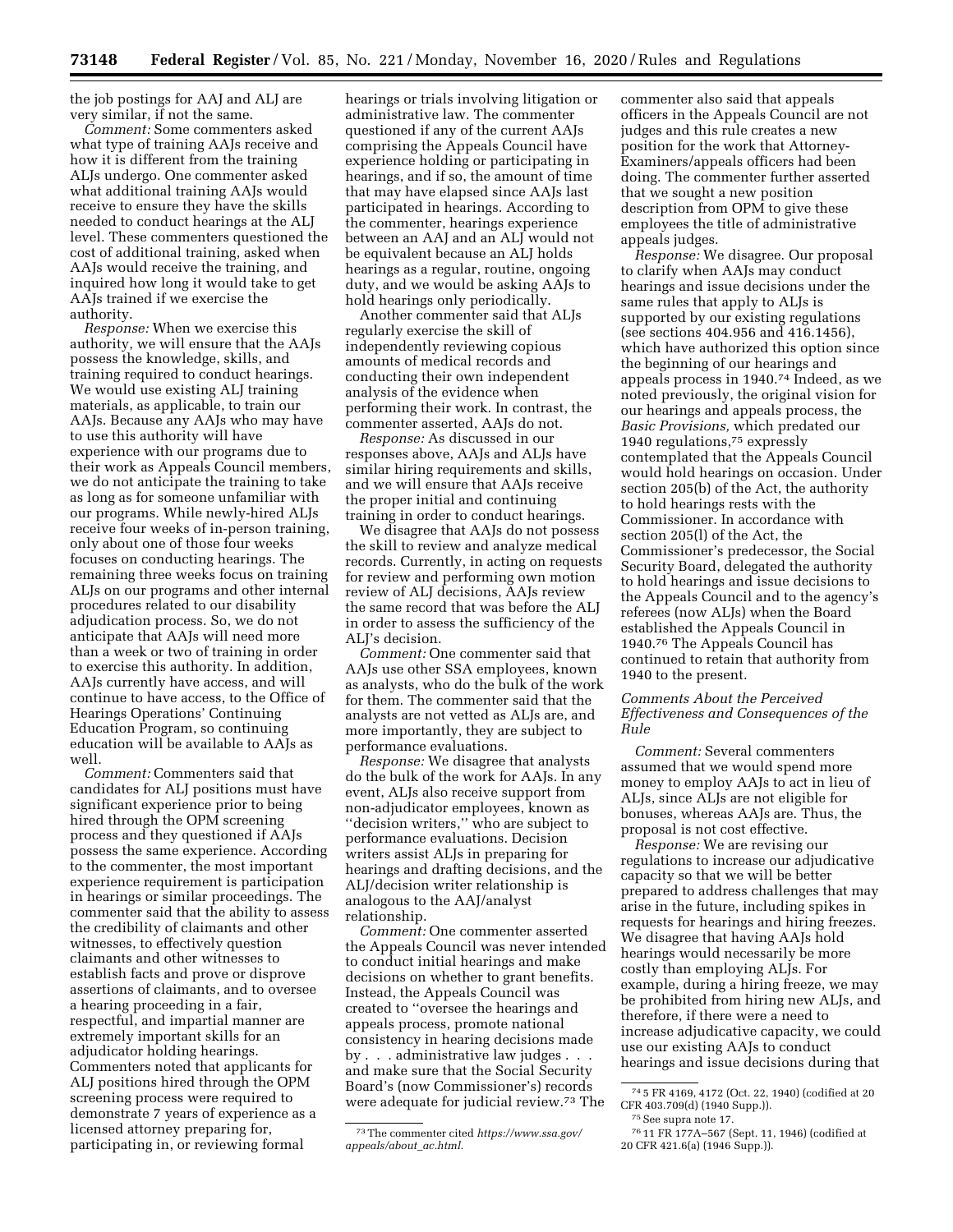the job postings for AAJ and ALJ are very similar, if not the same.

*Comment:* Some commenters asked what type of training AAJs receive and how it is different from the training ALJs undergo. One commenter asked what additional training AAJs would receive to ensure they have the skills needed to conduct hearings at the ALJ level. These commenters questioned the cost of additional training, asked when AAJs would receive the training, and inquired how long it would take to get AAJs trained if we exercise the authority.

*Response:* When we exercise this authority, we will ensure that the AAJs possess the knowledge, skills, and training required to conduct hearings. We would use existing ALJ training materials, as applicable, to train our AAJs. Because any AAJs who may have to use this authority will have experience with our programs due to their work as Appeals Council members, we do not anticipate the training to take as long as for someone unfamiliar with our programs. While newly-hired ALJs receive four weeks of in-person training, only about one of those four weeks focuses on conducting hearings. The remaining three weeks focus on training ALJs on our programs and other internal procedures related to our disability adjudication process. So, we do not anticipate that AAJs will need more than a week or two of training in order to exercise this authority. In addition, AAJs currently have access, and will continue to have access, to the Office of Hearings Operations' Continuing Education Program, so continuing education will be available to AAJs as well.

*Comment:* Commenters said that candidates for ALJ positions must have significant experience prior to being hired through the OPM screening process and they questioned if AAJs possess the same experience. According to the commenter, the most important experience requirement is participation in hearings or similar proceedings. The commenter said that the ability to assess the credibility of claimants and other witnesses, to effectively question claimants and other witnesses to establish facts and prove or disprove assertions of claimants, and to oversee a hearing proceeding in a fair, respectful, and impartial manner are extremely important skills for an adjudicator holding hearings. Commenters noted that applicants for ALJ positions hired through the OPM screening process were required to demonstrate 7 years of experience as a licensed attorney preparing for, participating in, or reviewing formal

hearings or trials involving litigation or administrative law. The commenter questioned if any of the current AAJs comprising the Appeals Council have experience holding or participating in hearings, and if so, the amount of time that may have elapsed since AAJs last participated in hearings. According to the commenter, hearings experience between an AAJ and an ALJ would not be equivalent because an ALJ holds hearings as a regular, routine, ongoing duty, and we would be asking AAJs to hold hearings only periodically.

Another commenter said that ALJs regularly exercise the skill of independently reviewing copious amounts of medical records and conducting their own independent analysis of the evidence when performing their work. In contrast, the commenter asserted, AAJs do not.

*Response:* As discussed in our responses above, AAJs and ALJs have similar hiring requirements and skills, and we will ensure that AAJs receive the proper initial and continuing training in order to conduct hearings.

We disagree that AAJs do not possess the skill to review and analyze medical records. Currently, in acting on requests for review and performing own motion review of ALJ decisions, AAJs review the same record that was before the ALJ in order to assess the sufficiency of the ALJ's decision.

*Comment:* One commenter said that AAJs use other SSA employees, known as analysts, who do the bulk of the work for them. The commenter said that the analysts are not vetted as ALJs are, and more importantly, they are subject to performance evaluations.

*Response:* We disagree that analysts do the bulk of the work for AAJs. In any event, ALJs also receive support from non-adjudicator employees, known as ''decision writers,'' who are subject to performance evaluations. Decision writers assist ALJs in preparing for hearings and drafting decisions, and the ALJ/decision writer relationship is analogous to the AAJ/analyst relationship.

*Comment:* One commenter asserted the Appeals Council was never intended to conduct initial hearings and make decisions on whether to grant benefits. Instead, the Appeals Council was created to ''oversee the hearings and appeals process, promote national consistency in hearing decisions made by . . . administrative law judges . . . and make sure that the Social Security Board's (now Commissioner's) records were adequate for judicial review.73 The

commenter also said that appeals officers in the Appeals Council are not judges and this rule creates a new position for the work that Attorney-Examiners/appeals officers had been doing. The commenter further asserted that we sought a new position description from OPM to give these employees the title of administrative appeals judges.

*Response:* We disagree. Our proposal to clarify when AAJs may conduct hearings and issue decisions under the same rules that apply to ALJs is supported by our existing regulations (see sections 404.956 and 416.1456), which have authorized this option since the beginning of our hearings and appeals process in 1940.74 Indeed, as we noted previously, the original vision for our hearings and appeals process, the *Basic Provisions,* which predated our 1940 regulations,75 expressly contemplated that the Appeals Council would hold hearings on occasion. Under section 205(b) of the Act, the authority to hold hearings rests with the Commissioner. In accordance with section 205(l) of the Act, the Commissioner's predecessor, the Social Security Board, delegated the authority to hold hearings and issue decisions to the Appeals Council and to the agency's referees (now ALJs) when the Board established the Appeals Council in 1940.76 The Appeals Council has continued to retain that authority from 1940 to the present.

# *Comments About the Perceived Effectiveness and Consequences of the Rule*

*Comment:* Several commenters assumed that we would spend more money to employ AAJs to act in lieu of ALJs, since ALJs are not eligible for bonuses, whereas AAJs are. Thus, the proposal is not cost effective.

*Response:* We are revising our regulations to increase our adjudicative capacity so that we will be better prepared to address challenges that may arise in the future, including spikes in requests for hearings and hiring freezes. We disagree that having AAJs hold hearings would necessarily be more costly than employing ALJs. For example, during a hiring freeze, we may be prohibited from hiring new ALJs, and therefore, if there were a need to increase adjudicative capacity, we could use our existing AAJs to conduct hearings and issue decisions during that

<sup>73</sup>The commenter cited *[https://www.ssa.gov/](https://www.ssa.gov/appeals/about_ac.html)  [appeals/about](https://www.ssa.gov/appeals/about_ac.html)*\_*ac.html.* 

<sup>74</sup> 5 FR 4169, 4172 (Oct. 22, 1940) (codified at 20 CFR 403.709(d) (1940 Supp.)).

<sup>75</sup>See supra note 17.

<sup>76</sup> 11 FR 177A–567 (Sept. 11, 1946) (codified at 20 CFR 421.6(a) (1946 Supp.)).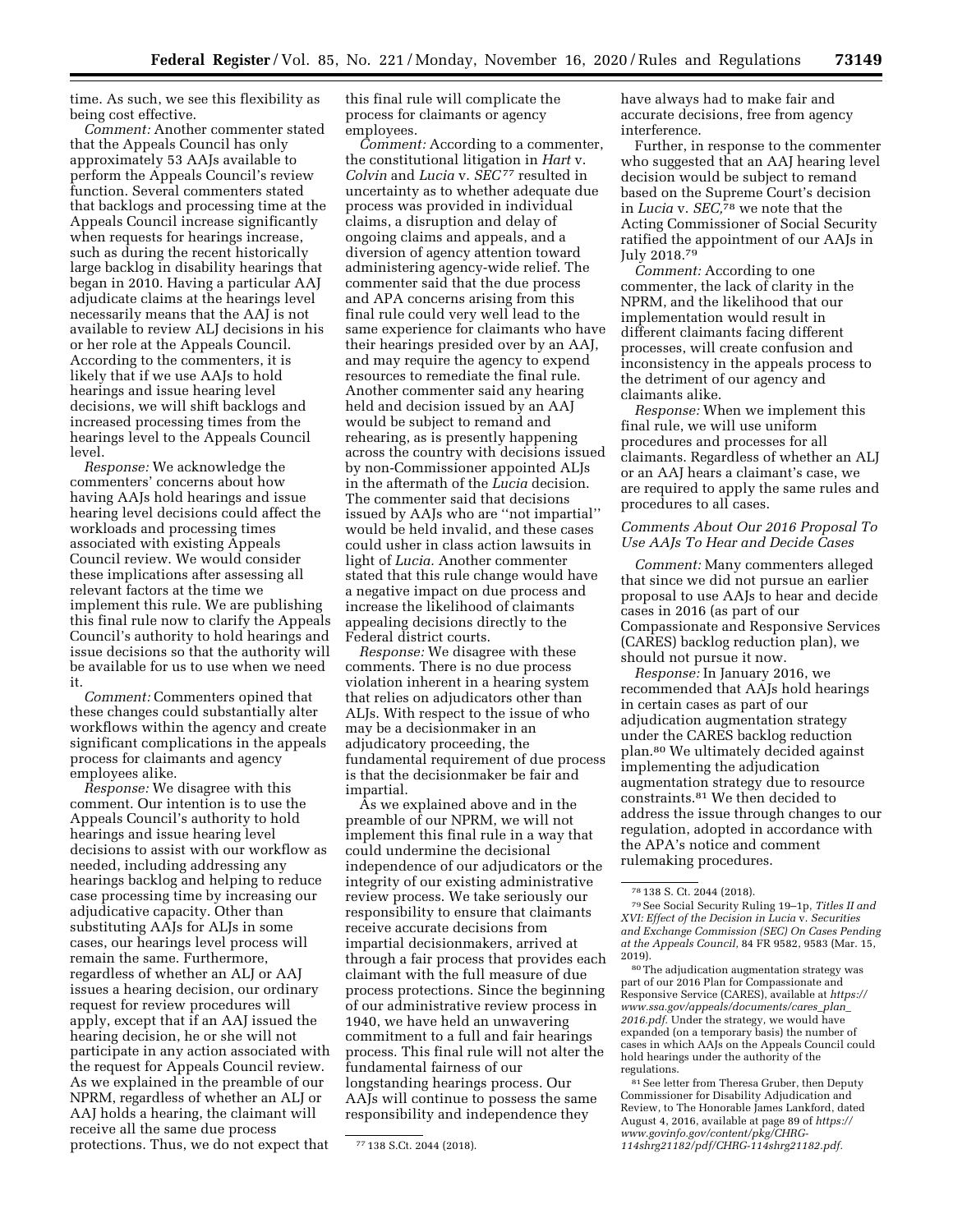time. As such, we see this flexibility as being cost effective.

*Comment:* Another commenter stated that the Appeals Council has only approximately 53 AAJs available to perform the Appeals Council's review function. Several commenters stated that backlogs and processing time at the Appeals Council increase significantly when requests for hearings increase, such as during the recent historically large backlog in disability hearings that began in 2010. Having a particular AAJ adjudicate claims at the hearings level necessarily means that the AAJ is not available to review ALJ decisions in his or her role at the Appeals Council. According to the commenters, it is likely that if we use AAJs to hold hearings and issue hearing level decisions, we will shift backlogs and increased processing times from the hearings level to the Appeals Council level.

*Response:* We acknowledge the commenters' concerns about how having AAJs hold hearings and issue hearing level decisions could affect the workloads and processing times associated with existing Appeals Council review. We would consider these implications after assessing all relevant factors at the time we implement this rule. We are publishing this final rule now to clarify the Appeals Council's authority to hold hearings and issue decisions so that the authority will be available for us to use when we need it.

*Comment:* Commenters opined that these changes could substantially alter workflows within the agency and create significant complications in the appeals process for claimants and agency employees alike.

*Response:* We disagree with this comment. Our intention is to use the Appeals Council's authority to hold hearings and issue hearing level decisions to assist with our workflow as needed, including addressing any hearings backlog and helping to reduce case processing time by increasing our adjudicative capacity. Other than substituting AAJs for ALJs in some cases, our hearings level process will remain the same. Furthermore, regardless of whether an ALJ or AAJ issues a hearing decision, our ordinary request for review procedures will apply, except that if an AAJ issued the hearing decision, he or she will not participate in any action associated with the request for Appeals Council review. As we explained in the preamble of our NPRM, regardless of whether an ALJ or AAJ holds a hearing, the claimant will receive all the same due process protections. Thus, we do not expect that

this final rule will complicate the process for claimants or agency employees.

*Comment:* According to a commenter, the constitutional litigation in *Hart* v. *Colvin* and *Lucia* v. *SEC*77 resulted in uncertainty as to whether adequate due process was provided in individual claims, a disruption and delay of ongoing claims and appeals, and a diversion of agency attention toward administering agency-wide relief. The commenter said that the due process and APA concerns arising from this final rule could very well lead to the same experience for claimants who have their hearings presided over by an AAJ, and may require the agency to expend resources to remediate the final rule. Another commenter said any hearing held and decision issued by an AAJ would be subject to remand and rehearing, as is presently happening across the country with decisions issued by non-Commissioner appointed ALJs in the aftermath of the *Lucia* decision. The commenter said that decisions issued by AAJs who are ''not impartial'' would be held invalid, and these cases could usher in class action lawsuits in light of *Lucia.* Another commenter stated that this rule change would have a negative impact on due process and increase the likelihood of claimants appealing decisions directly to the Federal district courts.

*Response:* We disagree with these comments. There is no due process violation inherent in a hearing system that relies on adjudicators other than ALJs. With respect to the issue of who may be a decisionmaker in an adjudicatory proceeding, the fundamental requirement of due process is that the decisionmaker be fair and impartial.

As we explained above and in the preamble of our NPRM, we will not implement this final rule in a way that could undermine the decisional independence of our adjudicators or the integrity of our existing administrative review process. We take seriously our responsibility to ensure that claimants receive accurate decisions from impartial decisionmakers, arrived at through a fair process that provides each claimant with the full measure of due process protections. Since the beginning of our administrative review process in 1940, we have held an unwavering commitment to a full and fair hearings process. This final rule will not alter the fundamental fairness of our longstanding hearings process. Our AAJs will continue to possess the same responsibility and independence they

have always had to make fair and accurate decisions, free from agency interference.

Further, in response to the commenter who suggested that an AAJ hearing level decision would be subject to remand based on the Supreme Court's decision in *Lucia* v. *SEC,*78 we note that the Acting Commissioner of Social Security ratified the appointment of our AAJs in July 2018.79

*Comment:* According to one commenter, the lack of clarity in the NPRM, and the likelihood that our implementation would result in different claimants facing different processes, will create confusion and inconsistency in the appeals process to the detriment of our agency and claimants alike.

*Response:* When we implement this final rule, we will use uniform procedures and processes for all claimants. Regardless of whether an ALJ or an AAJ hears a claimant's case, we are required to apply the same rules and procedures to all cases.

# *Comments About Our 2016 Proposal To Use AAJs To Hear and Decide Cases*

*Comment:* Many commenters alleged that since we did not pursue an earlier proposal to use AAJs to hear and decide cases in 2016 (as part of our Compassionate and Responsive Services (CARES) backlog reduction plan), we should not pursue it now.

*Response:* In January 2016, we recommended that AAJs hold hearings in certain cases as part of our adjudication augmentation strategy under the CARES backlog reduction plan.80 We ultimately decided against implementing the adjudication augmentation strategy due to resource constraints.81 We then decided to address the issue through changes to our regulation, adopted in accordance with the APA's notice and comment rulemaking procedures.

80The adjudication augmentation strategy was part of our 2016 Plan for Compassionate and Responsive Service (CARES), available at *[https://](https://www.ssa.gov/appeals/documents/cares_plan_2016.pdf) [www.ssa.gov/appeals/documents/cares](https://www.ssa.gov/appeals/documents/cares_plan_2016.pdf)*\_*plan*\_ *[2016.pdf.](https://www.ssa.gov/appeals/documents/cares_plan_2016.pdf)* Under the strategy, we would have expanded (on a temporary basis) the number of cases in which AAJs on the Appeals Council could hold hearings under the authority of the regulations.

81 See letter from Theresa Gruber, then Deputy Commissioner for Disability Adjudication and Review, to The Honorable James Lankford, dated August 4, 2016, available at page 89 of *[https://](https://www.govinfo.gov/content/pkg/CHRG-114shrg21182/pdf/CHRG-114shrg21182.pdf) [www.govinfo.gov/content/pkg/CHRG-](https://www.govinfo.gov/content/pkg/CHRG-114shrg21182/pdf/CHRG-114shrg21182.pdf)[114shrg21182/pdf/CHRG-114shrg21182.pdf.](https://www.govinfo.gov/content/pkg/CHRG-114shrg21182/pdf/CHRG-114shrg21182.pdf)* 

<sup>77</sup> 138 S.Ct. 2044 (2018).

<sup>78</sup> 138 S. Ct. 2044 (2018).

<sup>79</sup>See Social Security Ruling 19–1p, *Titles II and XVI: Effect of the Decision in Lucia* v. *Securities and Exchange Commission (SEC) On Cases Pending at the Appeals Council,* 84 FR 9582, 9583 (Mar. 15, 2019).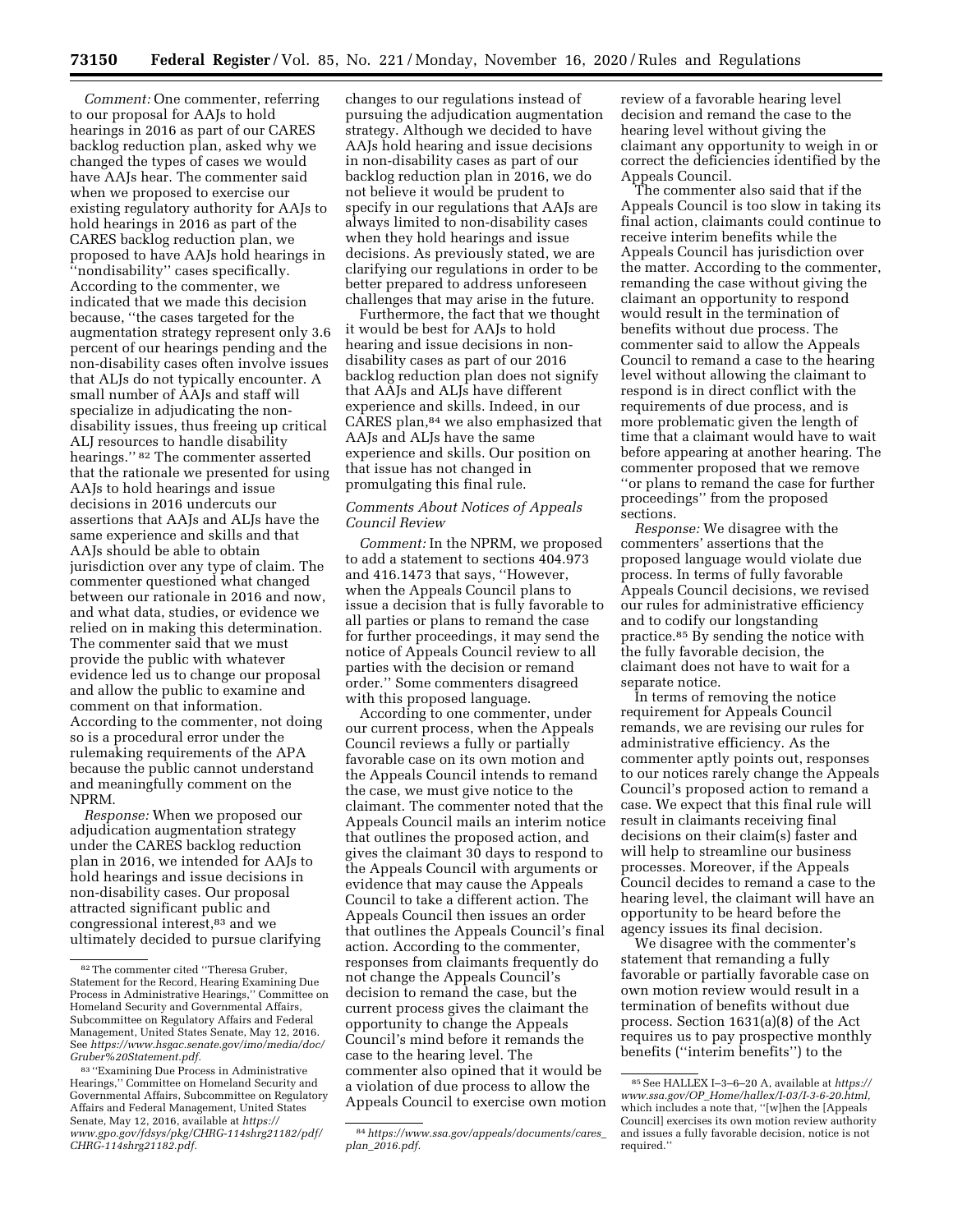*Comment:* One commenter, referring to our proposal for AAJs to hold hearings in 2016 as part of our CARES backlog reduction plan, asked why we changed the types of cases we would have AAJs hear. The commenter said when we proposed to exercise our existing regulatory authority for AAJs to hold hearings in 2016 as part of the CARES backlog reduction plan, we proposed to have AAJs hold hearings in ''nondisability'' cases specifically. According to the commenter, we indicated that we made this decision because, ''the cases targeted for the augmentation strategy represent only 3.6 percent of our hearings pending and the non-disability cases often involve issues that ALJs do not typically encounter. A small number of AAJs and staff will specialize in adjudicating the nondisability issues, thus freeing up critical ALJ resources to handle disability hearings.'' 82 The commenter asserted that the rationale we presented for using AAJs to hold hearings and issue decisions in 2016 undercuts our assertions that AAJs and ALJs have the same experience and skills and that AAJs should be able to obtain jurisdiction over any type of claim. The commenter questioned what changed between our rationale in 2016 and now, and what data, studies, or evidence we relied on in making this determination. The commenter said that we must provide the public with whatever evidence led us to change our proposal and allow the public to examine and comment on that information. According to the commenter, not doing so is a procedural error under the rulemaking requirements of the APA because the public cannot understand and meaningfully comment on the NPRM.

*Response:* When we proposed our adjudication augmentation strategy under the CARES backlog reduction plan in 2016, we intended for AAJs to hold hearings and issue decisions in non-disability cases. Our proposal attracted significant public and congressional interest,83 and we ultimately decided to pursue clarifying

changes to our regulations instead of pursuing the adjudication augmentation strategy. Although we decided to have AAJs hold hearing and issue decisions in non-disability cases as part of our backlog reduction plan in 2016, we do not believe it would be prudent to specify in our regulations that AAJs are always limited to non-disability cases when they hold hearings and issue decisions. As previously stated, we are clarifying our regulations in order to be better prepared to address unforeseen challenges that may arise in the future.

Furthermore, the fact that we thought it would be best for AAJs to hold hearing and issue decisions in nondisability cases as part of our 2016 backlog reduction plan does not signify that AAJs and ALJs have different experience and skills. Indeed, in our CARES plan,84 we also emphasized that AAJs and ALJs have the same experience and skills. Our position on that issue has not changed in promulgating this final rule.

### *Comments About Notices of Appeals Council Review*

*Comment:* In the NPRM, we proposed to add a statement to sections 404.973 and 416.1473 that says, ''However, when the Appeals Council plans to issue a decision that is fully favorable to all parties or plans to remand the case for further proceedings, it may send the notice of Appeals Council review to all parties with the decision or remand order.'' Some commenters disagreed with this proposed language.

According to one commenter, under our current process, when the Appeals Council reviews a fully or partially favorable case on its own motion and the Appeals Council intends to remand the case, we must give notice to the claimant. The commenter noted that the Appeals Council mails an interim notice that outlines the proposed action, and gives the claimant 30 days to respond to the Appeals Council with arguments or evidence that may cause the Appeals Council to take a different action. The Appeals Council then issues an order that outlines the Appeals Council's final action. According to the commenter, responses from claimants frequently do not change the Appeals Council's decision to remand the case, but the current process gives the claimant the opportunity to change the Appeals Council's mind before it remands the case to the hearing level. The commenter also opined that it would be a violation of due process to allow the Appeals Council to exercise own motion review of a favorable hearing level decision and remand the case to the hearing level without giving the claimant any opportunity to weigh in or correct the deficiencies identified by the Appeals Council.

The commenter also said that if the Appeals Council is too slow in taking its final action, claimants could continue to receive interim benefits while the Appeals Council has jurisdiction over the matter. According to the commenter, remanding the case without giving the claimant an opportunity to respond would result in the termination of benefits without due process. The commenter said to allow the Appeals Council to remand a case to the hearing level without allowing the claimant to respond is in direct conflict with the requirements of due process, and is more problematic given the length of time that a claimant would have to wait before appearing at another hearing. The commenter proposed that we remove ''or plans to remand the case for further proceedings'' from the proposed sections.

*Response:* We disagree with the commenters' assertions that the proposed language would violate due process. In terms of fully favorable Appeals Council decisions, we revised our rules for administrative efficiency and to codify our longstanding practice.85 By sending the notice with the fully favorable decision, the claimant does not have to wait for a separate notice.

In terms of removing the notice requirement for Appeals Council remands, we are revising our rules for administrative efficiency. As the commenter aptly points out, responses to our notices rarely change the Appeals Council's proposed action to remand a case. We expect that this final rule will result in claimants receiving final decisions on their claim(s) faster and will help to streamline our business processes. Moreover, if the Appeals Council decides to remand a case to the hearing level, the claimant will have an opportunity to be heard before the agency issues its final decision.

We disagree with the commenter's statement that remanding a fully favorable or partially favorable case on own motion review would result in a termination of benefits without due process. Section 1631(a)(8) of the Act requires us to pay prospective monthly benefits (''interim benefits'') to the

<sup>82</sup>The commenter cited ''Theresa Gruber, Statement for the Record, Hearing Examining Due Process in Administrative Hearings,'' Committee on Homeland Security and Governmental Affairs, Subcommittee on Regulatory Affairs and Federal Management, United States Senate, May 12, 2016. See *[https://www.hsgac.senate.gov/imo/media/doc/](https://www.hsgac.senate.gov/imo/media/doc/Gruber%20Statement.pdf)  [Gruber%20Statement.pdf.](https://www.hsgac.senate.gov/imo/media/doc/Gruber%20Statement.pdf)* 

<sup>83</sup> ''Examining Due Process in Administrative Hearings,'' Committee on Homeland Security and Governmental Affairs, Subcommittee on Regulatory Affairs and Federal Management, United States Senate, May 12, 2016, available at *[https://](https://www.gpo.gov/fdsys/pkg/CHRG-114shrg21182/pdf/CHRG-114shrg21182.pdf) [www.gpo.gov/fdsys/pkg/CHRG-114shrg21182/pdf/](https://www.gpo.gov/fdsys/pkg/CHRG-114shrg21182/pdf/CHRG-114shrg21182.pdf) [CHRG-114shrg21182.pdf.](https://www.gpo.gov/fdsys/pkg/CHRG-114shrg21182/pdf/CHRG-114shrg21182.pdf)* 

<sup>84</sup>*[https://www.ssa.gov/appeals/documents/cares](https://www.ssa.gov/appeals/documents/cares_plan_2016.pdf)*\_ *plan*\_*[2016.pdf.](https://www.ssa.gov/appeals/documents/cares_plan_2016.pdf)* 

<sup>85</sup>See HALLEX I–3–6–20 A, available at *[https://](https://www.ssa.gov/OP_Home/hallex/I-03/I-3-6-20.html) www.ssa.gov/OP*\_*[Home/hallex/I-03/I-3-6-20.html,](https://www.ssa.gov/OP_Home/hallex/I-03/I-3-6-20.html)*  which includes a note that, ''[w]hen the [Appeals Council] exercises its own motion review authority and issues a fully favorable decision, notice is not required.''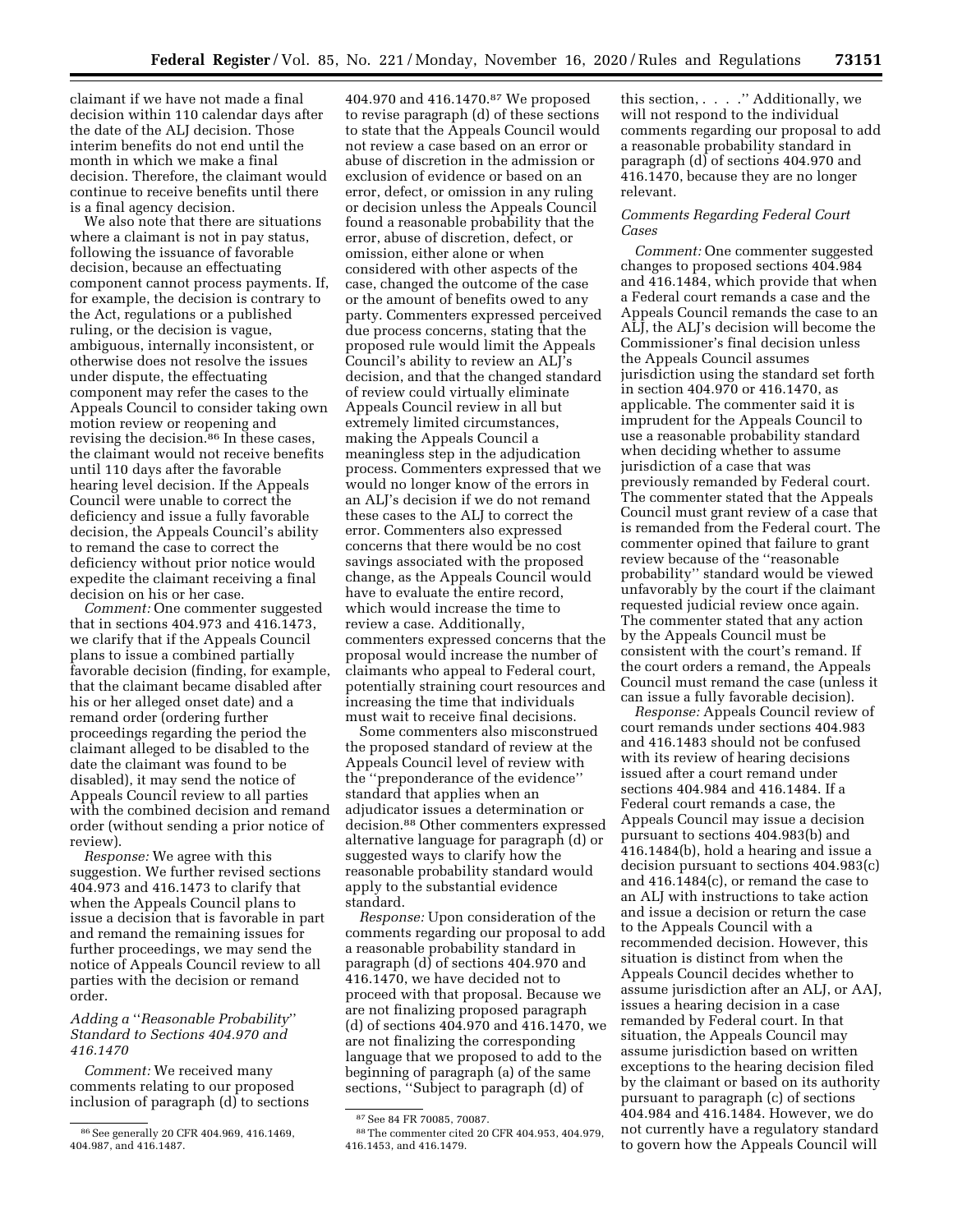claimant if we have not made a final decision within 110 calendar days after the date of the ALJ decision. Those interim benefits do not end until the month in which we make a final decision. Therefore, the claimant would continue to receive benefits until there is a final agency decision.

We also note that there are situations where a claimant is not in pay status, following the issuance of favorable decision, because an effectuating component cannot process payments. If, for example, the decision is contrary to the Act, regulations or a published ruling, or the decision is vague, ambiguous, internally inconsistent, or otherwise does not resolve the issues under dispute, the effectuating component may refer the cases to the Appeals Council to consider taking own motion review or reopening and revising the decision.<sup>86</sup> In these cases, the claimant would not receive benefits until 110 days after the favorable hearing level decision. If the Appeals Council were unable to correct the deficiency and issue a fully favorable decision, the Appeals Council's ability to remand the case to correct the deficiency without prior notice would expedite the claimant receiving a final decision on his or her case.

*Comment:* One commenter suggested that in sections 404.973 and 416.1473, we clarify that if the Appeals Council plans to issue a combined partially favorable decision (finding, for example, that the claimant became disabled after his or her alleged onset date) and a remand order (ordering further proceedings regarding the period the claimant alleged to be disabled to the date the claimant was found to be disabled), it may send the notice of Appeals Council review to all parties with the combined decision and remand order (without sending a prior notice of review).

*Response:* We agree with this suggestion. We further revised sections 404.973 and 416.1473 to clarify that when the Appeals Council plans to issue a decision that is favorable in part and remand the remaining issues for further proceedings, we may send the notice of Appeals Council review to all parties with the decision or remand order.

# *Adding a* ''*Reasonable Probability*'' *Standard to Sections 404.970 and 416.1470*

*Comment:* We received many comments relating to our proposed inclusion of paragraph (d) to sections

404.970 and 416.1470.<sup>87</sup> We proposed to revise paragraph (d) of these sections to state that the Appeals Council would not review a case based on an error or abuse of discretion in the admission or exclusion of evidence or based on an error, defect, or omission in any ruling or decision unless the Appeals Council found a reasonable probability that the error, abuse of discretion, defect, or omission, either alone or when considered with other aspects of the case, changed the outcome of the case or the amount of benefits owed to any party. Commenters expressed perceived due process concerns, stating that the proposed rule would limit the Appeals Council's ability to review an ALJ's decision, and that the changed standard of review could virtually eliminate Appeals Council review in all but extremely limited circumstances, making the Appeals Council a meaningless step in the adjudication process. Commenters expressed that we would no longer know of the errors in an ALJ's decision if we do not remand these cases to the ALJ to correct the error. Commenters also expressed concerns that there would be no cost savings associated with the proposed change, as the Appeals Council would have to evaluate the entire record, which would increase the time to review a case. Additionally, commenters expressed concerns that the proposal would increase the number of claimants who appeal to Federal court, potentially straining court resources and increasing the time that individuals must wait to receive final decisions.

Some commenters also misconstrued the proposed standard of review at the Appeals Council level of review with the ''preponderance of the evidence'' standard that applies when an adjudicator issues a determination or decision.88 Other commenters expressed alternative language for paragraph (d) or suggested ways to clarify how the reasonable probability standard would apply to the substantial evidence standard.

*Response:* Upon consideration of the comments regarding our proposal to add a reasonable probability standard in paragraph (d) of sections 404.970 and 416.1470, we have decided not to proceed with that proposal. Because we are not finalizing proposed paragraph (d) of sections 404.970 and 416.1470, we are not finalizing the corresponding language that we proposed to add to the beginning of paragraph (a) of the same sections, ''Subject to paragraph (d) of

this section, . . . .'' Additionally, we will not respond to the individual comments regarding our proposal to add a reasonable probability standard in paragraph (d) of sections 404.970 and 416.1470, because they are no longer relevant.

# *Comments Regarding Federal Court Cases*

*Comment:* One commenter suggested changes to proposed sections 404.984 and 416.1484, which provide that when a Federal court remands a case and the Appeals Council remands the case to an ALJ, the ALJ's decision will become the Commissioner's final decision unless the Appeals Council assumes jurisdiction using the standard set forth in section 404.970 or 416.1470, as applicable. The commenter said it is imprudent for the Appeals Council to use a reasonable probability standard when deciding whether to assume jurisdiction of a case that was previously remanded by Federal court. The commenter stated that the Appeals Council must grant review of a case that is remanded from the Federal court. The commenter opined that failure to grant review because of the ''reasonable probability'' standard would be viewed unfavorably by the court if the claimant requested judicial review once again. The commenter stated that any action by the Appeals Council must be consistent with the court's remand. If the court orders a remand, the Appeals Council must remand the case (unless it can issue a fully favorable decision).

*Response:* Appeals Council review of court remands under sections 404.983 and 416.1483 should not be confused with its review of hearing decisions issued after a court remand under sections 404.984 and 416.1484. If a Federal court remands a case, the Appeals Council may issue a decision pursuant to sections 404.983(b) and 416.1484(b), hold a hearing and issue a decision pursuant to sections 404.983(c) and 416.1484(c), or remand the case to an ALJ with instructions to take action and issue a decision or return the case to the Appeals Council with a recommended decision. However, this situation is distinct from when the Appeals Council decides whether to assume jurisdiction after an ALJ, or AAJ, issues a hearing decision in a case remanded by Federal court. In that situation, the Appeals Council may assume jurisdiction based on written exceptions to the hearing decision filed by the claimant or based on its authority pursuant to paragraph (c) of sections 404.984 and 416.1484. However, we do not currently have a regulatory standard to govern how the Appeals Council will

<sup>86</sup>See generally 20 CFR 404.969, 416.1469, 404.987, and 416.1487.

<sup>87</sup>See 84 FR 70085, 70087.

<sup>88</sup>The commenter cited 20 CFR 404.953, 404.979, 416.1453, and 416.1479.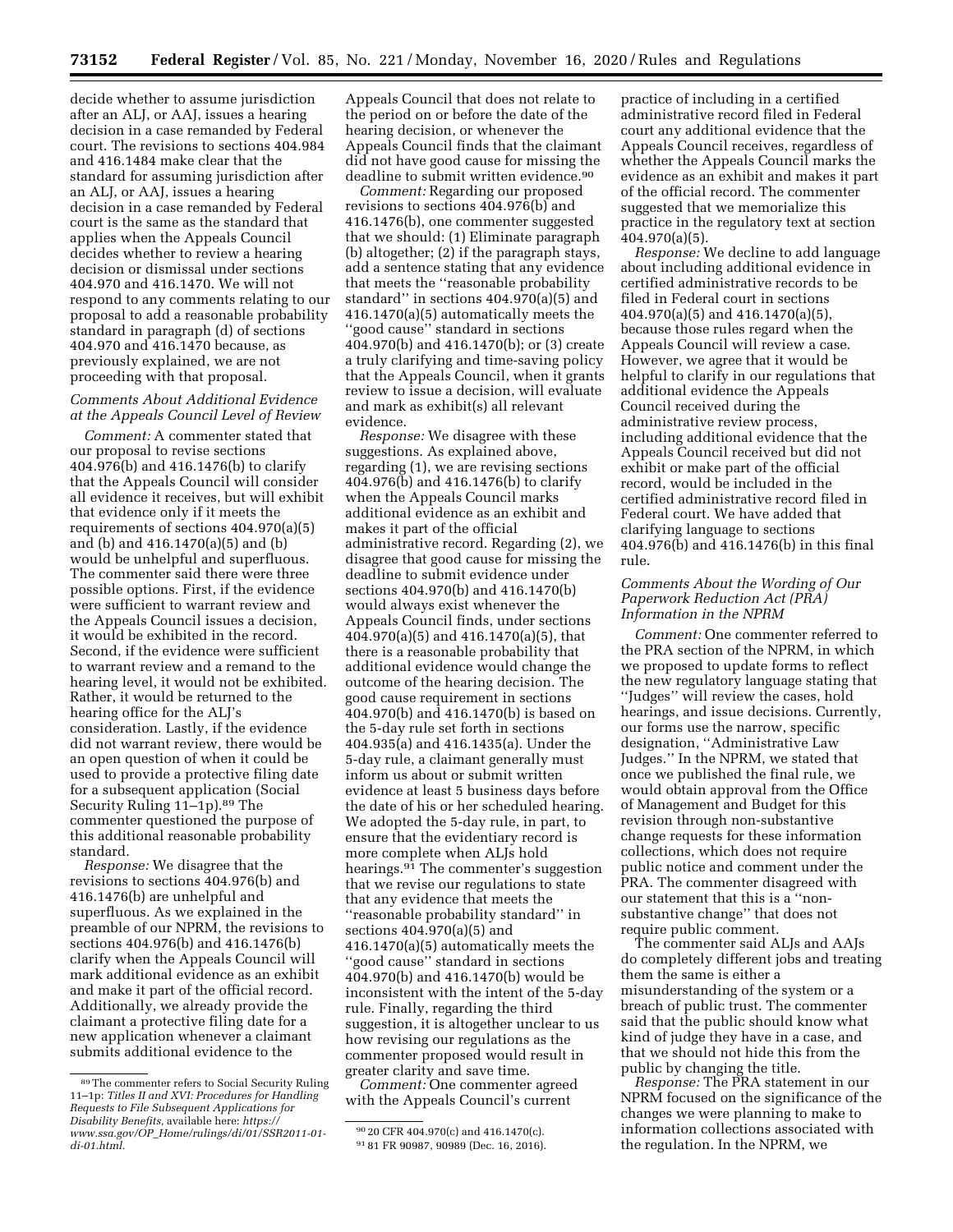decide whether to assume jurisdiction after an ALJ, or AAJ, issues a hearing decision in a case remanded by Federal court. The revisions to sections 404.984 and 416.1484 make clear that the standard for assuming jurisdiction after an ALJ, or AAJ, issues a hearing decision in a case remanded by Federal court is the same as the standard that applies when the Appeals Council decides whether to review a hearing decision or dismissal under sections 404.970 and 416.1470. We will not respond to any comments relating to our proposal to add a reasonable probability standard in paragraph (d) of sections 404.970 and 416.1470 because, as previously explained, we are not proceeding with that proposal.

# *Comments About Additional Evidence at the Appeals Council Level of Review*

*Comment:* A commenter stated that our proposal to revise sections 404.976(b) and 416.1476(b) to clarify that the Appeals Council will consider all evidence it receives, but will exhibit that evidence only if it meets the requirements of sections 404.970(a)(5) and (b) and 416.1470(a)(5) and (b) would be unhelpful and superfluous. The commenter said there were three possible options. First, if the evidence were sufficient to warrant review and the Appeals Council issues a decision, it would be exhibited in the record. Second, if the evidence were sufficient to warrant review and a remand to the hearing level, it would not be exhibited. Rather, it would be returned to the hearing office for the ALJ's consideration. Lastly, if the evidence did not warrant review, there would be an open question of when it could be used to provide a protective filing date for a subsequent application (Social Security Ruling 11–1p).<sup>89</sup> The commenter questioned the purpose of this additional reasonable probability standard.

*Response:* We disagree that the revisions to sections 404.976(b) and 416.1476(b) are unhelpful and superfluous. As we explained in the preamble of our NPRM, the revisions to sections 404.976(b) and 416.1476(b) clarify when the Appeals Council will mark additional evidence as an exhibit and make it part of the official record. Additionally, we already provide the claimant a protective filing date for a new application whenever a claimant submits additional evidence to the

Appeals Council that does not relate to the period on or before the date of the hearing decision, or whenever the Appeals Council finds that the claimant did not have good cause for missing the deadline to submit written evidence.<sup>90</sup>

*Comment:* Regarding our proposed revisions to sections 404.976(b) and 416.1476(b), one commenter suggested that we should: (1) Eliminate paragraph (b) altogether; (2) if the paragraph stays, add a sentence stating that any evidence that meets the ''reasonable probability standard'' in sections 404.970(a)(5) and 416.1470(a)(5) automatically meets the ''good cause'' standard in sections 404.970(b) and 416.1470(b); or (3) create a truly clarifying and time-saving policy that the Appeals Council, when it grants review to issue a decision, will evaluate and mark as exhibit(s) all relevant evidence.

*Response:* We disagree with these suggestions. As explained above, regarding (1), we are revising sections 404.976(b) and 416.1476(b) to clarify when the Appeals Council marks additional evidence as an exhibit and makes it part of the official administrative record. Regarding (2), we disagree that good cause for missing the deadline to submit evidence under sections 404.970(b) and 416.1470(b) would always exist whenever the Appeals Council finds, under sections 404.970(a)(5) and 416.1470(a)(5), that there is a reasonable probability that additional evidence would change the outcome of the hearing decision. The good cause requirement in sections 404.970(b) and 416.1470(b) is based on the 5-day rule set forth in sections 404.935(a) and 416.1435(a). Under the 5-day rule, a claimant generally must inform us about or submit written evidence at least 5 business days before the date of his or her scheduled hearing. We adopted the 5-day rule, in part, to ensure that the evidentiary record is more complete when ALJs hold hearings.<sup>91</sup> The commenter's suggestion that we revise our regulations to state that any evidence that meets the ''reasonable probability standard'' in sections 404.970(a)(5) and 416.1470(a)(5) automatically meets the ''good cause'' standard in sections 404.970(b) and 416.1470(b) would be inconsistent with the intent of the 5-day rule. Finally, regarding the third suggestion, it is altogether unclear to us how revising our regulations as the commenter proposed would result in greater clarity and save time.

*Comment:* One commenter agreed with the Appeals Council's current

practice of including in a certified administrative record filed in Federal court any additional evidence that the Appeals Council receives, regardless of whether the Appeals Council marks the evidence as an exhibit and makes it part of the official record. The commenter suggested that we memorialize this practice in the regulatory text at section 404.970(a)(5).

*Response:* We decline to add language about including additional evidence in certified administrative records to be filed in Federal court in sections 404.970(a)(5) and 416.1470(a)(5), because those rules regard when the Appeals Council will review a case. However, we agree that it would be helpful to clarify in our regulations that additional evidence the Appeals Council received during the administrative review process, including additional evidence that the Appeals Council received but did not exhibit or make part of the official record, would be included in the certified administrative record filed in Federal court. We have added that clarifying language to sections 404.976(b) and 416.1476(b) in this final rule.

# *Comments About the Wording of Our Paperwork Reduction Act (PRA) Information in the NPRM*

*Comment:* One commenter referred to the PRA section of the NPRM, in which we proposed to update forms to reflect the new regulatory language stating that ''Judges'' will review the cases, hold hearings, and issue decisions. Currently, our forms use the narrow, specific designation, ''Administrative Law Judges.'' In the NPRM, we stated that once we published the final rule, we would obtain approval from the Office of Management and Budget for this revision through non-substantive change requests for these information collections, which does not require public notice and comment under the PRA. The commenter disagreed with our statement that this is a ''nonsubstantive change'' that does not require public comment.

The commenter said ALJs and AAJs do completely different jobs and treating them the same is either a misunderstanding of the system or a breach of public trust. The commenter said that the public should know what kind of judge they have in a case, and that we should not hide this from the public by changing the title.

*Response:* The PRA statement in our NPRM focused on the significance of the changes we were planning to make to information collections associated with the regulation. In the NPRM, we

<sup>89</sup>The commenter refers to Social Security Ruling 11–1p: *Titles II and XVI: Procedures for Handling Requests to File Subsequent Applications for Disability Benefits,* available here: *[https://](https://www.ssa.gov/OP_Home/rulings/di/01/SSR2011-01-di-01.html) www.ssa.gov/OP*\_*[Home/rulings/di/01/SSR2011-01](https://www.ssa.gov/OP_Home/rulings/di/01/SSR2011-01-di-01.html)  [di-01.html.](https://www.ssa.gov/OP_Home/rulings/di/01/SSR2011-01-di-01.html)* 

<sup>90</sup> 20 CFR 404.970(c) and 416.1470(c). 91 81 FR 90987, 90989 (Dec. 16, 2016).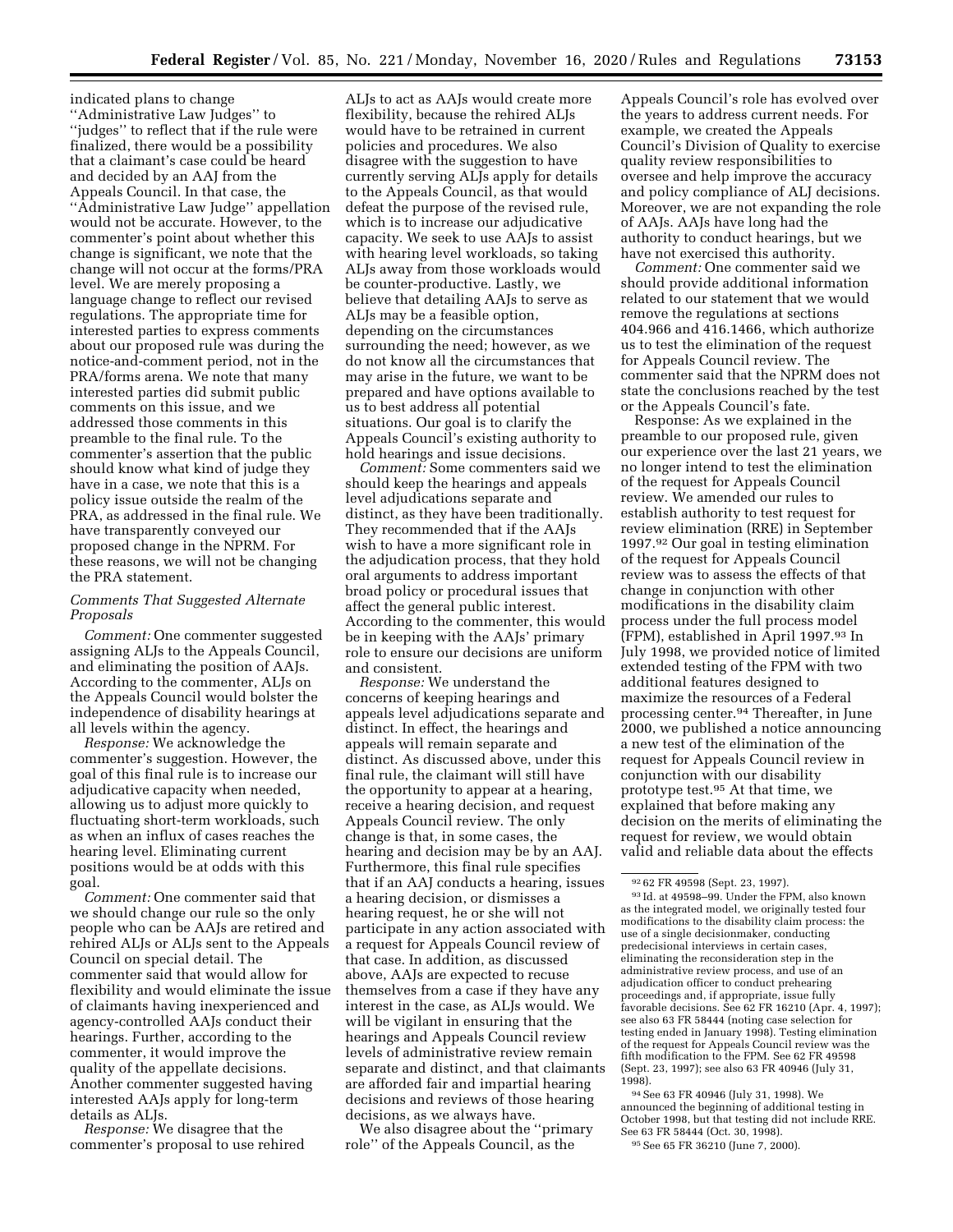indicated plans to change ''Administrative Law Judges'' to ''judges'' to reflect that if the rule were finalized, there would be a possibility that a claimant's case could be heard and decided by an AAJ from the Appeals Council. In that case, the ''Administrative Law Judge'' appellation would not be accurate. However, to the commenter's point about whether this change is significant, we note that the change will not occur at the forms/PRA level. We are merely proposing a language change to reflect our revised regulations. The appropriate time for interested parties to express comments about our proposed rule was during the notice-and-comment period, not in the PRA/forms arena. We note that many interested parties did submit public comments on this issue, and we addressed those comments in this preamble to the final rule. To the commenter's assertion that the public should know what kind of judge they have in a case, we note that this is a policy issue outside the realm of the PRA, as addressed in the final rule. We have transparently conveyed our proposed change in the NPRM. For these reasons, we will not be changing the PRA statement.

# *Comments That Suggested Alternate Proposals*

*Comment:* One commenter suggested assigning ALJs to the Appeals Council, and eliminating the position of AAJs. According to the commenter, ALJs on the Appeals Council would bolster the independence of disability hearings at all levels within the agency.

*Response:* We acknowledge the commenter's suggestion. However, the goal of this final rule is to increase our adjudicative capacity when needed, allowing us to adjust more quickly to fluctuating short-term workloads, such as when an influx of cases reaches the hearing level. Eliminating current positions would be at odds with this goal.

*Comment:* One commenter said that we should change our rule so the only people who can be AAJs are retired and rehired ALJs or ALJs sent to the Appeals Council on special detail. The commenter said that would allow for flexibility and would eliminate the issue of claimants having inexperienced and agency-controlled AAJs conduct their hearings. Further, according to the commenter, it would improve the quality of the appellate decisions. Another commenter suggested having interested AAJs apply for long-term details as ALJs.

*Response:* We disagree that the commenter's proposal to use rehired

ALJs to act as AAJs would create more flexibility, because the rehired ALJs would have to be retrained in current policies and procedures. We also disagree with the suggestion to have currently serving ALJs apply for details to the Appeals Council, as that would defeat the purpose of the revised rule, which is to increase our adjudicative capacity. We seek to use AAJs to assist with hearing level workloads, so taking ALJs away from those workloads would be counter-productive. Lastly, we believe that detailing AAJs to serve as ALJs may be a feasible option, depending on the circumstances surrounding the need; however, as we do not know all the circumstances that may arise in the future, we want to be prepared and have options available to us to best address all potential situations. Our goal is to clarify the Appeals Council's existing authority to hold hearings and issue decisions.

*Comment:* Some commenters said we should keep the hearings and appeals level adjudications separate and distinct, as they have been traditionally. They recommended that if the AAJs wish to have a more significant role in the adjudication process, that they hold oral arguments to address important broad policy or procedural issues that affect the general public interest. According to the commenter, this would be in keeping with the AAJs' primary role to ensure our decisions are uniform and consistent.

*Response:* We understand the concerns of keeping hearings and appeals level adjudications separate and distinct. In effect, the hearings and appeals will remain separate and distinct. As discussed above, under this final rule, the claimant will still have the opportunity to appear at a hearing, receive a hearing decision, and request Appeals Council review. The only change is that, in some cases, the hearing and decision may be by an AAJ. Furthermore, this final rule specifies that if an AAJ conducts a hearing, issues a hearing decision, or dismisses a hearing request, he or she will not participate in any action associated with a request for Appeals Council review of that case. In addition, as discussed above, AAJs are expected to recuse themselves from a case if they have any interest in the case, as ALJs would. We will be vigilant in ensuring that the hearings and Appeals Council review levels of administrative review remain separate and distinct, and that claimants are afforded fair and impartial hearing decisions and reviews of those hearing decisions, as we always have.

We also disagree about the ''primary role'' of the Appeals Council, as the

Appeals Council's role has evolved over the years to address current needs. For example, we created the Appeals Council's Division of Quality to exercise quality review responsibilities to oversee and help improve the accuracy and policy compliance of ALJ decisions. Moreover, we are not expanding the role of AAJs. AAJs have long had the authority to conduct hearings, but we have not exercised this authority.

*Comment:* One commenter said we should provide additional information related to our statement that we would remove the regulations at sections 404.966 and 416.1466, which authorize us to test the elimination of the request for Appeals Council review. The commenter said that the NPRM does not state the conclusions reached by the test or the Appeals Council's fate.

Response: As we explained in the preamble to our proposed rule, given our experience over the last 21 years, we no longer intend to test the elimination of the request for Appeals Council review. We amended our rules to establish authority to test request for review elimination (RRE) in September 1997.92 Our goal in testing elimination of the request for Appeals Council review was to assess the effects of that change in conjunction with other modifications in the disability claim process under the full process model (FPM), established in April 1997.93 In July 1998, we provided notice of limited extended testing of the FPM with two additional features designed to maximize the resources of a Federal processing center.94 Thereafter, in June 2000, we published a notice announcing a new test of the elimination of the request for Appeals Council review in conjunction with our disability prototype test.95 At that time, we explained that before making any decision on the merits of eliminating the request for review, we would obtain valid and reliable data about the effects

94See 63 FR 40946 (July 31, 1998). We announced the beginning of additional testing in October 1998, but that testing did not include RRE. See 63 FR 58444 (Oct. 30, 1998).

95See 65 FR 36210 (June 7, 2000).

 $9262$  FR 49598 (Sept. 23, 1997).<br> $93$ Id. at 49598–99. Under the FPM, also known as the integrated model, we originally tested four modifications to the disability claim process: the use of a single decisionmaker, conducting predecisional interviews in certain cases, eliminating the reconsideration step in the administrative review process, and use of an adjudication officer to conduct prehearing proceedings and, if appropriate, issue fully favorable decisions. See 62 FR 16210 (Apr. 4, 1997); see also 63 FR 58444 (noting case selection for testing ended in January 1998). Testing elimination of the request for Appeals Council review was the fifth modification to the FPM. See 62 FR 49598 (Sept. 23, 1997); see also 63 FR 40946 (July 31, 1998).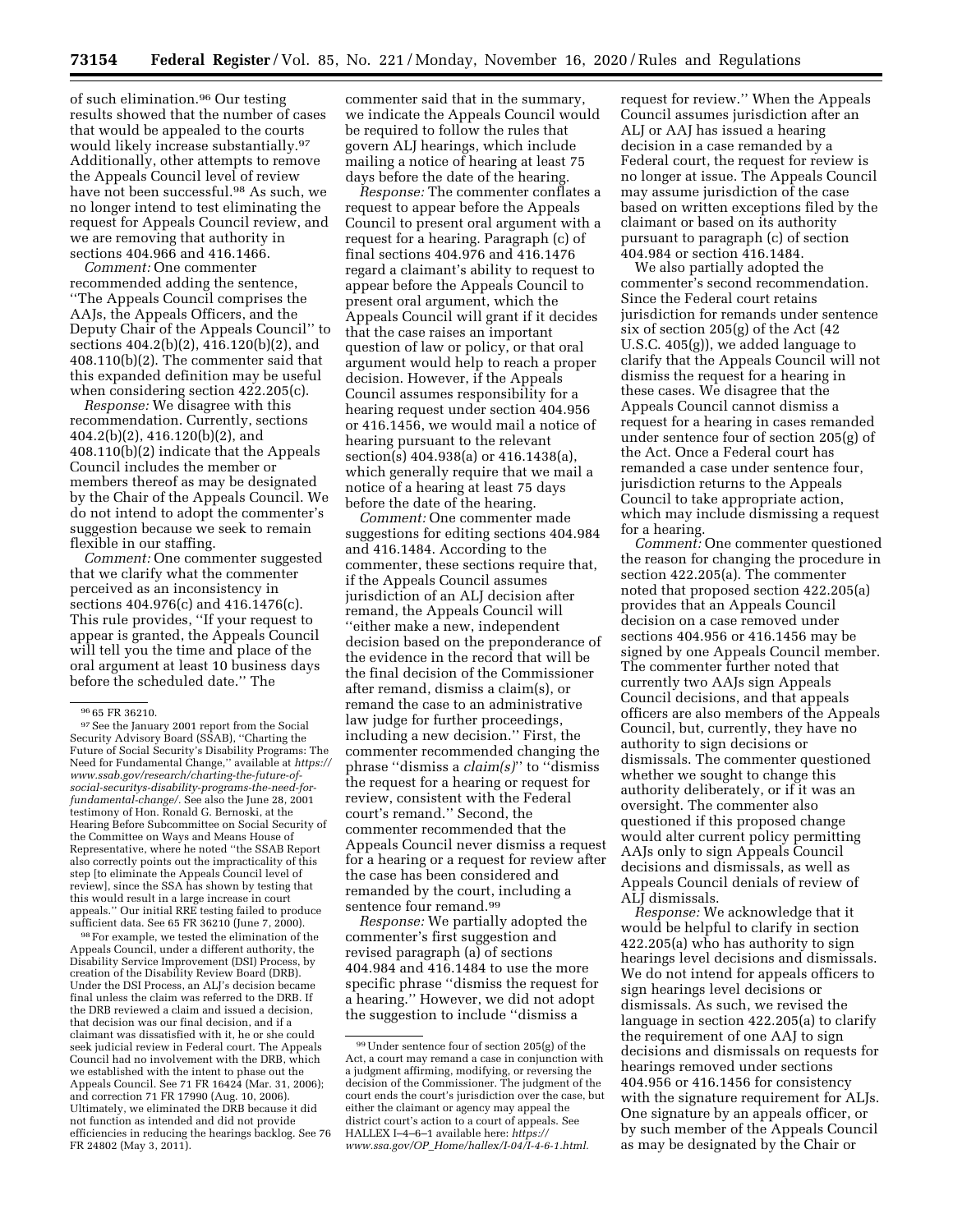of such elimination.96 Our testing results showed that the number of cases that would be appealed to the courts would likely increase substantially.97 Additionally, other attempts to remove the Appeals Council level of review have not been successful.98 As such, we no longer intend to test eliminating the request for Appeals Council review, and we are removing that authority in sections 404.966 and 416.1466.

*Comment:* One commenter recommended adding the sentence, ''The Appeals Council comprises the AAJs, the Appeals Officers, and the Deputy Chair of the Appeals Council'' to sections 404.2(b)(2), 416.120(b)(2), and 408.110(b)(2). The commenter said that this expanded definition may be useful when considering section 422.205(c).

*Response:* We disagree with this recommendation. Currently, sections 404.2(b)(2), 416.120(b)(2), and 408.110(b)(2) indicate that the Appeals Council includes the member or members thereof as may be designated by the Chair of the Appeals Council. We do not intend to adopt the commenter's suggestion because we seek to remain flexible in our staffing.

*Comment:* One commenter suggested that we clarify what the commenter perceived as an inconsistency in sections 404.976(c) and 416.1476(c). This rule provides, ''If your request to appear is granted, the Appeals Council will tell you the time and place of the oral argument at least 10 business days before the scheduled date.'' The

98For example, we tested the elimination of the Appeals Council, under a different authority, the Disability Service Improvement (DSI) Process, by creation of the Disability Review Board (DRB). Under the DSI Process, an ALJ's decision became final unless the claim was referred to the DRB. If the DRB reviewed a claim and issued a decision, that decision was our final decision, and if a claimant was dissatisfied with it, he or she could seek judicial review in Federal court. The Appeals Council had no involvement with the DRB, which we established with the intent to phase out the Appeals Council. See 71 FR 16424 (Mar. 31, 2006); and correction 71 FR 17990 (Aug. 10, 2006). Ultimately, we eliminated the DRB because it did not function as intended and did not provide efficiencies in reducing the hearings backlog. See 76 FR 24802 (May 3, 2011).

commenter said that in the summary, we indicate the Appeals Council would be required to follow the rules that govern ALJ hearings, which include mailing a notice of hearing at least 75 days before the date of the hearing.

*Response:* The commenter conflates a request to appear before the Appeals Council to present oral argument with a request for a hearing. Paragraph (c) of final sections 404.976 and 416.1476 regard a claimant's ability to request to appear before the Appeals Council to present oral argument, which the Appeals Council will grant if it decides that the case raises an important question of law or policy, or that oral argument would help to reach a proper decision. However, if the Appeals Council assumes responsibility for a hearing request under section 404.956 or 416.1456, we would mail a notice of hearing pursuant to the relevant section(s) 404.938(a) or 416.1438(a), which generally require that we mail a notice of a hearing at least 75 days before the date of the hearing.

*Comment:* One commenter made suggestions for editing sections 404.984 and 416.1484. According to the commenter, these sections require that, if the Appeals Council assumes jurisdiction of an ALJ decision after remand, the Appeals Council will ''either make a new, independent decision based on the preponderance of the evidence in the record that will be the final decision of the Commissioner after remand, dismiss a claim(s), or remand the case to an administrative law judge for further proceedings, including a new decision.'' First, the commenter recommended changing the phrase ''dismiss a *claim(s)*'' to ''dismiss the request for a hearing or request for review, consistent with the Federal court's remand.'' Second, the commenter recommended that the Appeals Council never dismiss a request for a hearing or a request for review after the case has been considered and remanded by the court, including a sentence four remand.99

*Response:* We partially adopted the commenter's first suggestion and revised paragraph (a) of sections 404.984 and 416.1484 to use the more specific phrase ''dismiss the request for a hearing.'' However, we did not adopt the suggestion to include ''dismiss a

request for review.'' When the Appeals Council assumes jurisdiction after an ALJ or AAJ has issued a hearing decision in a case remanded by a Federal court, the request for review is no longer at issue. The Appeals Council may assume jurisdiction of the case based on written exceptions filed by the claimant or based on its authority pursuant to paragraph (c) of section 404.984 or section 416.1484.

We also partially adopted the commenter's second recommendation. Since the Federal court retains jurisdiction for remands under sentence six of section 205(g) of the Act (42 U.S.C. 405(g)), we added language to clarify that the Appeals Council will not dismiss the request for a hearing in these cases. We disagree that the Appeals Council cannot dismiss a request for a hearing in cases remanded under sentence four of section 205(g) of the Act. Once a Federal court has remanded a case under sentence four, jurisdiction returns to the Appeals Council to take appropriate action, which may include dismissing a request for a hearing.

*Comment:* One commenter questioned the reason for changing the procedure in section 422.205(a). The commenter noted that proposed section 422.205(a) provides that an Appeals Council decision on a case removed under sections 404.956 or 416.1456 may be signed by one Appeals Council member. The commenter further noted that currently two AAJs sign Appeals Council decisions, and that appeals officers are also members of the Appeals Council, but, currently, they have no authority to sign decisions or dismissals. The commenter questioned whether we sought to change this authority deliberately, or if it was an oversight. The commenter also questioned if this proposed change would alter current policy permitting AAJs only to sign Appeals Council decisions and dismissals, as well as Appeals Council denials of review of ALJ dismissals.

*Response:* We acknowledge that it would be helpful to clarify in section 422.205(a) who has authority to sign hearings level decisions and dismissals. We do not intend for appeals officers to sign hearings level decisions or dismissals. As such, we revised the language in section 422.205(a) to clarify the requirement of one AAJ to sign decisions and dismissals on requests for hearings removed under sections 404.956 or 416.1456 for consistency with the signature requirement for ALJs. One signature by an appeals officer, or by such member of the Appeals Council as may be designated by the Chair or

 $^{96}\,$  65 FR 36210.  $^{97}\,$  See the January 2001 report from the Social Security Advisory Board (SSAB), ''Charting the Future of Social Security's Disability Programs: The Need for Fundamental Change,'' available at *[https://](https://www.ssab.gov/research/charting-the-future-of-social-securitys-disability-programs-the-need-for-fundamental-change/)  [www.ssab.gov/research/charting-the-future-of](https://www.ssab.gov/research/charting-the-future-of-social-securitys-disability-programs-the-need-for-fundamental-change/)[social-securitys-disability-programs-the-need-for](https://www.ssab.gov/research/charting-the-future-of-social-securitys-disability-programs-the-need-for-fundamental-change/)[fundamental-change/.](https://www.ssab.gov/research/charting-the-future-of-social-securitys-disability-programs-the-need-for-fundamental-change/)* See also the June 28, 2001 testimony of Hon. Ronald G. Bernoski, at the Hearing Before Subcommittee on Social Security of the Committee on Ways and Means House of Representative, where he noted ''the SSAB Report also correctly points out the impracticality of this step [to eliminate the Appeals Council level of review], since the SSA has shown by testing that this would result in a large increase in court appeals.'' Our initial RRE testing failed to produce sufficient data. See 65 FR 36210 (June 7, 2000).

<sup>99</sup>Under sentence four of section 205(g) of the Act, a court may remand a case in conjunction with a judgment affirming, modifying, or reversing the decision of the Commissioner. The judgment of the court ends the court's jurisdiction over the case, but either the claimant or agency may appeal the district court's action to a court of appeals. See HALLEX I–4–6–1 available here: *[https://](https://www.ssa.gov/OP_Home/hallex/I-04/I-4-6-1.html) www.ssa.gov/OP*\_*[Home/hallex/I-04/I-4-6-1.html.](https://www.ssa.gov/OP_Home/hallex/I-04/I-4-6-1.html)*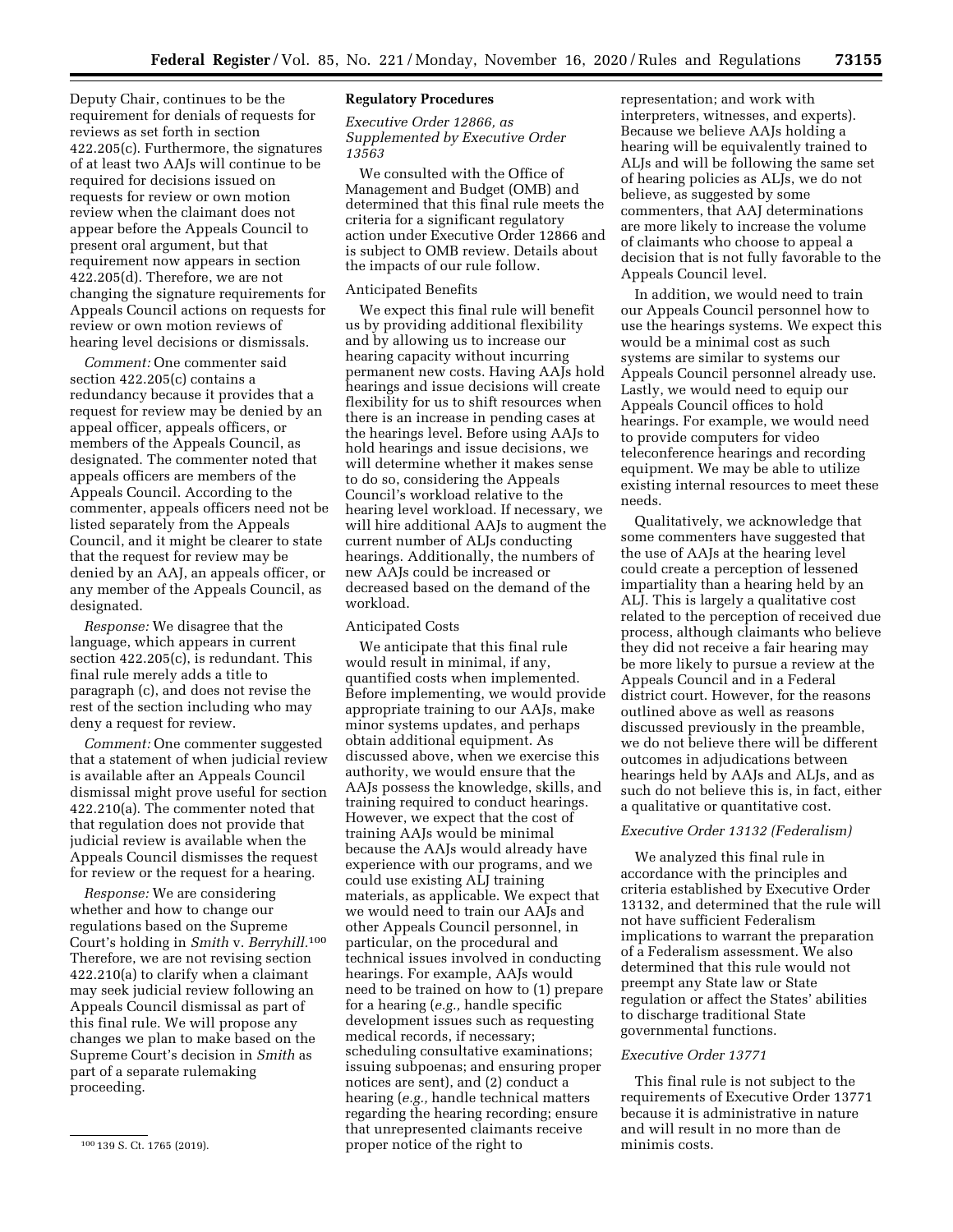Deputy Chair, continues to be the requirement for denials of requests for reviews as set forth in section 422.205(c). Furthermore, the signatures of at least two AAJs will continue to be required for decisions issued on requests for review or own motion review when the claimant does not appear before the Appeals Council to present oral argument, but that requirement now appears in section 422.205(d). Therefore, we are not changing the signature requirements for Appeals Council actions on requests for review or own motion reviews of hearing level decisions or dismissals.

*Comment:* One commenter said section 422.205(c) contains a redundancy because it provides that a request for review may be denied by an appeal officer, appeals officers, or members of the Appeals Council, as designated. The commenter noted that appeals officers are members of the Appeals Council. According to the commenter, appeals officers need not be listed separately from the Appeals Council, and it might be clearer to state that the request for review may be denied by an AAJ, an appeals officer, or any member of the Appeals Council, as designated.

*Response:* We disagree that the language, which appears in current section 422.205(c), is redundant. This final rule merely adds a title to paragraph (c), and does not revise the rest of the section including who may deny a request for review.

*Comment:* One commenter suggested that a statement of when judicial review is available after an Appeals Council dismissal might prove useful for section 422.210(a). The commenter noted that that regulation does not provide that judicial review is available when the Appeals Council dismisses the request for review or the request for a hearing.

*Response:* We are considering whether and how to change our regulations based on the Supreme Court's holding in *Smith* v. *Berryhill.*<sup>100</sup> Therefore, we are not revising section 422.210(a) to clarify when a claimant may seek judicial review following an Appeals Council dismissal as part of this final rule. We will propose any changes we plan to make based on the Supreme Court's decision in *Smith* as part of a separate rulemaking proceeding.

# **Regulatory Procedures**

*Executive Order 12866, as Supplemented by Executive Order 13563* 

We consulted with the Office of Management and Budget (OMB) and determined that this final rule meets the criteria for a significant regulatory action under Executive Order 12866 and is subject to OMB review. Details about the impacts of our rule follow.

#### Anticipated Benefits

We expect this final rule will benefit us by providing additional flexibility and by allowing us to increase our hearing capacity without incurring permanent new costs. Having AAJs hold hearings and issue decisions will create flexibility for us to shift resources when there is an increase in pending cases at the hearings level. Before using AAJs to hold hearings and issue decisions, we will determine whether it makes sense to do so, considering the Appeals Council's workload relative to the hearing level workload. If necessary, we will hire additional AAJs to augment the current number of ALJs conducting hearings. Additionally, the numbers of new AAJs could be increased or decreased based on the demand of the workload.

#### Anticipated Costs

We anticipate that this final rule would result in minimal, if any, quantified costs when implemented. Before implementing, we would provide appropriate training to our AAJs, make minor systems updates, and perhaps obtain additional equipment. As discussed above, when we exercise this authority, we would ensure that the AAJs possess the knowledge, skills, and training required to conduct hearings. However, we expect that the cost of training AAJs would be minimal because the AAJs would already have experience with our programs, and we could use existing ALJ training materials, as applicable. We expect that we would need to train our AAJs and other Appeals Council personnel, in particular, on the procedural and technical issues involved in conducting hearings. For example, AAJs would need to be trained on how to (1) prepare for a hearing (*e.g.,* handle specific development issues such as requesting medical records, if necessary; scheduling consultative examinations; issuing subpoenas; and ensuring proper notices are sent), and (2) conduct a hearing (*e.g.,* handle technical matters regarding the hearing recording; ensure that unrepresented claimants receive proper notice of the right to

representation; and work with interpreters, witnesses, and experts). Because we believe AAJs holding a hearing will be equivalently trained to ALJs and will be following the same set of hearing policies as ALJs, we do not believe, as suggested by some commenters, that AAJ determinations are more likely to increase the volume of claimants who choose to appeal a decision that is not fully favorable to the Appeals Council level.

In addition, we would need to train our Appeals Council personnel how to use the hearings systems. We expect this would be a minimal cost as such systems are similar to systems our Appeals Council personnel already use. Lastly, we would need to equip our Appeals Council offices to hold hearings. For example, we would need to provide computers for video teleconference hearings and recording equipment. We may be able to utilize existing internal resources to meet these needs.

Qualitatively, we acknowledge that some commenters have suggested that the use of AAJs at the hearing level could create a perception of lessened impartiality than a hearing held by an ALJ. This is largely a qualitative cost related to the perception of received due process, although claimants who believe they did not receive a fair hearing may be more likely to pursue a review at the Appeals Council and in a Federal district court. However, for the reasons outlined above as well as reasons discussed previously in the preamble, we do not believe there will be different outcomes in adjudications between hearings held by AAJs and ALJs, and as such do not believe this is, in fact, either a qualitative or quantitative cost.

# *Executive Order 13132 (Federalism)*

We analyzed this final rule in accordance with the principles and criteria established by Executive Order 13132, and determined that the rule will not have sufficient Federalism implications to warrant the preparation of a Federalism assessment. We also determined that this rule would not preempt any State law or State regulation or affect the States' abilities to discharge traditional State governmental functions.

#### *Executive Order 13771*

This final rule is not subject to the requirements of Executive Order 13771 because it is administrative in nature and will result in no more than de minimis costs.

<sup>100</sup> 139 S. Ct. 1765 (2019).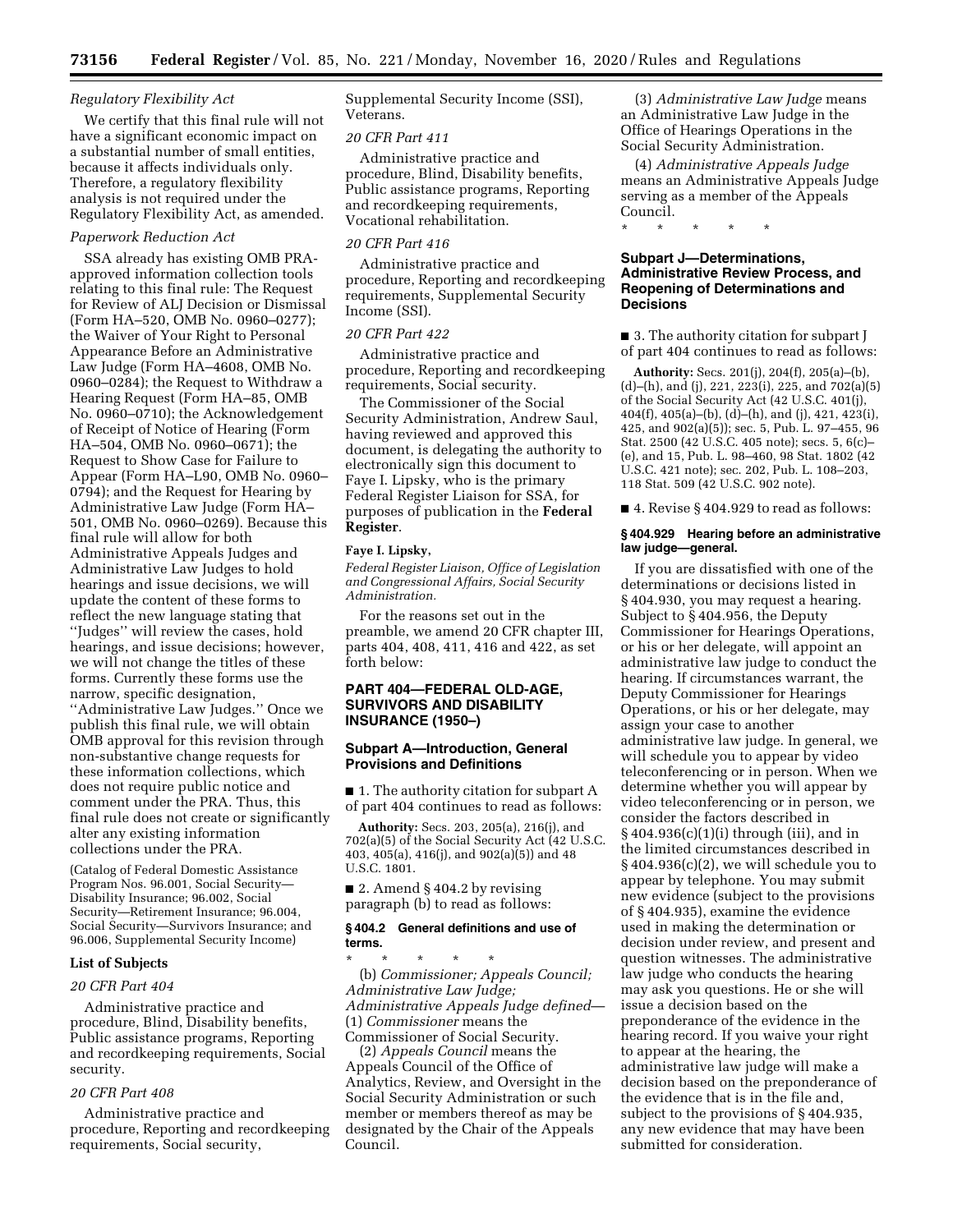### *Regulatory Flexibility Act*

We certify that this final rule will not have a significant economic impact on a substantial number of small entities, because it affects individuals only. Therefore, a regulatory flexibility analysis is not required under the Regulatory Flexibility Act, as amended.

# *Paperwork Reduction Act*

SSA already has existing OMB PRAapproved information collection tools relating to this final rule: The Request for Review of ALJ Decision or Dismissal (Form HA–520, OMB No. 0960–0277); the Waiver of Your Right to Personal Appearance Before an Administrative Law Judge (Form HA–4608, OMB No. 0960–0284); the Request to Withdraw a Hearing Request (Form HA–85, OMB No. 0960–0710); the Acknowledgement of Receipt of Notice of Hearing (Form HA–504, OMB No. 0960–0671); the Request to Show Case for Failure to Appear (Form HA–L90, OMB No. 0960– 0794); and the Request for Hearing by Administrative Law Judge (Form HA– 501, OMB No. 0960–0269). Because this final rule will allow for both Administrative Appeals Judges and Administrative Law Judges to hold hearings and issue decisions, we will update the content of these forms to reflect the new language stating that ''Judges'' will review the cases, hold hearings, and issue decisions; however, we will not change the titles of these forms. Currently these forms use the narrow, specific designation, ''Administrative Law Judges.'' Once we publish this final rule, we will obtain OMB approval for this revision through non-substantive change requests for these information collections, which does not require public notice and comment under the PRA. Thus, this final rule does not create or significantly alter any existing information collections under the PRA.

(Catalog of Federal Domestic Assistance Program Nos. 96.001, Social Security— Disability Insurance; 96.002, Social Security—Retirement Insurance; 96.004, Social Security—Survivors Insurance; and 96.006, Supplemental Security Income)

#### **List of Subjects**

#### *20 CFR Part 404*

Administrative practice and procedure, Blind, Disability benefits, Public assistance programs, Reporting and recordkeeping requirements, Social security.

# *20 CFR Part 408*

Administrative practice and procedure, Reporting and recordkeeping requirements, Social security,

Supplemental Security Income (SSI), Veterans.

### *20 CFR Part 411*

Administrative practice and procedure, Blind, Disability benefits, Public assistance programs, Reporting and recordkeeping requirements, Vocational rehabilitation.

#### *20 CFR Part 416*

Administrative practice and procedure, Reporting and recordkeeping requirements, Supplemental Security Income (SSI).

## *20 CFR Part 422*

Administrative practice and procedure, Reporting and recordkeeping requirements, Social security.

The Commissioner of the Social Security Administration, Andrew Saul, having reviewed and approved this document, is delegating the authority to electronically sign this document to Faye I. Lipsky, who is the primary Federal Register Liaison for SSA, for purposes of publication in the **Federal Register**.

#### **Faye I. Lipsky,**

*Federal Register Liaison, Office of Legislation and Congressional Affairs, Social Security Administration.* 

For the reasons set out in the preamble, we amend 20 CFR chapter III, parts 404, 408, 411, 416 and 422, as set forth below:

# **PART 404—FEDERAL OLD-AGE, SURVIVORS AND DISABILITY INSURANCE (1950–)**

# **Subpart A—Introduction, General Provisions and Definitions**

■ 1. The authority citation for subpart A of part 404 continues to read as follows:

**Authority:** Secs. 203, 205(a), 216(j), and 702(a)(5) of the Social Security Act (42 U.S.C. 403, 405(a), 416(j), and  $902(a)(5)$  and 48 U.S.C. 1801.

 $\blacksquare$  2. Amend § 404.2 by revising paragraph (b) to read as follows:

### **§ 404.2 General definitions and use of terms.**

\* \* \* \* \* (b) *Commissioner; Appeals Council; Administrative Law Judge; Administrative Appeals Judge defined*— (1) *Commissioner* means the Commissioner of Social Security.

(2) *Appeals Council* means the Appeals Council of the Office of Analytics, Review, and Oversight in the Social Security Administration or such member or members thereof as may be designated by the Chair of the Appeals Council.

(3) *Administrative Law Judge* means an Administrative Law Judge in the Office of Hearings Operations in the Social Security Administration.

(4) *Administrative Appeals Judge*  means an Administrative Appeals Judge serving as a member of the Appeals Council.

\* \* \* \* \*

# **Subpart J—Determinations, Administrative Review Process, and Reopening of Determinations and Decisions**

■ 3. The authority citation for subpart J of part 404 continues to read as follows:

**Authority:** Secs. 201(j), 204(f), 205(a)–(b), (d)–(h), and (j), 221, 223(i), 225, and 702(a)(5) of the Social Security Act (42 U.S.C. 401(j), 404(f), 405(a)–(b), (d)–(h), and (j), 421, 423(i), 425, and 902(a)(5)); sec. 5, Pub. L. 97–455, 96 Stat. 2500 (42 U.S.C. 405 note); secs. 5, 6(c)– (e), and 15, Pub. L. 98–460, 98 Stat. 1802 (42 U.S.C. 421 note); sec. 202, Pub. L. 108–203, 118 Stat. 509 (42 U.S.C. 902 note).

■ 4. Revise § 404.929 to read as follows:

### **§ 404.929 Hearing before an administrative law judge—general.**

If you are dissatisfied with one of the determinations or decisions listed in § 404.930, you may request a hearing. Subject to § 404.956, the Deputy Commissioner for Hearings Operations, or his or her delegate, will appoint an administrative law judge to conduct the hearing. If circumstances warrant, the Deputy Commissioner for Hearings Operations, or his or her delegate, may assign your case to another administrative law judge. In general, we will schedule you to appear by video teleconferencing or in person. When we determine whether you will appear by video teleconferencing or in person, we consider the factors described in § 404.936(c)(1)(i) through (iii), and in the limited circumstances described in  $§404.936(c)(2)$ , we will schedule you to appear by telephone. You may submit new evidence (subject to the provisions of § 404.935), examine the evidence used in making the determination or decision under review, and present and question witnesses. The administrative law judge who conducts the hearing may ask you questions. He or she will issue a decision based on the preponderance of the evidence in the hearing record. If you waive your right to appear at the hearing, the administrative law judge will make a decision based on the preponderance of the evidence that is in the file and, subject to the provisions of § 404.935, any new evidence that may have been submitted for consideration.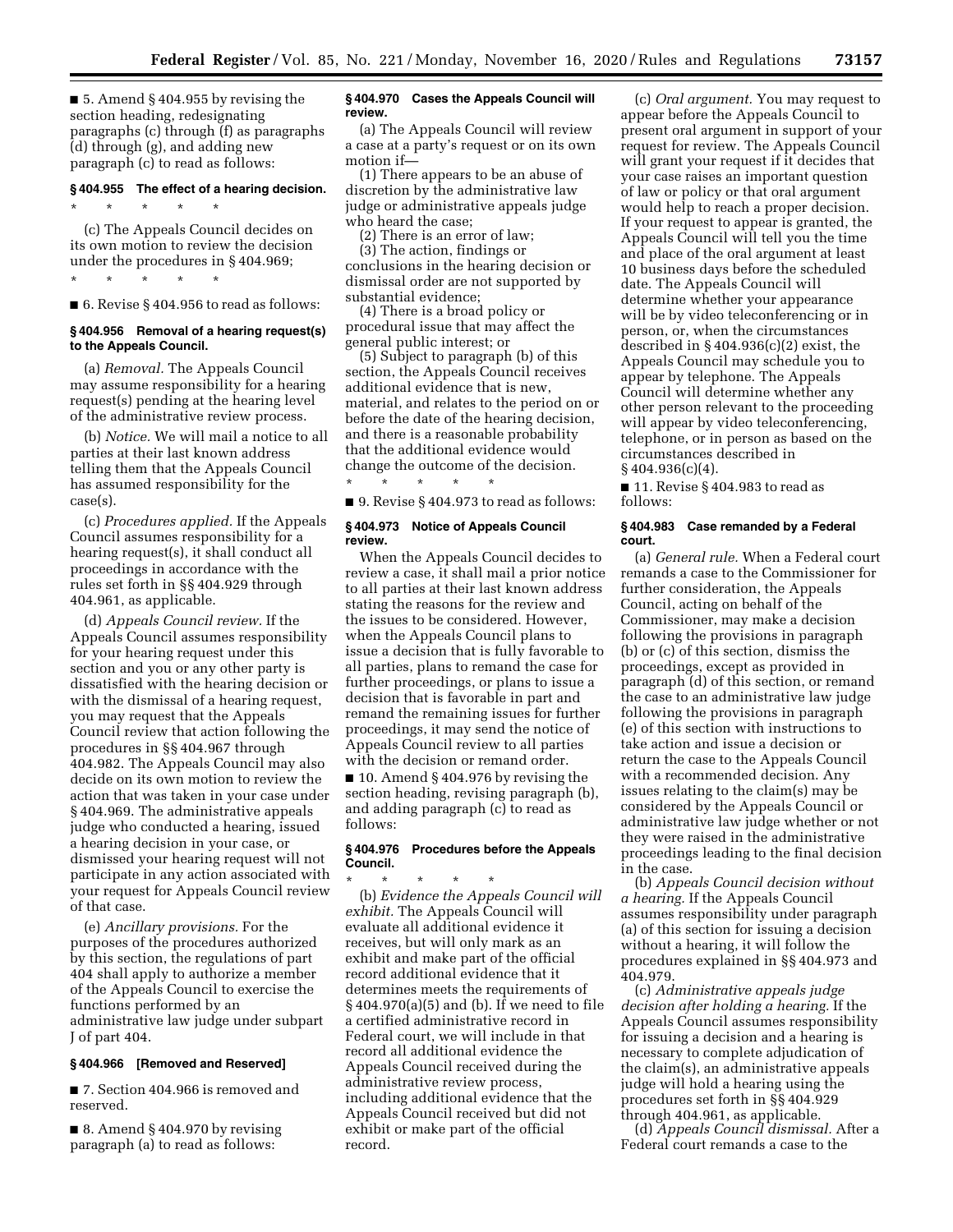■ 5. Amend § 404.955 by revising the section heading, redesignating paragraphs (c) through (f) as paragraphs (d) through (g), and adding new paragraph (c) to read as follows:

# **§ 404.955 The effect of a hearing decision.**

(c) The Appeals Council decides on its own motion to review the decision under the procedures in § 404.969;

\* \* \* \* \*

\* \* \* \* \*

■ 6. Revise § 404.956 to read as follows:

#### **§ 404.956 Removal of a hearing request(s) to the Appeals Council.**

(a) *Removal.* The Appeals Council may assume responsibility for a hearing request(s) pending at the hearing level of the administrative review process.

(b) *Notice.* We will mail a notice to all parties at their last known address telling them that the Appeals Council has assumed responsibility for the case(s).

(c) *Procedures applied.* If the Appeals Council assumes responsibility for a hearing request(s), it shall conduct all proceedings in accordance with the rules set forth in §§ 404.929 through 404.961, as applicable.

(d) *Appeals Council review.* If the Appeals Council assumes responsibility for your hearing request under this section and you or any other party is dissatisfied with the hearing decision or with the dismissal of a hearing request, you may request that the Appeals Council review that action following the procedures in §§ 404.967 through 404.982. The Appeals Council may also decide on its own motion to review the action that was taken in your case under § 404.969. The administrative appeals judge who conducted a hearing, issued a hearing decision in your case, or dismissed your hearing request will not participate in any action associated with your request for Appeals Council review of that case.

(e) *Ancillary provisions.* For the purposes of the procedures authorized by this section, the regulations of part 404 shall apply to authorize a member of the Appeals Council to exercise the functions performed by an administrative law judge under subpart J of part 404.

#### **§ 404.966 [Removed and Reserved]**

■ 7. Section 404.966 is removed and reserved.

 $\blacksquare$  8. Amend § 404.970 by revising paragraph (a) to read as follows:

#### **§ 404.970 Cases the Appeals Council will review.**

(a) The Appeals Council will review a case at a party's request or on its own motion if—

(1) There appears to be an abuse of discretion by the administrative law judge or administrative appeals judge who heard the case;

(2) There is an error of law;

(3) The action, findings or conclusions in the hearing decision or dismissal order are not supported by substantial evidence;

(4) There is a broad policy or procedural issue that may affect the general public interest; or

(5) Subject to paragraph (b) of this section, the Appeals Council receives additional evidence that is new, material, and relates to the period on or before the date of the hearing decision, and there is a reasonable probability that the additional evidence would change the outcome of the decision. \* \* \* \* \*

■ 9. Revise § 404.973 to read as follows:

### **§ 404.973 Notice of Appeals Council review.**

When the Appeals Council decides to review a case, it shall mail a prior notice to all parties at their last known address stating the reasons for the review and the issues to be considered. However, when the Appeals Council plans to issue a decision that is fully favorable to all parties, plans to remand the case for further proceedings, or plans to issue a decision that is favorable in part and remand the remaining issues for further proceedings, it may send the notice of Appeals Council review to all parties with the decision or remand order.

 $\blacksquare$  10. Amend § 404.976 by revising the section heading, revising paragraph (b), and adding paragraph (c) to read as follows:

# **§ 404.976 Procedures before the Appeals Council.**

\* \* \* \* \* (b) *Evidence the Appeals Council will exhibit.* The Appeals Council will evaluate all additional evidence it receives, but will only mark as an exhibit and make part of the official record additional evidence that it determines meets the requirements of § 404.970(a)(5) and (b). If we need to file a certified administrative record in Federal court, we will include in that record all additional evidence the Appeals Council received during the administrative review process, including additional evidence that the Appeals Council received but did not exhibit or make part of the official record.

(c) *Oral argument.* You may request to appear before the Appeals Council to present oral argument in support of your request for review. The Appeals Council will grant your request if it decides that your case raises an important question of law or policy or that oral argument would help to reach a proper decision. If your request to appear is granted, the Appeals Council will tell you the time and place of the oral argument at least 10 business days before the scheduled date. The Appeals Council will determine whether your appearance will be by video teleconferencing or in person, or, when the circumstances described in § 404.936(c)(2) exist, the Appeals Council may schedule you to appear by telephone. The Appeals Council will determine whether any other person relevant to the proceeding will appear by video teleconferencing, telephone, or in person as based on the circumstances described in § 404.936(c)(4).

■ 11. Revise § 404.983 to read as follows:

### **§ 404.983 Case remanded by a Federal court.**

(a) *General rule.* When a Federal court remands a case to the Commissioner for further consideration, the Appeals Council, acting on behalf of the Commissioner, may make a decision following the provisions in paragraph (b) or (c) of this section, dismiss the proceedings, except as provided in paragraph (d) of this section, or remand the case to an administrative law judge following the provisions in paragraph (e) of this section with instructions to take action and issue a decision or return the case to the Appeals Council with a recommended decision. Any issues relating to the claim(s) may be considered by the Appeals Council or administrative law judge whether or not they were raised in the administrative proceedings leading to the final decision in the case.

(b) *Appeals Council decision without a hearing.* If the Appeals Council assumes responsibility under paragraph (a) of this section for issuing a decision without a hearing, it will follow the procedures explained in §§ 404.973 and 404.979.

(c) *Administrative appeals judge decision after holding a hearing.* If the Appeals Council assumes responsibility for issuing a decision and a hearing is necessary to complete adjudication of the claim(s), an administrative appeals judge will hold a hearing using the procedures set forth in §§ 404.929 through 404.961, as applicable.

(d) *Appeals Council dismissal.* After a Federal court remands a case to the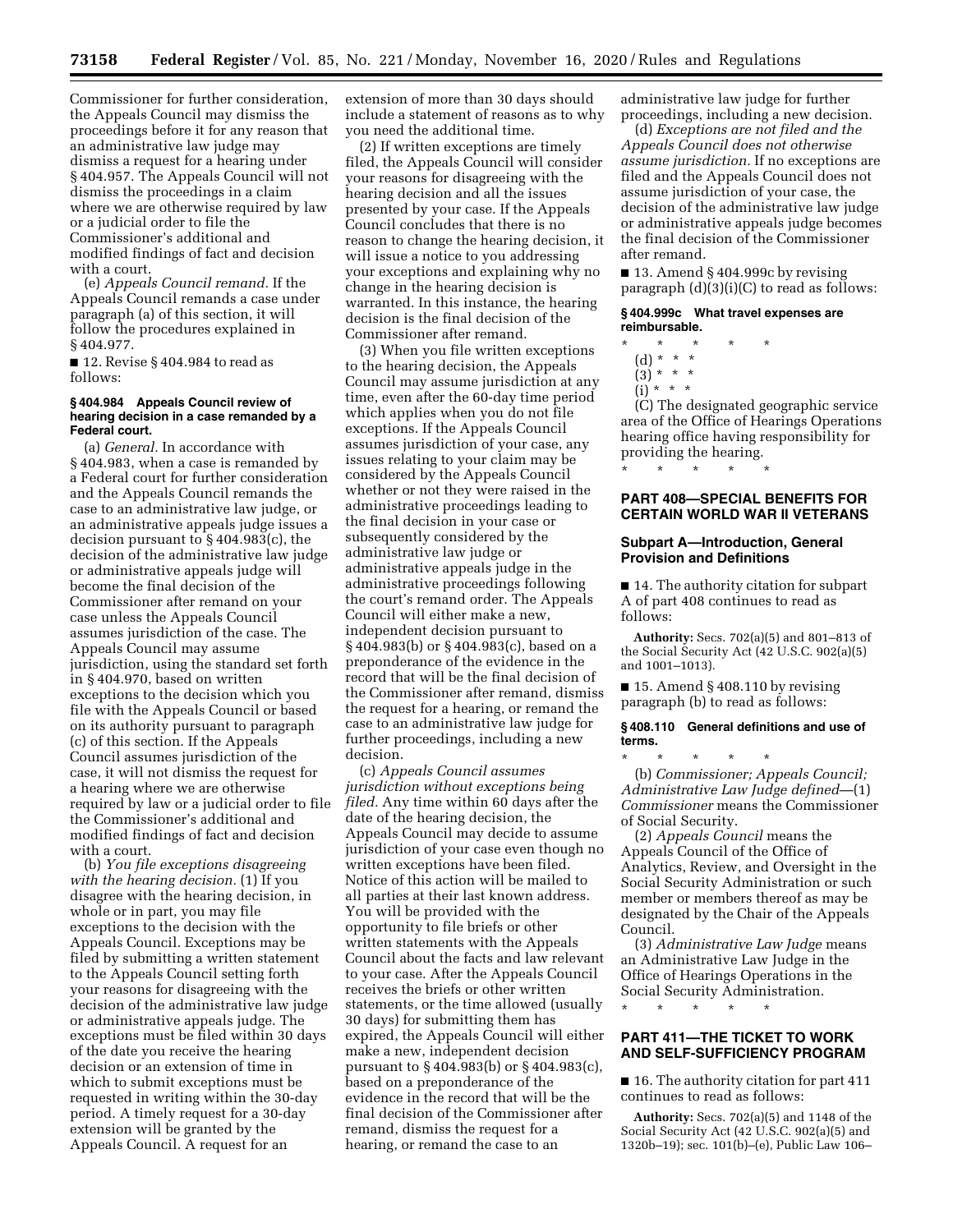Commissioner for further consideration, the Appeals Council may dismiss the proceedings before it for any reason that an administrative law judge may dismiss a request for a hearing under § 404.957. The Appeals Council will not dismiss the proceedings in a claim where we are otherwise required by law or a judicial order to file the Commissioner's additional and modified findings of fact and decision with a court.

(e) *Appeals Council remand.* If the Appeals Council remands a case under paragraph (a) of this section, it will follow the procedures explained in § 404.977.

■ 12. Revise § 404.984 to read as follows:

### **§ 404.984 Appeals Council review of hearing decision in a case remanded by a Federal court.**

(a) *General.* In accordance with § 404.983, when a case is remanded by a Federal court for further consideration and the Appeals Council remands the case to an administrative law judge, or an administrative appeals judge issues a decision pursuant to § 404.983(c), the decision of the administrative law judge or administrative appeals judge will become the final decision of the Commissioner after remand on your case unless the Appeals Council assumes jurisdiction of the case. The Appeals Council may assume jurisdiction, using the standard set forth in § 404.970, based on written exceptions to the decision which you file with the Appeals Council or based on its authority pursuant to paragraph (c) of this section. If the Appeals Council assumes jurisdiction of the case, it will not dismiss the request for a hearing where we are otherwise required by law or a judicial order to file the Commissioner's additional and modified findings of fact and decision with a court.

(b) *You file exceptions disagreeing with the hearing decision.* (1) If you disagree with the hearing decision, in whole or in part, you may file exceptions to the decision with the Appeals Council. Exceptions may be filed by submitting a written statement to the Appeals Council setting forth your reasons for disagreeing with the decision of the administrative law judge or administrative appeals judge. The exceptions must be filed within 30 days of the date you receive the hearing decision or an extension of time in which to submit exceptions must be requested in writing within the 30-day period. A timely request for a 30-day extension will be granted by the Appeals Council. A request for an

extension of more than 30 days should include a statement of reasons as to why you need the additional time.

(2) If written exceptions are timely filed, the Appeals Council will consider your reasons for disagreeing with the hearing decision and all the issues presented by your case. If the Appeals Council concludes that there is no reason to change the hearing decision, it will issue a notice to you addressing your exceptions and explaining why no change in the hearing decision is warranted. In this instance, the hearing decision is the final decision of the Commissioner after remand.

(3) When you file written exceptions to the hearing decision, the Appeals Council may assume jurisdiction at any time, even after the 60-day time period which applies when you do not file exceptions. If the Appeals Council assumes jurisdiction of your case, any issues relating to your claim may be considered by the Appeals Council whether or not they were raised in the administrative proceedings leading to the final decision in your case or subsequently considered by the administrative law judge or administrative appeals judge in the administrative proceedings following the court's remand order. The Appeals Council will either make a new, independent decision pursuant to § 404.983(b) or § 404.983(c), based on a preponderance of the evidence in the record that will be the final decision of the Commissioner after remand, dismiss the request for a hearing, or remand the case to an administrative law judge for further proceedings, including a new decision.

(c) *Appeals Council assumes jurisdiction without exceptions being filed.* Any time within 60 days after the date of the hearing decision, the Appeals Council may decide to assume jurisdiction of your case even though no written exceptions have been filed. Notice of this action will be mailed to all parties at their last known address. You will be provided with the opportunity to file briefs or other written statements with the Appeals Council about the facts and law relevant to your case. After the Appeals Council receives the briefs or other written statements, or the time allowed (usually 30 days) for submitting them has expired, the Appeals Council will either make a new, independent decision pursuant to § 404.983(b) or § 404.983(c), based on a preponderance of the evidence in the record that will be the final decision of the Commissioner after remand, dismiss the request for a hearing, or remand the case to an

administrative law judge for further proceedings, including a new decision.

(d) *Exceptions are not filed and the Appeals Council does not otherwise assume jurisdiction.* If no exceptions are filed and the Appeals Council does not assume jurisdiction of your case, the decision of the administrative law judge or administrative appeals judge becomes the final decision of the Commissioner after remand.

■ 13. Amend § 404.999c by revising paragraph (d)(3)(i)(C) to read as follows:

#### **§ 404.999c What travel expenses are reimbursable.**

- \* \* \* \* \*
	- (d) \* \* \*
	- $(3)^{*}$  \* \*
- $(i) * * * *$

(C) The designated geographic service area of the Office of Hearings Operations hearing office having responsibility for providing the hearing. \* \* \* \* \*

# **PART 408—SPECIAL BENEFITS FOR CERTAIN WORLD WAR II VETERANS**

#### **Subpart A—Introduction, General Provision and Definitions**

■ 14. The authority citation for subpart A of part 408 continues to read as follows:

**Authority:** Secs. 702(a)(5) and 801–813 of the Social Security Act (42 U.S.C. 902(a)(5) and 1001–1013).

 $\blacksquare$  15. Amend § 408.110 by revising paragraph (b) to read as follows:

#### **§ 408.110 General definitions and use of terms.**

\* \* \* \* \* (b) *Commissioner; Appeals Council; Administrative Law Judge defined*—(1) *Commissioner* means the Commissioner of Social Security.

(2) *Appeals Council* means the Appeals Council of the Office of Analytics, Review, and Oversight in the Social Security Administration or such member or members thereof as may be designated by the Chair of the Appeals Council.

(3) *Administrative Law Judge* means an Administrative Law Judge in the Office of Hearings Operations in the Social Security Administration.

\* \* \* \* \*

# **PART 411—THE TICKET TO WORK AND SELF-SUFFICIENCY PROGRAM**

■ 16. The authority citation for part 411 continues to read as follows:

**Authority:** Secs. 702(a)(5) and 1148 of the Social Security Act (42 U.S.C. 902(a)(5) and 1320b–19); sec. 101(b)–(e), Public Law 106–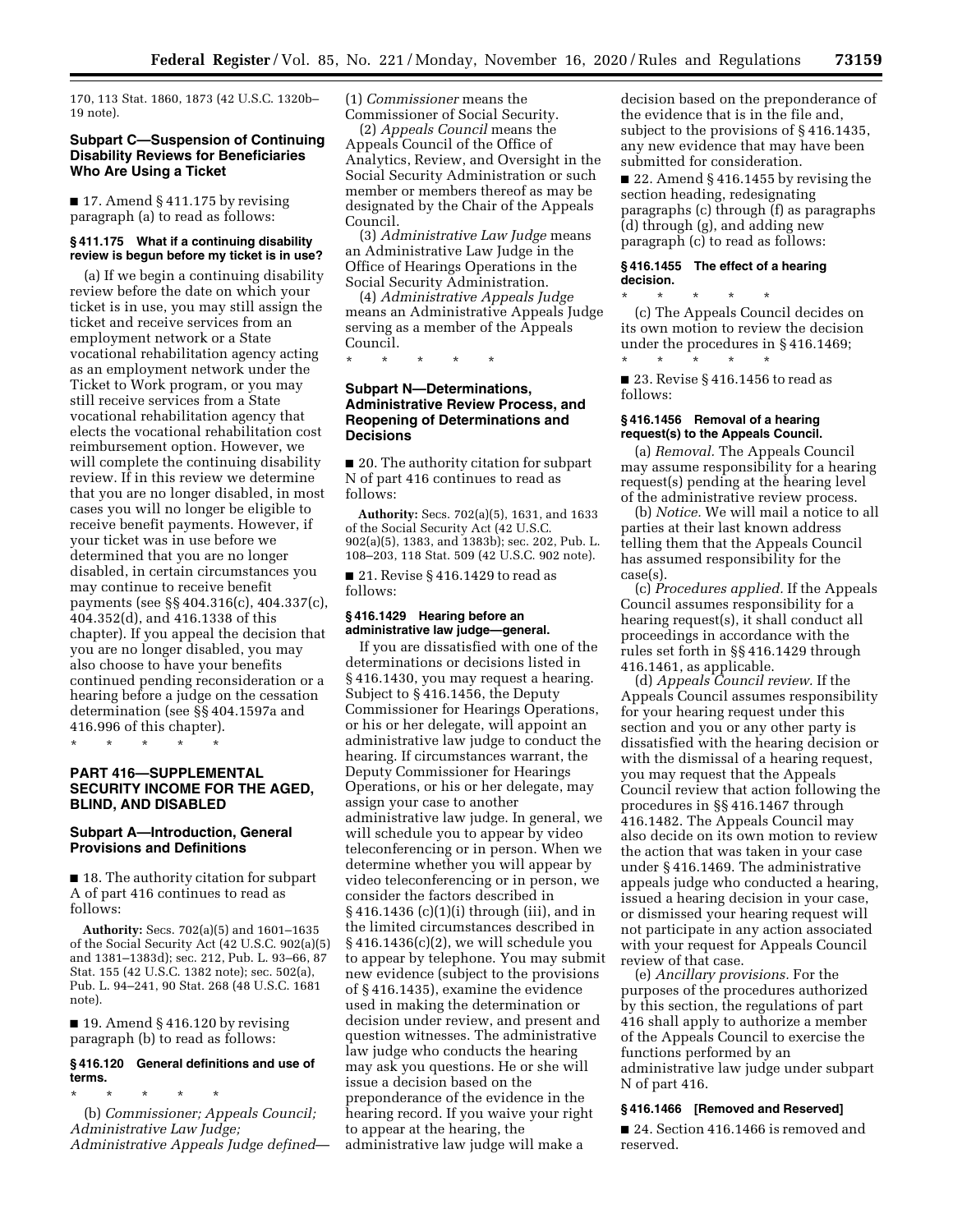170, 113 Stat. 1860, 1873 (42 U.S.C. 1320b– 19 note).

# **Subpart C—Suspension of Continuing Disability Reviews for Beneficiaries Who Are Using a Ticket**

 $\blacksquare$  17. Amend § 411.175 by revising paragraph (a) to read as follows:

### **§ 411.175 What if a continuing disability review is begun before my ticket is in use?**

(a) If we begin a continuing disability review before the date on which your ticket is in use, you may still assign the ticket and receive services from an employment network or a State vocational rehabilitation agency acting as an employment network under the Ticket to Work program, or you may still receive services from a State vocational rehabilitation agency that elects the vocational rehabilitation cost reimbursement option. However, we will complete the continuing disability review. If in this review we determine that you are no longer disabled, in most cases you will no longer be eligible to receive benefit payments. However, if your ticket was in use before we determined that you are no longer disabled, in certain circumstances you may continue to receive benefit payments (see §§ 404.316(c), 404.337(c), 404.352(d), and 416.1338 of this chapter). If you appeal the decision that you are no longer disabled, you may also choose to have your benefits continued pending reconsideration or a hearing before a judge on the cessation determination (see §§ 404.1597a and 416.996 of this chapter).

\* \* \* \* \*

# **PART 416—SUPPLEMENTAL SECURITY INCOME FOR THE AGED, BLIND, AND DISABLED**

## **Subpart A—Introduction, General Provisions and Definitions**

■ 18. The authority citation for subpart A of part 416 continues to read as follows:

**Authority:** Secs. 702(a)(5) and 1601–1635 of the Social Security Act (42 U.S.C. 902(a)(5) and 1381–1383d); sec. 212, Pub. L. 93–66, 87 Stat. 155 (42 U.S.C. 1382 note); sec. 502(a), Pub. L. 94–241, 90 Stat. 268 (48 U.S.C. 1681 note).

 $\blacksquare$  19. Amend § 416.120 by revising paragraph (b) to read as follows:

# **§ 416.120 General definitions and use of terms.**

\* \* \* \* \* (b) *Commissioner; Appeals Council; Administrative Law Judge; Administrative Appeals Judge defined*— (1) *Commissioner* means the Commissioner of Social Security.

(2) *Appeals Council* means the Appeals Council of the Office of Analytics, Review, and Oversight in the Social Security Administration or such member or members thereof as may be designated by the Chair of the Appeals Council.

(3) *Administrative Law Judge* means an Administrative Law Judge in the Office of Hearings Operations in the Social Security Administration.

(4) *Administrative Appeals Judge*  means an Administrative Appeals Judge serving as a member of the Appeals Council.

\* \* \* \* \*

# **Subpart N—Determinations, Administrative Review Process, and Reopening of Determinations and Decisions**

■ 20. The authority citation for subpart N of part 416 continues to read as follows:

**Authority:** Secs. 702(a)(5), 1631, and 1633 of the Social Security Act (42 U.S.C. 902(a)(5), 1383, and 1383b); sec. 202, Pub. L. 108–203, 118 Stat. 509 (42 U.S.C. 902 note).

■ 21. Revise § 416.1429 to read as follows:

# **§ 416.1429 Hearing before an administrative law judge—general.**

If you are dissatisfied with one of the determinations or decisions listed in § 416.1430, you may request a hearing. Subject to § 416.1456, the Deputy Commissioner for Hearings Operations, or his or her delegate, will appoint an administrative law judge to conduct the hearing. If circumstances warrant, the Deputy Commissioner for Hearings Operations, or his or her delegate, may assign your case to another administrative law judge. In general, we will schedule you to appear by video teleconferencing or in person. When we determine whether you will appear by video teleconferencing or in person, we consider the factors described in § 416.1436 (c)(1)(i) through (iii), and in the limited circumstances described in § 416.1436(c)(2), we will schedule you to appear by telephone. You may submit new evidence (subject to the provisions of § 416.1435), examine the evidence used in making the determination or decision under review, and present and question witnesses. The administrative law judge who conducts the hearing may ask you questions. He or she will issue a decision based on the preponderance of the evidence in the hearing record. If you waive your right to appear at the hearing, the administrative law judge will make a

decision based on the preponderance of the evidence that is in the file and, subject to the provisions of § 416.1435, any new evidence that may have been submitted for consideration.

■ 22. Amend § 416.1455 by revising the section heading, redesignating paragraphs (c) through (f) as paragraphs (d) through (g), and adding new paragraph (c) to read as follows:

### **§ 416.1455 The effect of a hearing decision.**

\* \* \* \* \* (c) The Appeals Council decides on its own motion to review the decision under the procedures in § 416.1469; \* \* \* \* \*

■ 23. Revise § 416.1456 to read as follows:

## **§ 416.1456 Removal of a hearing request(s) to the Appeals Council.**

(a) *Removal.* The Appeals Council may assume responsibility for a hearing request(s) pending at the hearing level of the administrative review process.

(b) *Notice.* We will mail a notice to all parties at their last known address telling them that the Appeals Council has assumed responsibility for the case(s).

(c) *Procedures applied.* If the Appeals Council assumes responsibility for a hearing request(s), it shall conduct all proceedings in accordance with the rules set forth in §§ 416.1429 through 416.1461, as applicable.

(d) *Appeals Council review.* If the Appeals Council assumes responsibility for your hearing request under this section and you or any other party is dissatisfied with the hearing decision or with the dismissal of a hearing request, you may request that the Appeals Council review that action following the procedures in §§ 416.1467 through 416.1482. The Appeals Council may also decide on its own motion to review the action that was taken in your case under § 416.1469. The administrative appeals judge who conducted a hearing, issued a hearing decision in your case, or dismissed your hearing request will not participate in any action associated with your request for Appeals Council review of that case.

(e) *Ancillary provisions.* For the purposes of the procedures authorized by this section, the regulations of part 416 shall apply to authorize a member of the Appeals Council to exercise the functions performed by an administrative law judge under subpart N of part 416.

### **§ 416.1466 [Removed and Reserved]**

■ 24. Section 416.1466 is removed and reserved.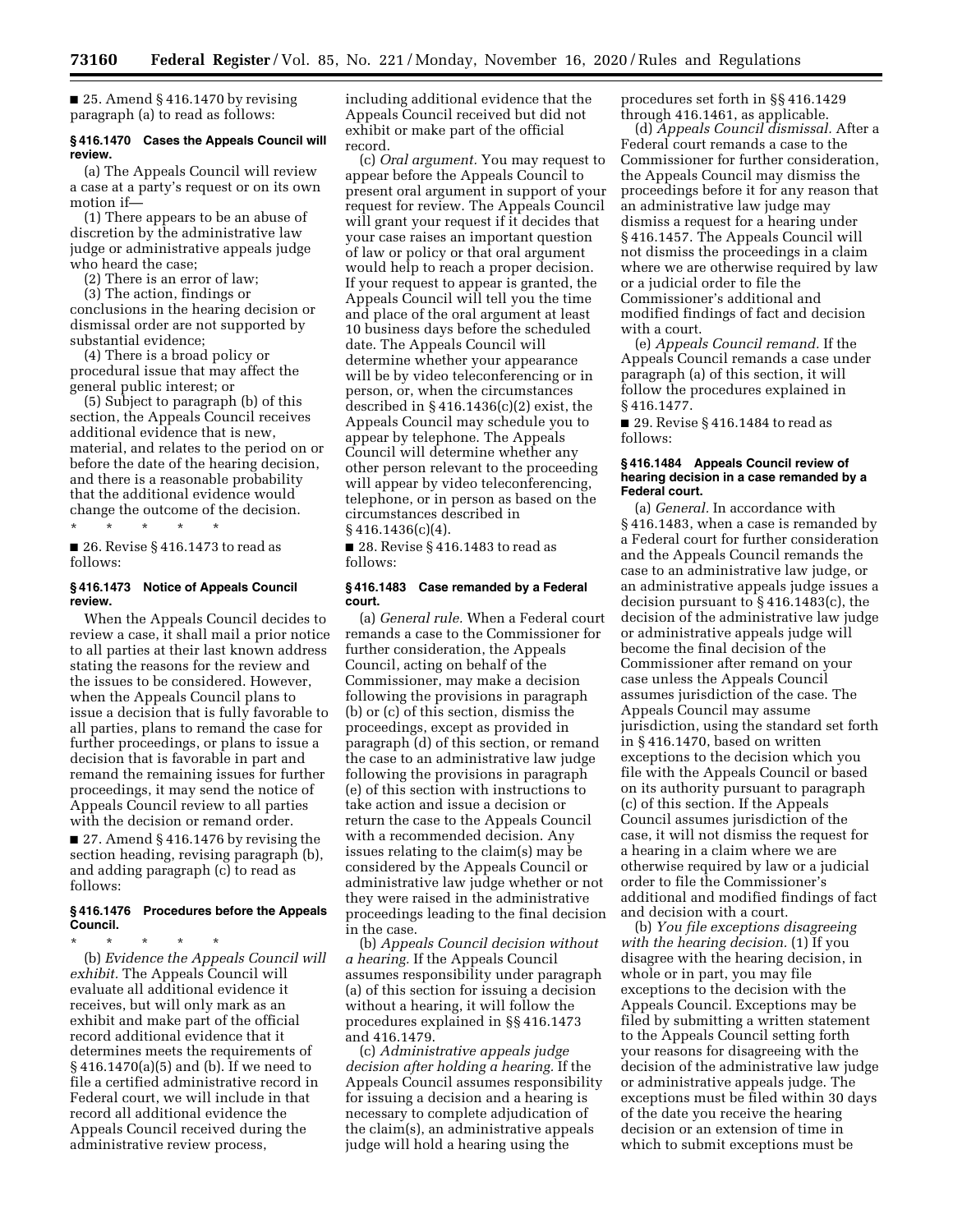$\blacksquare$  25. Amend § 416.1470 by revising paragraph (a) to read as follows:

## **§ 416.1470 Cases the Appeals Council will review.**

(a) The Appeals Council will review a case at a party's request or on its own motion if—

(1) There appears to be an abuse of discretion by the administrative law judge or administrative appeals judge who heard the case;

(2) There is an error of law;

(3) The action, findings or conclusions in the hearing decision or dismissal order are not supported by substantial evidence;

(4) There is a broad policy or procedural issue that may affect the general public interest; or

(5) Subject to paragraph (b) of this section, the Appeals Council receives additional evidence that is new, material, and relates to the period on or before the date of the hearing decision, and there is a reasonable probability that the additional evidence would change the outcome of the decision. \* \* \* \* \*

■ 26. Revise § 416.1473 to read as follows:

#### **§ 416.1473 Notice of Appeals Council review.**

When the Appeals Council decides to review a case, it shall mail a prior notice to all parties at their last known address stating the reasons for the review and the issues to be considered. However, when the Appeals Council plans to issue a decision that is fully favorable to all parties, plans to remand the case for further proceedings, or plans to issue a decision that is favorable in part and remand the remaining issues for further proceedings, it may send the notice of Appeals Council review to all parties with the decision or remand order. ■ 27. Amend § 416.1476 by revising the

section heading, revising paragraph (b), and adding paragraph (c) to read as follows:

# **§ 416.1476 Procedures before the Appeals Council.**

\* \* \* \* \* (b) *Evidence the Appeals Council will exhibit.* The Appeals Council will evaluate all additional evidence it receives, but will only mark as an exhibit and make part of the official record additional evidence that it determines meets the requirements of § 416.1470(a)(5) and (b). If we need to file a certified administrative record in Federal court, we will include in that record all additional evidence the Appeals Council received during the administrative review process,

including additional evidence that the Appeals Council received but did not exhibit or make part of the official record.

(c) *Oral argument.* You may request to appear before the Appeals Council to present oral argument in support of your request for review. The Appeals Council will grant your request if it decides that your case raises an important question of law or policy or that oral argument would help to reach a proper decision. If your request to appear is granted, the Appeals Council will tell you the time and place of the oral argument at least 10 business days before the scheduled date. The Appeals Council will determine whether your appearance will be by video teleconferencing or in person, or, when the circumstances described in § 416.1436(c)(2) exist, the Appeals Council may schedule you to appear by telephone. The Appeals Council will determine whether any other person relevant to the proceeding will appear by video teleconferencing, telephone, or in person as based on the circumstances described in  $§$ 416.1436(c)(4).

■ 28. Revise § 416.1483 to read as follows:

#### **§ 416.1483 Case remanded by a Federal court.**

(a) *General rule.* When a Federal court remands a case to the Commissioner for further consideration, the Appeals Council, acting on behalf of the Commissioner, may make a decision following the provisions in paragraph (b) or (c) of this section, dismiss the proceedings, except as provided in paragraph (d) of this section, or remand the case to an administrative law judge following the provisions in paragraph (e) of this section with instructions to take action and issue a decision or return the case to the Appeals Council with a recommended decision. Any issues relating to the claim(s) may be considered by the Appeals Council or administrative law judge whether or not they were raised in the administrative proceedings leading to the final decision in the case.

(b) *Appeals Council decision without a hearing.* If the Appeals Council assumes responsibility under paragraph (a) of this section for issuing a decision without a hearing, it will follow the procedures explained in §§ 416.1473 and 416.1479.

(c) *Administrative appeals judge decision after holding a hearing.* If the Appeals Council assumes responsibility for issuing a decision and a hearing is necessary to complete adjudication of the claim(s), an administrative appeals judge will hold a hearing using the

procedures set forth in §§ 416.1429 through 416.1461, as applicable.

(d) *Appeals Council dismissal.* After a Federal court remands a case to the Commissioner for further consideration, the Appeals Council may dismiss the proceedings before it for any reason that an administrative law judge may dismiss a request for a hearing under § 416.1457. The Appeals Council will not dismiss the proceedings in a claim where we are otherwise required by law or a judicial order to file the Commissioner's additional and modified findings of fact and decision with a court.

(e) *Appeals Council remand.* If the Appeals Council remands a case under paragraph (a) of this section, it will follow the procedures explained in § 416.1477.

■ 29. Revise § 416.1484 to read as follows:

#### **§ 416.1484 Appeals Council review of hearing decision in a case remanded by a Federal court.**

(a) *General.* In accordance with § 416.1483, when a case is remanded by a Federal court for further consideration and the Appeals Council remands the case to an administrative law judge, or an administrative appeals judge issues a decision pursuant to § 416.1483(c), the decision of the administrative law judge or administrative appeals judge will become the final decision of the Commissioner after remand on your case unless the Appeals Council assumes jurisdiction of the case. The Appeals Council may assume jurisdiction, using the standard set forth in § 416.1470, based on written exceptions to the decision which you file with the Appeals Council or based on its authority pursuant to paragraph (c) of this section. If the Appeals Council assumes jurisdiction of the case, it will not dismiss the request for a hearing in a claim where we are otherwise required by law or a judicial order to file the Commissioner's additional and modified findings of fact and decision with a court.

(b) *You file exceptions disagreeing with the hearing decision.* (1) If you disagree with the hearing decision, in whole or in part, you may file exceptions to the decision with the Appeals Council. Exceptions may be filed by submitting a written statement to the Appeals Council setting forth your reasons for disagreeing with the decision of the administrative law judge or administrative appeals judge. The exceptions must be filed within 30 days of the date you receive the hearing decision or an extension of time in which to submit exceptions must be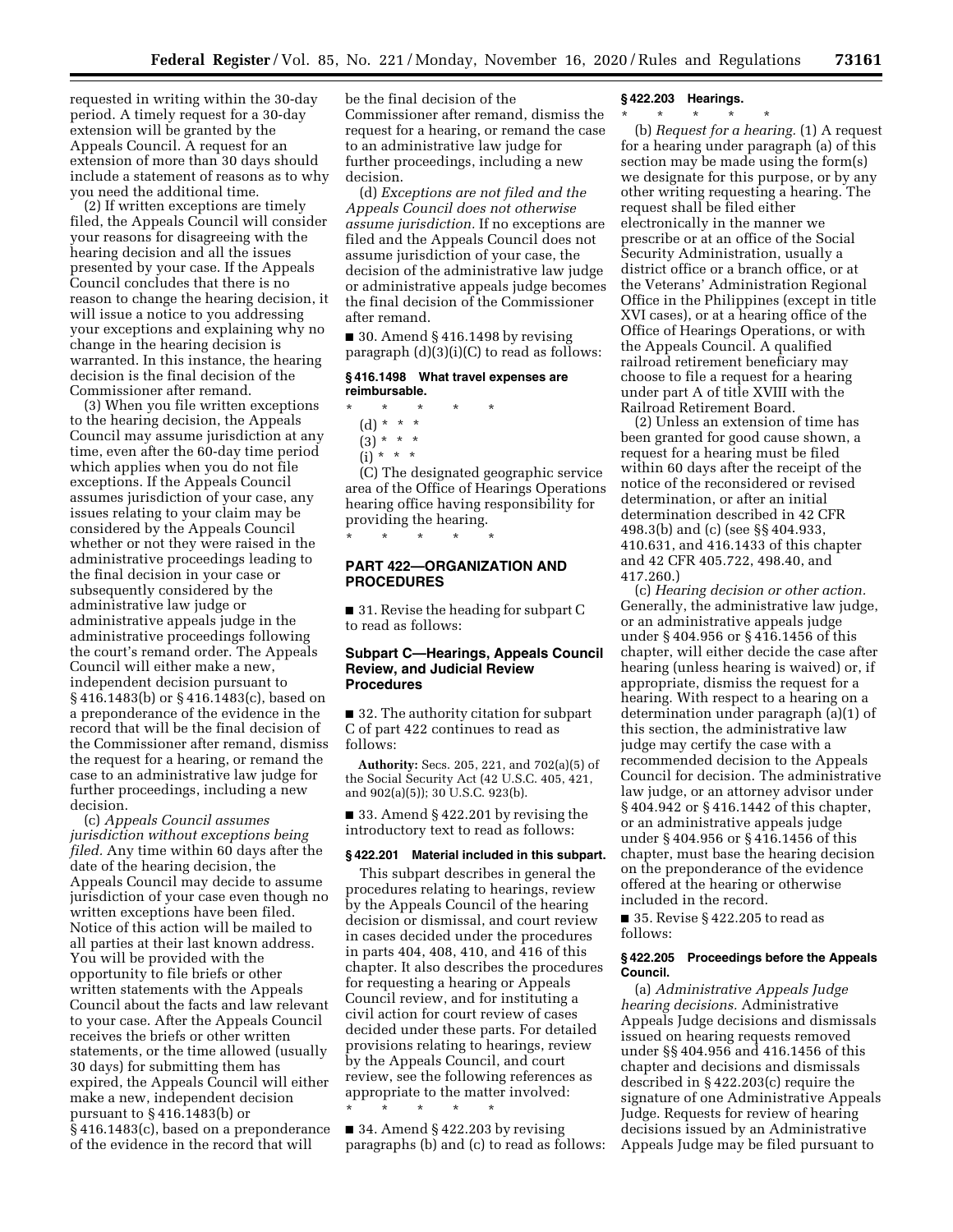requested in writing within the 30-day period. A timely request for a 30-day extension will be granted by the Appeals Council. A request for an extension of more than 30 days should include a statement of reasons as to why you need the additional time.

(2) If written exceptions are timely filed, the Appeals Council will consider your reasons for disagreeing with the hearing decision and all the issues presented by your case. If the Appeals Council concludes that there is no reason to change the hearing decision, it will issue a notice to you addressing your exceptions and explaining why no change in the hearing decision is warranted. In this instance, the hearing decision is the final decision of the Commissioner after remand.

(3) When you file written exceptions to the hearing decision, the Appeals Council may assume jurisdiction at any time, even after the 60-day time period which applies when you do not file exceptions. If the Appeals Council assumes jurisdiction of your case, any issues relating to your claim may be considered by the Appeals Council whether or not they were raised in the administrative proceedings leading to the final decision in your case or subsequently considered by the administrative law judge or administrative appeals judge in the administrative proceedings following the court's remand order. The Appeals Council will either make a new, independent decision pursuant to § 416.1483(b) or § 416.1483(c), based on a preponderance of the evidence in the record that will be the final decision of the Commissioner after remand, dismiss the request for a hearing, or remand the case to an administrative law judge for further proceedings, including a new decision.

(c) *Appeals Council assumes jurisdiction without exceptions being filed.* Any time within 60 days after the date of the hearing decision, the Appeals Council may decide to assume jurisdiction of your case even though no written exceptions have been filed. Notice of this action will be mailed to all parties at their last known address. You will be provided with the opportunity to file briefs or other written statements with the Appeals Council about the facts and law relevant to your case. After the Appeals Council receives the briefs or other written statements, or the time allowed (usually 30 days) for submitting them has expired, the Appeals Council will either make a new, independent decision pursuant to § 416.1483(b) or § 416.1483(c), based on a preponderance of the evidence in the record that will

be the final decision of the Commissioner after remand, dismiss the request for a hearing, or remand the case to an administrative law judge for further proceedings, including a new decision.

(d) *Exceptions are not filed and the Appeals Council does not otherwise assume jurisdiction.* If no exceptions are filed and the Appeals Council does not assume jurisdiction of your case, the decision of the administrative law judge or administrative appeals judge becomes the final decision of the Commissioner after remand.

 $\blacksquare$  30. Amend § 416.1498 by revising paragraph (d)(3)(i)(C) to read as follows:

### **§ 416.1498 What travel expenses are reimbursable.**

- \* \* \* \* \*
	- (d) \* \* \*
	- $(3) * * * *$
	- $(i) * * * *$

(C) The designated geographic service area of the Office of Hearings Operations hearing office having responsibility for providing the hearing. \* \* \* \* \*

# **PART 422—ORGANIZATION AND PROCEDURES**

■ 31. Revise the heading for subpart C to read as follows:

# **Subpart C—Hearings, Appeals Council Review, and Judicial Review Procedures**

■ 32. The authority citation for subpart C of part 422 continues to read as follows:

**Authority:** Secs. 205, 221, and 702(a)(5) of the Social Security Act (42 U.S.C. 405, 421, and 902(a)(5)); 30 U.S.C. 923(b).

■ 33. Amend § 422.201 by revising the introductory text to read as follows:

# **§ 422.201 Material included in this subpart.**

This subpart describes in general the procedures relating to hearings, review by the Appeals Council of the hearing decision or dismissal, and court review in cases decided under the procedures in parts 404, 408, 410, and 416 of this chapter. It also describes the procedures for requesting a hearing or Appeals Council review, and for instituting a civil action for court review of cases decided under these parts. For detailed provisions relating to hearings, review by the Appeals Council, and court review, see the following references as appropriate to the matter involved:

 $\blacksquare$  34. Amend § 422.203 by revising paragraphs (b) and (c) to read as follows:

\* \* \* \* \*

# **§ 422.203 Hearings.**

\* \* \* \* \*

(b) *Request for a hearing.* (1) A request for a hearing under paragraph (a) of this section may be made using the form(s) we designate for this purpose, or by any other writing requesting a hearing. The request shall be filed either electronically in the manner we prescribe or at an office of the Social Security Administration, usually a district office or a branch office, or at the Veterans' Administration Regional Office in the Philippines (except in title XVI cases), or at a hearing office of the Office of Hearings Operations, or with the Appeals Council. A qualified railroad retirement beneficiary may choose to file a request for a hearing under part A of title XVIII with the Railroad Retirement Board.

(2) Unless an extension of time has been granted for good cause shown, a request for a hearing must be filed within 60 days after the receipt of the notice of the reconsidered or revised determination, or after an initial determination described in 42 CFR 498.3(b) and (c) (see §§ 404.933, 410.631, and 416.1433 of this chapter and 42 CFR 405.722, 498.40, and 417.260.)

(c) *Hearing decision or other action.*  Generally, the administrative law judge, or an administrative appeals judge under § 404.956 or § 416.1456 of this chapter, will either decide the case after hearing (unless hearing is waived) or, if appropriate, dismiss the request for a hearing. With respect to a hearing on a determination under paragraph (a)(1) of this section, the administrative law judge may certify the case with a recommended decision to the Appeals Council for decision. The administrative law judge, or an attorney advisor under § 404.942 or § 416.1442 of this chapter, or an administrative appeals judge under § 404.956 or § 416.1456 of this chapter, must base the hearing decision on the preponderance of the evidence offered at the hearing or otherwise included in the record.

■ 35. Revise § 422.205 to read as follows:

#### **§ 422.205 Proceedings before the Appeals Council.**

(a) *Administrative Appeals Judge hearing decisions.* Administrative Appeals Judge decisions and dismissals issued on hearing requests removed under §§ 404.956 and 416.1456 of this chapter and decisions and dismissals described in § 422.203(c) require the signature of one Administrative Appeals Judge. Requests for review of hearing decisions issued by an Administrative Appeals Judge may be filed pursuant to